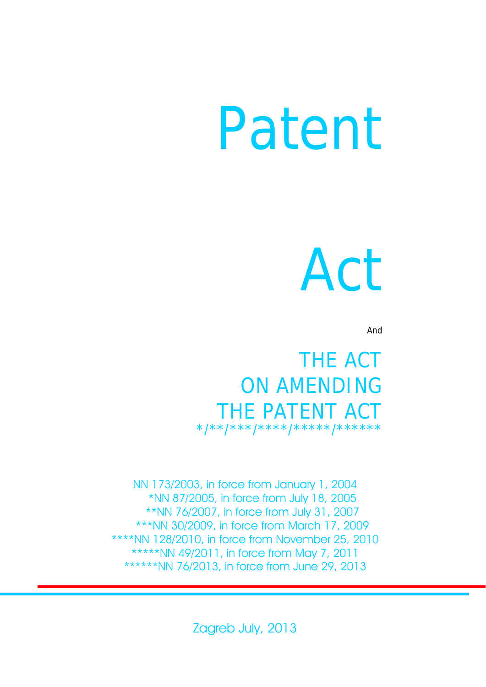# Patent

# Act

And

THE ACT ON AMENDING THE PATENT ACT \*/\*\*/\*\*\*/\*\*\*\*\*\*/\*\*\*\*\*\*

NN 173/2003, in force from January 1, 2004 \*NN 87/2005, in force from July 18, 2005 \*\*NN 76/2007, in force from July 31, 2007 \*\*\*NN 30/2009, in force from March 17, 2009 \*\*\*\*NN 128/2010, in force from November 25, 2010 \*\*\*\*\*NN 49/2011, in force from May 7, 2011 \*\*\*\*\*\*NN 76/2013, in force from June 29, 2013

Zagreb July, 2013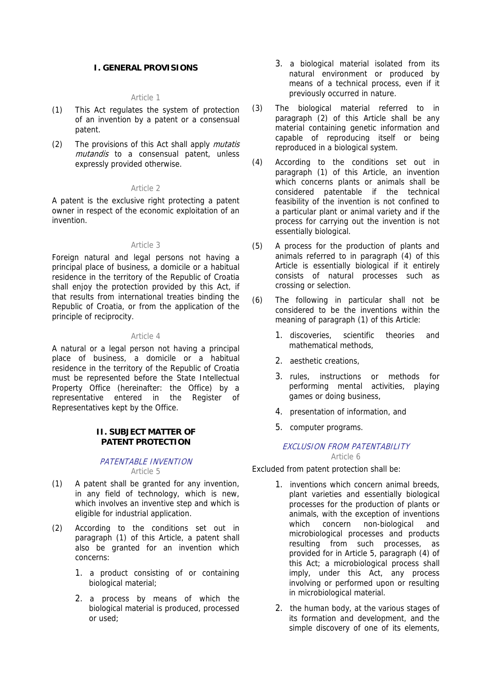# **I. GENERAL PROVISIONS**

#### Article 1

- (1) This Act regulates the system of protection of an invention by a patent or a consensual patent.
- (2) The provisions of this Act shall apply *mutatis* mutandis to a consensual patent, unless expressly provided otherwise.

#### Article 2

A patent is the exclusive right protecting a patent owner in respect of the economic exploitation of an invention.

#### Article 3

Foreign natural and legal persons not having a principal place of business, a domicile or a habitual residence in the territory of the Republic of Croatia shall enjoy the protection provided by this Act, if that results from international treaties binding the Republic of Croatia, or from the application of the principle of reciprocity.

#### Article 4

A natural or a legal person not having a principal place of business, a domicile or a habitual residence in the territory of the Republic of Croatia must be represented before the State Intellectual Property Office (hereinafter: the Office) by a representative entered in the Register of Representatives kept by the Office.

#### **II. SUBJECT MATTER OF PATENT PROTECTION**

#### PATENTABLE INVENTION Article 5

- (1) A patent shall be granted for any invention, in any field of technology, which is new, which involves an inventive step and which is eligible for industrial application.
- (2) According to the conditions set out in paragraph (1) of this Article, a patent shall also be granted for an invention which concerns:
	- 1. a product consisting of or containing biological material;
	- 2. a process by means of which the biological material is produced, processed or used;
- 3. a biological material isolated from its natural environment or produced by means of a technical process, even if it previously occurred in nature.
- (3) The biological material referred to in paragraph (2) of this Article shall be any material containing genetic information and capable of reproducing itself or being reproduced in a biological system.
- (4) According to the conditions set out in paragraph (1) of this Article, an invention which concerns plants or animals shall be considered patentable if the technical feasibility of the invention is not confined to a particular plant or animal variety and if the process for carrying out the invention is not essentially biological.
- (5) A process for the production of plants and animals referred to in paragraph (4) of this Article is essentially biological if it entirely consists of natural processes such as crossing or selection.
- (6) The following in particular shall not be considered to be the inventions within the meaning of paragraph (1) of this Article:
	- 1. discoveries, scientific theories and mathematical methods,
	- 2. aesthetic creations,
	- 3. rules, instructions or methods for performing mental activities, playing games or doing business,
	- 4. presentation of information, and
	- 5. computer programs.

# EXCLUSION FROM PATENTABILITY

Article 6

Excluded from patent protection shall be:

- 1. inventions which concern animal breeds, plant varieties and essentially biological processes for the production of plants or animals, with the exception of inventions which concern non-biological and microbiological processes and products resulting from such processes, as provided for in Article 5, paragraph (4) of this Act; a microbiological process shall imply, under this Act, any process involving or performed upon or resulting in microbiological material.
- 2. the human body, at the various stages of its formation and development, and the simple discovery of one of its elements,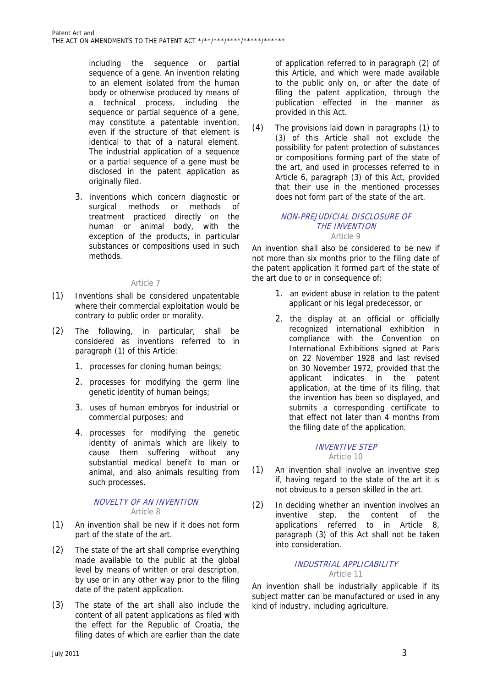including the sequence or partial sequence of a gene. An invention relating to an element isolated from the human body or otherwise produced by means of a technical process, including the sequence or partial sequence of a gene. may constitute a patentable invention, even if the structure of that element is identical to that of a natural element. The industrial application of a sequence or a partial sequence of a gene must be disclosed in the patent application as originally filed.

3. inventions which concern diagnostic or surgical methods or methods of treatment practiced directly on the human or animal body, with the exception of the products, in particular substances or compositions used in such methods.

#### Article 7

- (1) Inventions shall be considered unpatentable where their commercial exploitation would be contrary to public order or morality.
- (2) The following, in particular, shall be considered as inventions referred to in paragraph (1) of this Article:
	- 1. processes for cloning human beings;
	- 2. processes for modifying the germ line genetic identity of human beings;
	- 3. uses of human embryos for industrial or commercial purposes; and
	- 4. processes for modifying the genetic identity of animals which are likely to cause them suffering without any substantial medical benefit to man or animal, and also animals resulting from such processes.

#### NOVELTY OF AN INVENTION Article 8

- (1) An invention shall be new if it does not form part of the state of the art.
- (2) The state of the art shall comprise everything made available to the public at the global level by means of written or oral description, by use or in any other way prior to the filing date of the patent application.
- (3) The state of the art shall also include the content of all patent applications as filed with the effect for the Republic of Croatia, the filing dates of which are earlier than the date

of application referred to in paragraph (2) of this Article, and which were made available to the public only on, or after the date of filing the patent application, through the publication effected in the manner as provided in this Act.

(4) The provisions laid down in paragraphs (1) to (3) of this Article shall not exclude the possibility for patent protection of substances or compositions forming part of the state of the art, and used in processes referred to in Article 6, paragraph (3) of this Act, provided that their use in the mentioned processes does not form part of the state of the art.

#### NON-PREJUDICIAL DISCLOSURE OF THE INVENTION Article 9

An invention shall also be considered to be new if not more than six months prior to the filing date of the patent application it formed part of the state of the art due to or in consequence of:

- 1. an evident abuse in relation to the patent applicant or his legal predecessor, or
- 2. the display at an official or officially recognized international exhibition in compliance with the Convention on International Exhibitions signed at Paris on 22 November 1928 and last revised on 30 November 1972, provided that the applicant indicates in the patent application, at the time of its filing, that the invention has been so displayed, and submits a corresponding certificate to that effect not later than 4 months from the filing date of the application.

# INVENTIVE STEP

Article 10 (1) An invention shall involve an inventive step

- if, having regard to the state of the art it is not obvious to a person skilled in the art.
- (2) In deciding whether an invention involves an inventive step, the content of the applications referred to in Article 8, paragraph (3) of this Act shall not be taken into consideration.

# INDUSTRIAL APPLICABILITY Article 11

An invention shall be industrially applicable if its subject matter can be manufactured or used in any kind of industry, including agriculture.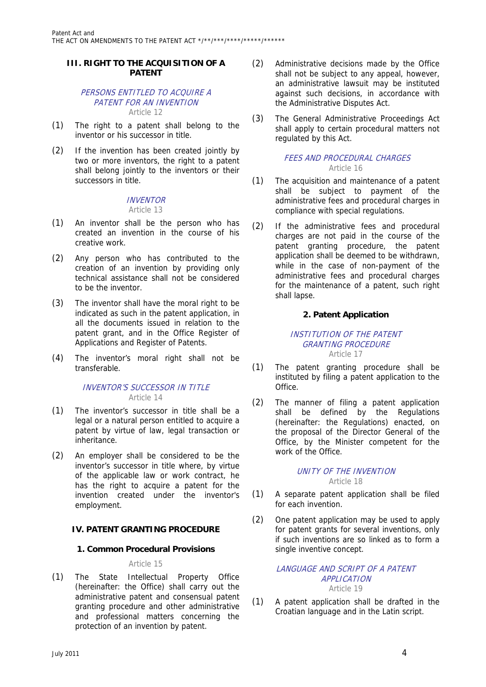# **III. RIGHT TO THE ACQUISITION OF A PATENT**

#### PERSONS ENTITLED TO ACQUIRE A PATENT FOR AN INVENTION Article 12

- (1) The right to a patent shall belong to the inventor or his successor in title.
- (2) If the invention has been created jointly by two or more inventors, the right to a patent shall belong jointly to the inventors or their successors in title.

# **INVENTOR**

# Article 13

- (1) An inventor shall be the person who has created an invention in the course of his creative work.
- (2) Any person who has contributed to the creation of an invention by providing only technical assistance shall not be considered to be the inventor.
- (3) The inventor shall have the moral right to be indicated as such in the patent application, in all the documents issued in relation to the patent grant, and in the Office Register of Applications and Register of Patents.
- (4) The inventor's moral right shall not be transferable.

# INVENTOR'S SUCCESSOR IN TITLE Article 14

- (1) The inventor's successor in title shall be a legal or a natural person entitled to acquire a patent by virtue of law, legal transaction or inheritance.
- (2) An employer shall be considered to be the inventor's successor in title where, by virtue of the applicable law or work contract, he has the right to acquire a patent for the invention created under the inventor's employment.

# **IV. PATENT GRANTING PROCEDURE**

# **1. Common Procedural Provisions**

# Article 15

(1) The State Intellectual Property Office (hereinafter: the Office) shall carry out the administrative patent and consensual patent granting procedure and other administrative and professional matters concerning the protection of an invention by patent.

- (2) Administrative decisions made by the Office shall not be subject to any appeal, however, an administrative lawsuit may be instituted against such decisions, in accordance with the Administrative Disputes Act.
- (3) The General Administrative Proceedings Act shall apply to certain procedural matters not regulated by this Act.

# FEES AND PROCEDURAL CHARGES Article 16

- (1) The acquisition and maintenance of a patent shall be subject to payment of the administrative fees and procedural charges in compliance with special regulations.
- (2) If the administrative fees and procedural charges are not paid in the course of the patent granting procedure, the patent application shall be deemed to be withdrawn, while in the case of non-payment of the administrative fees and procedural charges for the maintenance of a patent, such right shall lapse.

# **2. Patent Application**

#### INSTITUTION OF THE PATENT GRANTING PROCEDURE Article 17

- (1) The patent granting procedure shall be instituted by filing a patent application to the Office.
- (2) The manner of filing a patent application shall be defined by the Regulations (hereinafter: the Regulations) enacted, on the proposal of the Director General of the Office, by the Minister competent for the work of the Office.

#### UNITY OF THE INVENTION Article 18

- (1) A separate patent application shall be filed for each invention.
- (2) One patent application may be used to apply for patent grants for several inventions, only if such inventions are so linked as to form a single inventive concept.

#### LANGUAGE AND SCRIPT OF A PATENT APPLICATION Article 19

(1) A patent application shall be drafted in the Croatian language and in the Latin script.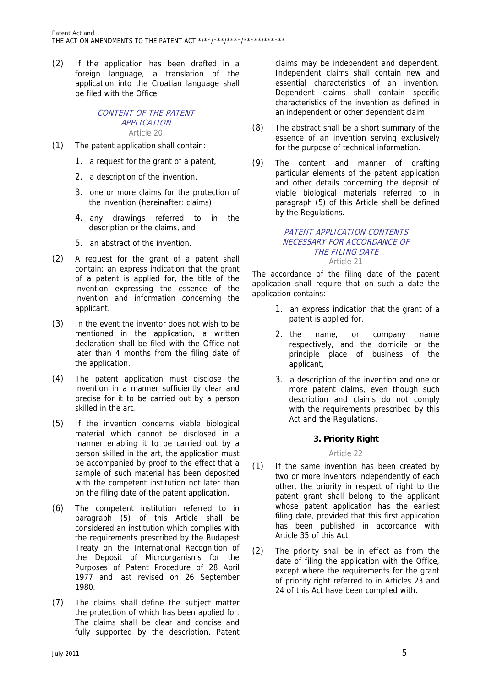(2) If the application has been drafted in a foreign language, a translation of the application into the Croatian language shall be filed with the Office.

#### CONTENT OF THE PATENT APPLICATION Article 20

- (1) The patent application shall contain:
	- 1. a request for the grant of a patent,
	- 2. a description of the invention,
	- 3. one or more claims for the protection of the invention (hereinafter: claims),
	- 4. any drawings referred to in the description or the claims, and
	- 5. an abstract of the invention.
- (2) A request for the grant of a patent shall contain: an express indication that the grant of a patent is applied for, the title of the invention expressing the essence of the invention and information concerning the applicant.
- (3) In the event the inventor does not wish to be mentioned in the application, a written declaration shall be filed with the Office not later than 4 months from the filing date of the application.
- (4) The patent application must disclose the invention in a manner sufficiently clear and precise for it to be carried out by a person skilled in the art.
- (5) If the invention concerns viable biological material which cannot be disclosed in a manner enabling it to be carried out by a person skilled in the art, the application must be accompanied by proof to the effect that a sample of such material has been deposited with the competent institution not later than on the filing date of the patent application.
- (6) The competent institution referred to in paragraph (5) of this Article shall be considered an institution which complies with the requirements prescribed by the Budapest Treaty on the International Recognition of the Deposit of Microorganisms for the Purposes of Patent Procedure of 28 April 1977 and last revised on 26 September 1980.
- (7) The claims shall define the subject matter the protection of which has been applied for. The claims shall be clear and concise and fully supported by the description. Patent

claims may be independent and dependent. Independent claims shall contain new and essential characteristics of an invention. Dependent claims shall contain specific characteristics of the invention as defined in an independent or other dependent claim.

- (8) The abstract shall be a short summary of the essence of an invention serving exclusively for the purpose of technical information.
- (9) The content and manner of drafting particular elements of the patent application and other details concerning the deposit of viable biological materials referred to in paragraph (5) of this Article shall be defined by the Regulations.

#### PATENT APPLICATION CONTENTS NECESSARY FOR ACCORDANCE OF THE FILING DATE Article 21

The accordance of the filing date of the patent application shall require that on such a date the application contains:

- 1. an express indication that the grant of a patent is applied for,
- 2. the name, or company name respectively, and the domicile or the principle place of business of the applicant,
- 3. a description of the invention and one or more patent claims, even though such description and claims do not comply with the requirements prescribed by this Act and the Regulations.

# **3. Priority Right**

#### Article 22

- (1) If the same invention has been created by two or more inventors independently of each other, the priority in respect of right to the patent grant shall belong to the applicant whose patent application has the earliest filing date, provided that this first application has been published in accordance with Article 35 of this Act.
- (2) The priority shall be in effect as from the date of filing the application with the Office, except where the requirements for the grant of priority right referred to in Articles 23 and 24 of this Act have been complied with.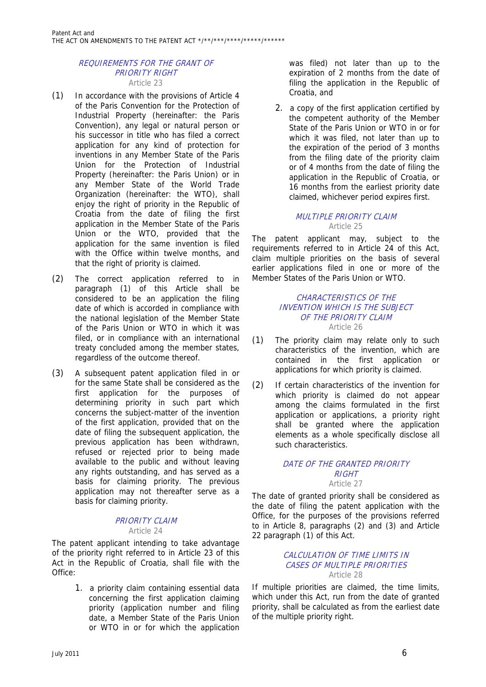#### REQUIREMENTS FOR THE GRANT OF PRIORITY RIGHT Article 23

- (1) In accordance with the provisions of Article 4 of the Paris Convention for the Protection of Industrial Property (hereinafter: the Paris Convention), any legal or natural person or his successor in title who has filed a correct application for any kind of protection for inventions in any Member State of the Paris Union for the Protection of Industrial Property (hereinafter: the Paris Union) or in any Member State of the World Trade Organization (hereinafter: the WTO), shall enjoy the right of priority in the Republic of Croatia from the date of filing the first application in the Member State of the Paris Union or the WTO, provided that the application for the same invention is filed with the Office within twelve months, and that the right of priority is claimed.
- (2) The correct application referred to in paragraph (1) of this Article shall be considered to be an application the filing date of which is accorded in compliance with the national legislation of the Member State of the Paris Union or WTO in which it was filed, or in compliance with an international treaty concluded among the member states, regardless of the outcome thereof.
- (3) A subsequent patent application filed in or for the same State shall be considered as the first application for the purposes of determining priority in such part which concerns the subject-matter of the invention of the first application, provided that on the date of filing the subsequent application, the previous application has been withdrawn, refused or rejected prior to being made available to the public and without leaving any rights outstanding, and has served as a basis for claiming priority. The previous application may not thereafter serve as a basis for claiming priority.

# PRIORITY CLAIM Article 24

The patent applicant intending to take advantage of the priority right referred to in Article 23 of this Act in the Republic of Croatia, shall file with the Office:

> 1. a priority claim containing essential data concerning the first application claiming priority (application number and filing date, a Member State of the Paris Union or WTO in or for which the application

was filed) not later than up to the expiration of 2 months from the date of filing the application in the Republic of Croatia, and

2. a copy of the first application certified by the competent authority of the Member State of the Paris Union or WTO in or for which it was filed, not later than up to the expiration of the period of 3 months from the filing date of the priority claim or of 4 months from the date of filing the application in the Republic of Croatia, or 16 months from the earliest priority date claimed, whichever period expires first.

# MULTIPLE PRIORITY CLAIM Article 25

The patent applicant may, subject to the requirements referred to in Article 24 of this Act, claim multiple priorities on the basis of several earlier applications filed in one or more of the Member States of the Paris Union or WTO.

# CHARACTERISTICS OF THE INVENTION WHICH IS THE SUBJECT OF THE PRIORITY CLAIM Article 26

- (1) The priority claim may relate only to such characteristics of the invention, which are contained in the first application or applications for which priority is claimed.
- (2) If certain characteristics of the invention for which priority is claimed do not appear among the claims formulated in the first application or applications, a priority right shall be granted where the application elements as a whole specifically disclose all such characteristics.

# DATE OF THE GRANTED PRIORITY RIGHT

Article 27

The date of granted priority shall be considered as the date of filing the patent application with the Office, for the purposes of the provisions referred to in Article 8, paragraphs (2) and (3) and Article 22 paragraph (1) of this Act.

# CALCULATION OF TIME LIMITS IN CASES OF MULTIPLE PRIORITIES Article 28

If multiple priorities are claimed, the time limits, which under this Act, run from the date of granted priority, shall be calculated as from the earliest date of the multiple priority right.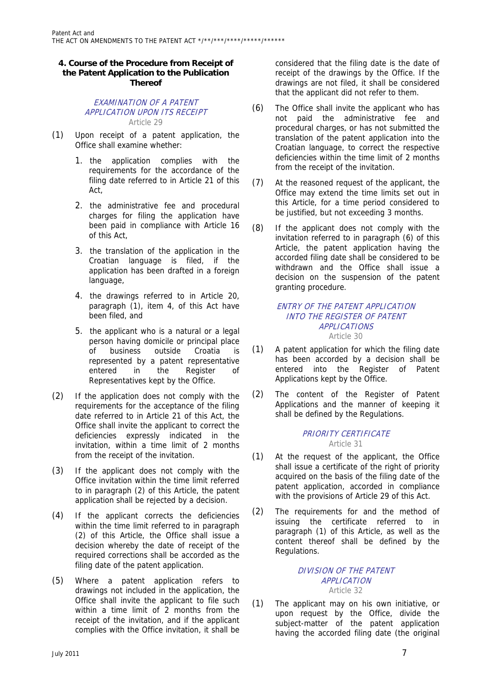# **4. Course of the Procedure from Receipt of the Patent Application to the Publication Thereof**

# EXAMINATION OF A PATENT APPLICATION UPON ITS RECEIPT Article 29

- (1) Upon receipt of a patent application, the Office shall examine whether:
	- 1. the application complies with the requirements for the accordance of the filing date referred to in Article 21 of this Act,
	- 2. the administrative fee and procedural charges for filing the application have been paid in compliance with Article 16 of this Act,
	- 3. the translation of the application in the Croatian language is filed, if the application has been drafted in a foreign language,
	- 4. the drawings referred to in Article 20, paragraph (1), item 4, of this Act have been filed, and
	- 5. the applicant who is a natural or a legal person having domicile or principal place of business outside Croatia is represented by a patent representative entered in the Register of Representatives kept by the Office.
- (2) If the application does not comply with the requirements for the acceptance of the filing date referred to in Article 21 of this Act, the Office shall invite the applicant to correct the deficiencies expressly indicated in the invitation, within a time limit of 2 months from the receipt of the invitation.
- (3) If the applicant does not comply with the Office invitation within the time limit referred to in paragraph (2) of this Article, the patent application shall be rejected by a decision.
- (4) If the applicant corrects the deficiencies within the time limit referred to in paragraph (2) of this Article, the Office shall issue a decision whereby the date of receipt of the required corrections shall be accorded as the filing date of the patent application.
- (5) Where a patent application refers to drawings not included in the application, the Office shall invite the applicant to file such within a time limit of 2 months from the receipt of the invitation, and if the applicant complies with the Office invitation, it shall be

considered that the filing date is the date of receipt of the drawings by the Office. If the drawings are not filed, it shall be considered that the applicant did not refer to them.

- (6) The Office shall invite the applicant who has not paid the administrative fee and procedural charges, or has not submitted the translation of the patent application into the Croatian language, to correct the respective deficiencies within the time limit of 2 months from the receipt of the invitation.
- (7) At the reasoned request of the applicant, the Office may extend the time limits set out in this Article, for a time period considered to be justified, but not exceeding 3 months.
- (8) If the applicant does not comply with the invitation referred to in paragraph (6) of this Article, the patent application having the accorded filing date shall be considered to be withdrawn and the Office shall issue a decision on the suspension of the patent granting procedure.

#### ENTRY OF THE PATENT APPLICATION INTO THE REGISTER OF PATENT APPLICATIONS Article 30

- (1) A patent application for which the filing date has been accorded by a decision shall be entered into the Register of Patent Applications kept by the Office.
- (2) The content of the Register of Patent Applications and the manner of keeping it shall be defined by the Regulations.

# PRIORITY CERTIFICATE Article 31

- (1) At the request of the applicant, the Office shall issue a certificate of the right of priority acquired on the basis of the filing date of the patent application, accorded in compliance with the provisions of Article 29 of this Act.
- (2) The requirements for and the method of issuing the certificate referred to in paragraph (1) of this Article, as well as the content thereof shall be defined by the Regulations.

# DIVISION OF THE PATENT APPLICATION Article 32

(1) The applicant may on his own initiative, or upon request by the Office, divide the subject-matter of the patent application having the accorded filing date (the original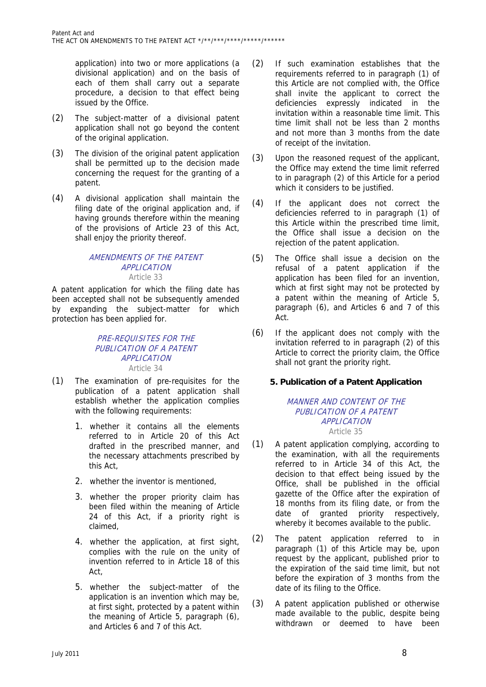application) into two or more applications (a divisional application) and on the basis of each of them shall carry out a separate procedure, a decision to that effect being issued by the Office.

- (2) The subject-matter of a divisional patent application shall not go beyond the content of the original application.
- (3) The division of the original patent application shall be permitted up to the decision made concerning the request for the granting of a patent.
- (4) A divisional application shall maintain the filing date of the original application and, if having grounds therefore within the meaning of the provisions of Article 23 of this Act, shall enjoy the priority thereof.

#### AMENDMENTS OF THE PATENT APPLICATION Article 33

A patent application for which the filing date has been accepted shall not be subsequently amended by expanding the subject-matter for which protection has been applied for.

# PRE-REQUISITES FOR THE PUBLICATION OF A PATENT APPLICATION Article 34

- (1) The examination of pre-requisites for the publication of a patent application shall establish whether the application complies with the following requirements:
	- 1. whether it contains all the elements referred to in Article 20 of this Act drafted in the prescribed manner, and the necessary attachments prescribed by this Act,
	- 2. whether the inventor is mentioned,
	- 3. whether the proper priority claim has been filed within the meaning of Article 24 of this Act, if a priority right is claimed,
	- 4. whether the application, at first sight, complies with the rule on the unity of invention referred to in Article 18 of this Act,
	- 5. whether the subject-matter of the application is an invention which may be, at first sight, protected by a patent within the meaning of Article 5, paragraph (6), and Articles 6 and 7 of this Act.
- (2) If such examination establishes that the requirements referred to in paragraph (1) of this Article are not complied with, the Office shall invite the applicant to correct the deficiencies expressly indicated in the invitation within a reasonable time limit. This time limit shall not be less than 2 months and not more than 3 months from the date of receipt of the invitation.
- (3) Upon the reasoned request of the applicant, the Office may extend the time limit referred to in paragraph (2) of this Article for a period which it considers to be justified.
- (4) If the applicant does not correct the deficiencies referred to in paragraph (1) of this Article within the prescribed time limit, the Office shall issue a decision on the rejection of the patent application.
- (5) The Office shall issue a decision on the refusal of a patent application if the application has been filed for an invention, which at first sight may not be protected by a patent within the meaning of Article 5, paragraph (6), and Articles 6 and 7 of this Act.
- (6) If the applicant does not comply with the invitation referred to in paragraph (2) of this Article to correct the priority claim, the Office shall not grant the priority right.

# **5. Publication of a Patent Application**

#### MANNER AND CONTENT OF THE PUBLICATION OF A PATENT APPLICATION Article 35

- (1) A patent application complying, according to the examination, with all the requirements referred to in Article 34 of this Act, the decision to that effect being issued by the Office, shall be published in the official gazette of the Office after the expiration of 18 months from its filing date, or from the date of granted priority respectively, whereby it becomes available to the public.
- (2) The patent application referred to in paragraph (1) of this Article may be, upon request by the applicant, published prior to the expiration of the said time limit, but not before the expiration of 3 months from the date of its filing to the Office.
- (3) A patent application published or otherwise made available to the public, despite being withdrawn or deemed to have been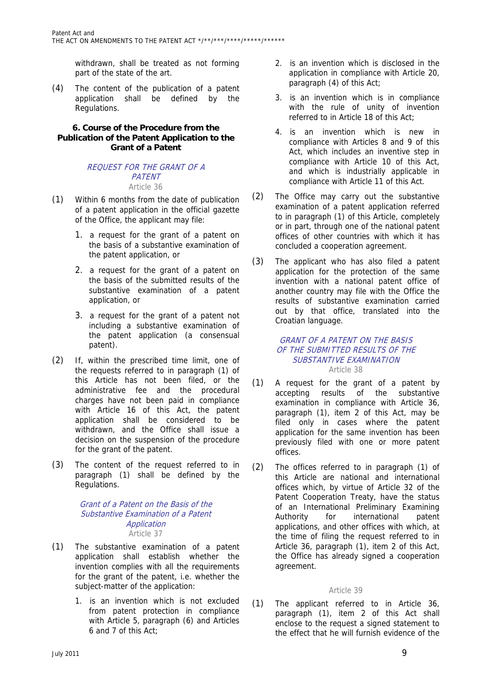withdrawn, shall be treated as not forming part of the state of the art.

(4) The content of the publication of a patent application shall be defined by the Regulations.

# **6. Course of the Procedure from the Publication of the Patent Application to the Grant of a Patent**

# REQUEST FOR THE GRANT OF A **PATENT** Article 36

- (1) Within 6 months from the date of publication of a patent application in the official gazette of the Office, the applicant may file:
	- 1. a request for the grant of a patent on the basis of a substantive examination of the patent application, or
	- 2. a request for the grant of a patent on the basis of the submitted results of the substantive examination of a patent application, or
	- 3. a request for the grant of a patent not including a substantive examination of the patent application (a consensual patent).
- (2) If, within the prescribed time limit, one of the requests referred to in paragraph (1) of this Article has not been filed, or the administrative fee and the procedural charges have not been paid in compliance with Article 16 of this Act, the patent application shall be considered to be withdrawn, and the Office shall issue a decision on the suspension of the procedure for the grant of the patent.
- (3) The content of the request referred to in paragraph (1) shall be defined by the Regulations.

# Grant of a Patent on the Basis of the Substantive Examination of a Patent Application Article 37

- (1) The substantive examination of a patent application shall establish whether the invention complies with all the requirements for the grant of the patent, i.e. whether the subject-matter of the application:
	- 1. is an invention which is not excluded from patent protection in compliance with Article 5, paragraph (6) and Articles 6 and 7 of this Act;
- 2. is an invention which is disclosed in the application in compliance with Article 20, paragraph (4) of this Act;
- 3. is an invention which is in compliance with the rule of unity of invention referred to in Article 18 of this Act;
- 4. is an invention which is new in compliance with Articles 8 and 9 of this Act, which includes an inventive step in compliance with Article 10 of this Act, and which is industrially applicable in compliance with Article 11 of this Act.
- (2) The Office may carry out the substantive examination of a patent application referred to in paragraph (1) of this Article, completely or in part, through one of the national patent offices of other countries with which it has concluded a cooperation agreement.
- (3) The applicant who has also filed a patent application for the protection of the same invention with a national patent office of another country may file with the Office the results of substantive examination carried out by that office, translated into the Croatian language.

#### GRANT OF A PATENT ON THE BASIS OF THE SUBMITTED RESULTS OF THE SUBSTANTIVE EXAMINATION Article 38

- (1) A request for the grant of a patent by accepting results of the substantive examination in compliance with Article 36, paragraph (1), item 2 of this Act, may be filed only in cases where the patent application for the same invention has been previously filed with one or more patent offices.
- (2) The offices referred to in paragraph (1) of this Article are national and international offices which, by virtue of Article 32 of the Patent Cooperation Treaty, have the status of an International Preliminary Examining Authority for international patent applications, and other offices with which, at the time of filing the request referred to in Article 36, paragraph (1), item 2 of this Act, the Office has already signed a cooperation agreement.

# Article 39

(1) The applicant referred to in Article 36, paragraph (1), item 2 of this Act shall enclose to the request a signed statement to the effect that he will furnish evidence of the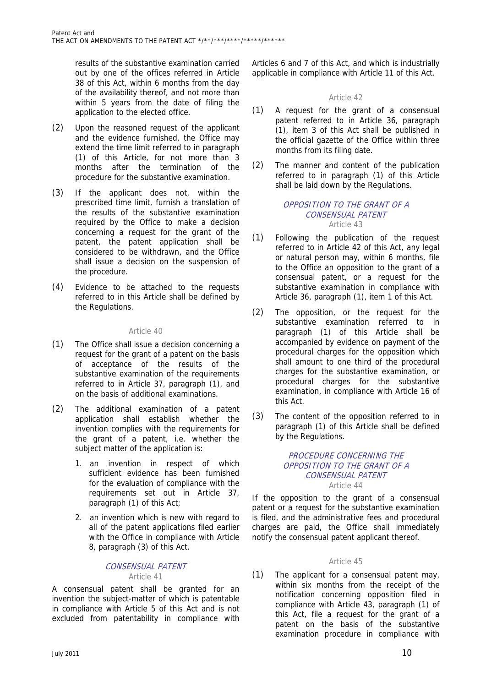results of the substantive examination carried out by one of the offices referred in Article 38 of this Act, within 6 months from the day of the availability thereof, and not more than within 5 years from the date of filing the application to the elected office.

- (2) Upon the reasoned request of the applicant and the evidence furnished, the Office may extend the time limit referred to in paragraph (1) of this Article, for not more than 3 months after the termination of the procedure for the substantive examination.
- (3) If the applicant does not, within the prescribed time limit, furnish a translation of the results of the substantive examination required by the Office to make a decision concerning a request for the grant of the patent, the patent application shall be considered to be withdrawn, and the Office shall issue a decision on the suspension of the procedure.
- (4) Evidence to be attached to the requests referred to in this Article shall be defined by the Regulations.

# Article 40

- (1) The Office shall issue a decision concerning a request for the grant of a patent on the basis of acceptance of the results of the substantive examination of the requirements referred to in Article 37, paragraph (1), and on the basis of additional examinations.
- (2) The additional examination of a patent application shall establish whether the invention complies with the requirements for the grant of a patent, i.e. whether the subject matter of the application is:
	- 1. an invention in respect of which sufficient evidence has been furnished for the evaluation of compliance with the requirements set out in Article 37, paragraph (1) of this Act;
	- 2. an invention which is new with regard to all of the patent applications filed earlier with the Office in compliance with Article 8, paragraph (3) of this Act.

#### CONSENSUAL PATENT Article 41

A consensual patent shall be granted for an invention the subject-matter of which is patentable in compliance with Article 5 of this Act and is not excluded from patentability in compliance with

Articles 6 and 7 of this Act, and which is industrially applicable in compliance with Article 11 of this Act.

# Article 42

- (1) A request for the grant of a consensual patent referred to in Article 36, paragraph (1), item 3 of this Act shall be published in the official gazette of the Office within three months from its filing date.
- (2) The manner and content of the publication referred to in paragraph (1) of this Article shall be laid down by the Regulations.

#### OPPOSITION TO THE GRANT OF A CONSENSUAL PATENT Article 43

- (1) Following the publication of the request referred to in Article 42 of this Act, any legal or natural person may, within 6 months, file to the Office an opposition to the grant of a consensual patent, or a request for the substantive examination in compliance with Article 36, paragraph (1), item 1 of this Act.
- (2) The opposition, or the request for the substantive examination referred to in paragraph (1) of this Article shall be accompanied by evidence on payment of the procedural charges for the opposition which shall amount to one third of the procedural charges for the substantive examination, or procedural charges for the substantive examination, in compliance with Article 16 of this Act.
- (3) The content of the opposition referred to in paragraph (1) of this Article shall be defined by the Regulations.

# PROCEDURE CONCERNING THE OPPOSITION TO THE GRANT OF A CONSENSUAL PATENT Article 44

If the opposition to the grant of a consensual patent or a request for the substantive examination is filed, and the administrative fees and procedural charges are paid, the Office shall immediately notify the consensual patent applicant thereof.

# Article 45

(1) The applicant for a consensual patent may, within six months from the receipt of the notification concerning opposition filed in compliance with Article 43, paragraph (1) of this Act, file a request for the grant of a patent on the basis of the substantive examination procedure in compliance with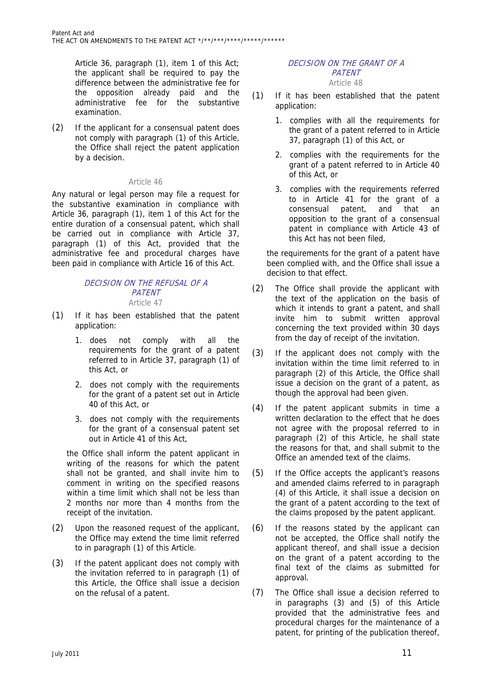Article 36, paragraph (1), item 1 of this Act; the applicant shall be required to pay the difference between the administrative fee for the opposition already paid and the administrative fee for the substantive examination.

(2) If the applicant for a consensual patent does not comply with paragraph (1) of this Article, the Office shall reject the patent application by a decision.

# Article 46

Any natural or legal person may file a request for the substantive examination in compliance with Article 36, paragraph (1), item 1 of this Act for the entire duration of a consensual patent, which shall be carried out in compliance with Article 37, paragraph (1) of this Act, provided that the administrative fee and procedural charges have been paid in compliance with Article 16 of this Act.

#### DECISION ON THE REFUSAL OF A PATENT Article 47

- (1) If it has been established that the patent application:
	- 1. does not comply with all the requirements for the grant of a patent referred to in Article 37, paragraph (1) of this Act, or
	- 2. does not comply with the requirements for the grant of a patent set out in Article 40 of this Act, or
	- 3. does not comply with the requirements for the grant of a consensual patent set out in Article 41 of this Act,

the Office shall inform the patent applicant in writing of the reasons for which the patent shall not be granted, and shall invite him to comment in writing on the specified reasons within a time limit which shall not be less than 2 months nor more than 4 months from the receipt of the invitation.

- (2) Upon the reasoned request of the applicant, the Office may extend the time limit referred to in paragraph (1) of this Article.
- (3) If the patent applicant does not comply with the invitation referred to in paragraph (1) of this Article, the Office shall issue a decision on the refusal of a patent.

#### DECISION ON THE GRANT OF A **PATENT** Article 48

- (1) If it has been established that the patent application:
	- 1. complies with all the requirements for the grant of a patent referred to in Article 37, paragraph (1) of this Act, or
	- 2. complies with the requirements for the grant of a patent referred to in Article 40 of this Act, or
	- 3. complies with the requirements referred to in Article 41 for the grant of a consensual patent, and that an opposition to the grant of a consensual patent in compliance with Article 43 of this Act has not been filed,

the requirements for the grant of a patent have been complied with, and the Office shall issue a decision to that effect.

- (2) The Office shall provide the applicant with the text of the application on the basis of which it intends to grant a patent, and shall invite him to submit written approval concerning the text provided within 30 days from the day of receipt of the invitation.
- (3) If the applicant does not comply with the invitation within the time limit referred to in paragraph (2) of this Article, the Office shall issue a decision on the grant of a patent, as though the approval had been given.
- (4) If the patent applicant submits in time a written declaration to the effect that he does not agree with the proposal referred to in paragraph (2) of this Article, he shall state the reasons for that, and shall submit to the Office an amended text of the claims.
- (5) If the Office accepts the applicant's reasons and amended claims referred to in paragraph (4) of this Article, it shall issue a decision on the grant of a patent according to the text of the claims proposed by the patent applicant.
- (6) If the reasons stated by the applicant can not be accepted, the Office shall notify the applicant thereof, and shall issue a decision on the grant of a patent according to the final text of the claims as submitted for approval.
- (7) The Office shall issue a decision referred to in paragraphs (3) and (5) of this Article provided that the administrative fees and procedural charges for the maintenance of a patent, for printing of the publication thereof,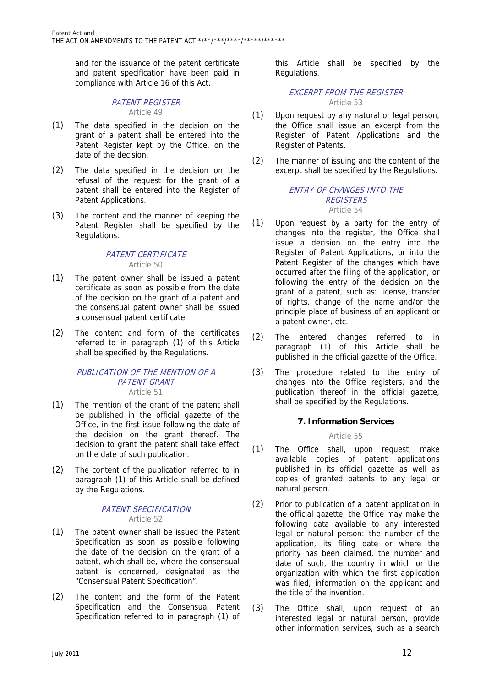and for the issuance of the patent certificate and patent specification have been paid in compliance with Article 16 of this Act.

#### PATENT REGISTER Article 49

- (1) The data specified in the decision on the grant of a patent shall be entered into the Patent Register kept by the Office, on the date of the decision.
- (2) The data specified in the decision on the refusal of the request for the grant of a patent shall be entered into the Register of Patent Applications.
- (3) The content and the manner of keeping the Patent Register shall be specified by the Regulations.

# PATENT CERTIFICATE

# Article 50

- (1) The patent owner shall be issued a patent certificate as soon as possible from the date of the decision on the grant of a patent and the consensual patent owner shall be issued a consensual patent certificate.
- (2) The content and form of the certificates referred to in paragraph (1) of this Article shall be specified by the Regulations.

#### PUBLICATION OF THE MENTION OF A PATENT GRANT Article 51

- (1) The mention of the grant of the patent shall be published in the official gazette of the Office, in the first issue following the date of the decision on the grant thereof. The decision to grant the patent shall take effect on the date of such publication.
- (2) The content of the publication referred to in paragraph (1) of this Article shall be defined by the Regulations.

# PATENT SPECIFICATION Article 52

- (1) The patent owner shall be issued the Patent Specification as soon as possible following the date of the decision on the grant of a patent, which shall be, where the consensual patent is concerned, designated as the "Consensual Patent Specification".
- (2) The content and the form of the Patent Specification and the Consensual Patent Specification referred to in paragraph (1) of

this Article shall be specified by the Regulations.

# EXCERPT FROM THE REGISTER Article 53

- (1) Upon request by any natural or legal person, the Office shall issue an excerpt from the Register of Patent Applications and the Register of Patents.
- (2) The manner of issuing and the content of the excerpt shall be specified by the Regulations.

# ENTRY OF CHANGES INTO THE **REGISTERS** Article 54

- (1) Upon request by a party for the entry of changes into the register, the Office shall issue a decision on the entry into the Register of Patent Applications, or into the Patent Register of the changes which have occurred after the filing of the application, or following the entry of the decision on the grant of a patent, such as: license, transfer of rights, change of the name and/or the principle place of business of an applicant or a patent owner, etc.
- (2) The entered changes referred to in paragraph (1) of this Article shall be published in the official gazette of the Office.
- (3) The procedure related to the entry of changes into the Office registers, and the publication thereof in the official gazette, shall be specified by the Regulations.

# **7. Information Services**

# Article 55

- (1) The Office shall, upon request, make available copies of patent applications published in its official gazette as well as copies of granted patents to any legal or natural person.
- (2) Prior to publication of a patent application in the official gazette, the Office may make the following data available to any interested legal or natural person: the number of the application, its filing date or where the priority has been claimed, the number and date of such, the country in which or the organization with which the first application was filed, information on the applicant and the title of the invention.
- (3) The Office shall, upon request of an interested legal or natural person, provide other information services, such as a search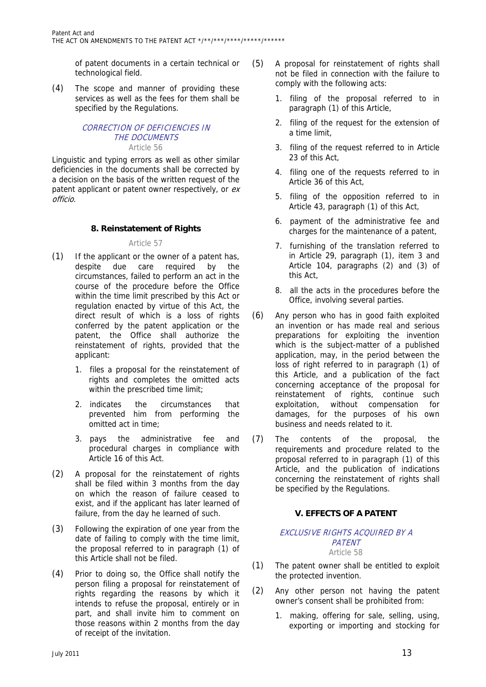of patent documents in a certain technical or technological field.

(4) The scope and manner of providing these services as well as the fees for them shall be specified by the Regulations.

# CORRECTION OF DEFICIENCIES IN THE DOCUMENTS Article 56

Linguistic and typing errors as well as other similar deficiencies in the documents shall be corrected by a decision on the basis of the written request of the patent applicant or patent owner respectively, or exofficio.

# **8. Reinstatement of Rights**

# Article 57

- (1) If the applicant or the owner of a patent has, despite due care required by the circumstances, failed to perform an act in the course of the procedure before the Office within the time limit prescribed by this Act or regulation enacted by virtue of this Act, the direct result of which is a loss of rights conferred by the patent application or the patent, the Office shall authorize the reinstatement of rights, provided that the applicant:
	- 1. files a proposal for the reinstatement of rights and completes the omitted acts within the prescribed time limit;
	- 2. indicates the circumstances that prevented him from performing the omitted act in time;
	- 3. pays the administrative fee and procedural charges in compliance with Article 16 of this Act.
- (2) A proposal for the reinstatement of rights shall be filed within 3 months from the day on which the reason of failure ceased to exist, and if the applicant has later learned of failure, from the day he learned of such.
- (3) Following the expiration of one year from the date of failing to comply with the time limit, the proposal referred to in paragraph (1) of this Article shall not be filed.
- (4) Prior to doing so, the Office shall notify the person filing a proposal for reinstatement of rights regarding the reasons by which it intends to refuse the proposal, entirely or in part, and shall invite him to comment on those reasons within 2 months from the day of receipt of the invitation.
- (5) A proposal for reinstatement of rights shall not be filed in connection with the failure to comply with the following acts:
	- 1. filing of the proposal referred to in paragraph (1) of this Article,
	- 2. filing of the request for the extension of a time limit,
	- 3. filing of the request referred to in Article 23 of this Act,
	- 4. filing one of the requests referred to in Article 36 of this Act,
	- 5. filing of the opposition referred to in Article 43, paragraph (1) of this Act,
	- 6. payment of the administrative fee and charges for the maintenance of a patent,
	- 7. furnishing of the translation referred to in Article 29, paragraph (1), item 3 and Article 104, paragraphs (2) and (3) of this Act,
	- 8. all the acts in the procedures before the Office, involving several parties.
- (6) Any person who has in good faith exploited an invention or has made real and serious preparations for exploiting the invention which is the subject-matter of a published application, may, in the period between the loss of right referred to in paragraph (1) of this Article, and a publication of the fact concerning acceptance of the proposal for reinstatement of rights, continue such exploitation, without compensation for damages, for the purposes of his own business and needs related to it.
- (7) The contents of the proposal, the requirements and procedure related to the proposal referred to in paragraph (1) of this Article, and the publication of indications concerning the reinstatement of rights shall be specified by the Regulations.

# **V. EFFECTS OF A PATENT**

#### EXCLUSIVE RIGHTS ACQUIRED BY A **PATENT** Article 58

- (1) The patent owner shall be entitled to exploit the protected invention.
- (2) Any other person not having the patent owner's consent shall be prohibited from:
	- 1. making, offering for sale, selling, using, exporting or importing and stocking for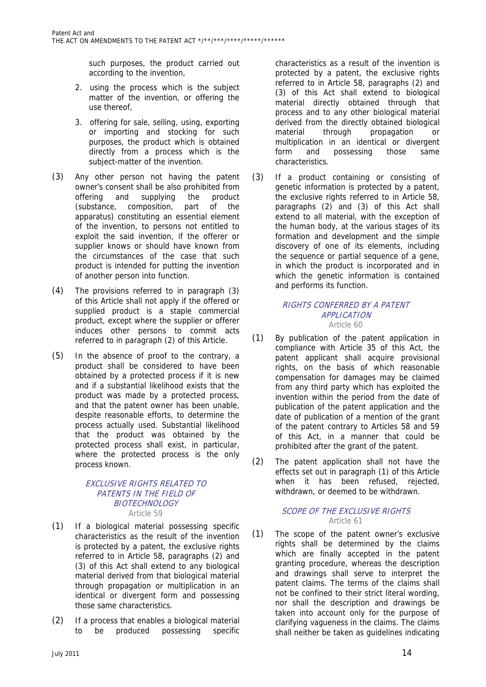such purposes, the product carried out according to the invention,

- 2. using the process which is the subject matter of the invention, or offering the use thereof,
- 3. offering for sale, selling, using, exporting or importing and stocking for such purposes, the product which is obtained directly from a process which is the subject-matter of the invention.
- (3) Any other person not having the patent owner's consent shall be also prohibited from offering and supplying the product (substance, composition, part of the apparatus) constituting an essential element of the invention, to persons not entitled to exploit the said invention, if the offerer or supplier knows or should have known from the circumstances of the case that such product is intended for putting the invention of another person into function.
- (4) The provisions referred to in paragraph (3) of this Article shall not apply if the offered or supplied product is a staple commercial product, except where the supplier or offerer induces other persons to commit acts referred to in paragraph (2) of this Article.
- (5) In the absence of proof to the contrary, a product shall be considered to have been obtained by a protected process if it is new and if a substantial likelihood exists that the product was made by a protected process, and that the patent owner has been unable, despite reasonable efforts, to determine the process actually used. Substantial likelihood that the product was obtained by the protected process shall exist, in particular, where the protected process is the only process known.

#### EXCLUSIVE RIGHTS RELATED TO PATENTS IN THE FIELD OF **BIOTECHNOLOGY** Article 59

- (1) If a biological material possessing specific characteristics as the result of the invention is protected by a patent, the exclusive rights referred to in Article 58, paragraphs (2) and (3) of this Act shall extend to any biological material derived from that biological material through propagation or multiplication in an identical or divergent form and possessing those same characteristics.
- (2) If a process that enables a biological material to be produced possessing specific

characteristics as a result of the invention is protected by a patent, the exclusive rights referred to in Article 58, paragraphs (2) and (3) of this Act shall extend to biological material directly obtained through that process and to any other biological material derived from the directly obtained biological material through propagation or multiplication in an identical or divergent form and possessing those same characteristics.

(3) If a product containing or consisting of genetic information is protected by a patent, the exclusive rights referred to in Article 58, paragraphs (2) and (3) of this Act shall extend to all material, with the exception of the human body, at the various stages of its formation and development and the simple discovery of one of its elements, including the sequence or partial sequence of a gene, in which the product is incorporated and in which the genetic information is contained and performs its function.

# RIGHTS CONFERRED BY A PATENT APPLICATION Article 60

- (1) By publication of the patent application in compliance with Article 35 of this Act, the patent applicant shall acquire provisional rights, on the basis of which reasonable compensation for damages may be claimed from any third party which has exploited the invention within the period from the date of publication of the patent application and the date of publication of a mention of the grant of the patent contrary to Articles 58 and 59 of this Act, in a manner that could be prohibited after the grant of the patent.
- (2) The patent application shall not have the effects set out in paragraph (1) of this Article when it has been refused, rejected, withdrawn, or deemed to be withdrawn.

# SCOPE OF THE EXCLUSIVE RIGHTS Article 61

(1) The scope of the patent owner's exclusive rights shall be determined by the claims which are finally accepted in the patent granting procedure, whereas the description and drawings shall serve to interpret the patent claims. The terms of the claims shall not be confined to their strict literal wording, nor shall the description and drawings be taken into account only for the purpose of clarifying vagueness in the claims. The claims shall neither be taken as guidelines indicating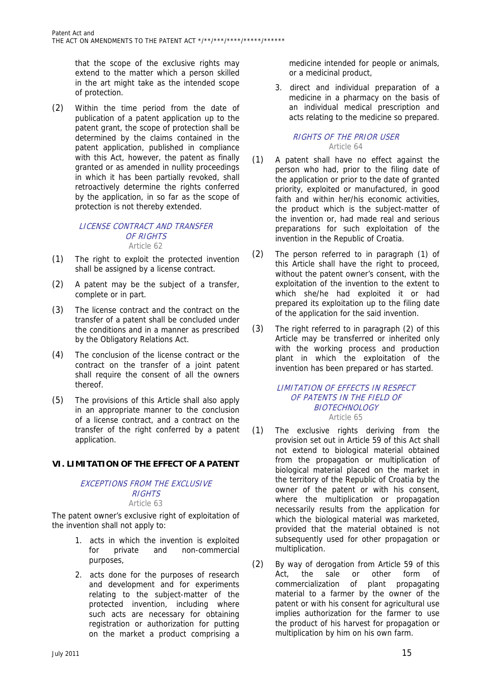that the scope of the exclusive rights may extend to the matter which a person skilled in the art might take as the intended scope of protection.

(2) Within the time period from the date of publication of a patent application up to the patent grant, the scope of protection shall be determined by the claims contained in the patent application, published in compliance with this Act, however, the patent as finally granted or as amended in nullity proceedings in which it has been partially revoked, shall retroactively determine the rights conferred by the application, in so far as the scope of protection is not thereby extended.

#### LICENSE CONTRACT AND TRANSFER OF RIGHTS Article 62

- (1) The right to exploit the protected invention shall be assigned by a license contract.
- (2) A patent may be the subject of a transfer, complete or in part.
- (3) The license contract and the contract on the transfer of a patent shall be concluded under the conditions and in a manner as prescribed by the Obligatory Relations Act.
- (4) The conclusion of the license contract or the contract on the transfer of a joint patent shall require the consent of all the owners thereof.
- (5) The provisions of this Article shall also apply in an appropriate manner to the conclusion of a license contract, and a contract on the transfer of the right conferred by a patent application.

# **VI. LIMITATION OF THE EFFECT OF A PATENT**

#### EXCEPTIONS FROM THE EXCLUSIVE RIGHTS Article 63

The patent owner's exclusive right of exploitation of the invention shall not apply to:

- 1. acts in which the invention is exploited for private and non-commercial purposes,
- 2. acts done for the purposes of research and development and for experiments relating to the subject-matter of the protected invention, including where such acts are necessary for obtaining registration or authorization for putting on the market a product comprising a

medicine intended for people or animals, or a medicinal product,

3. direct and individual preparation of a medicine in a pharmacy on the basis of an individual medical prescription and acts relating to the medicine so prepared.

# RIGHTS OF THE PRIOR USER Article 64

- (1) A patent shall have no effect against the person who had, prior to the filing date of the application or prior to the date of granted priority, exploited or manufactured, in good faith and within her/his economic activities, the product which is the subject-matter of the invention or, had made real and serious preparations for such exploitation of the invention in the Republic of Croatia.
- (2) The person referred to in paragraph (1) of this Article shall have the right to proceed, without the patent owner's consent, with the exploitation of the invention to the extent to which she/he had exploited it or had prepared its exploitation up to the filing date of the application for the said invention.
- (3) The right referred to in paragraph (2) of this Article may be transferred or inherited only with the working process and production plant in which the exploitation of the invention has been prepared or has started.

#### LIMITATION OF EFFECTS IN RESPECT OF PATENTS IN THE FIELD OF BIOTECHNOLOGY Article 65

- (1) The exclusive rights deriving from the provision set out in Article 59 of this Act shall not extend to biological material obtained from the propagation or multiplication of biological material placed on the market in the territory of the Republic of Croatia by the owner of the patent or with his consent, where the multiplication or propagation necessarily results from the application for which the biological material was marketed, provided that the material obtained is not subsequently used for other propagation or multiplication.
- (2) By way of derogation from Article 59 of this Act, the sale or other form of commercialization of plant propagating material to a farmer by the owner of the patent or with his consent for agricultural use implies authorization for the farmer to use the product of his harvest for propagation or multiplication by him on his own farm.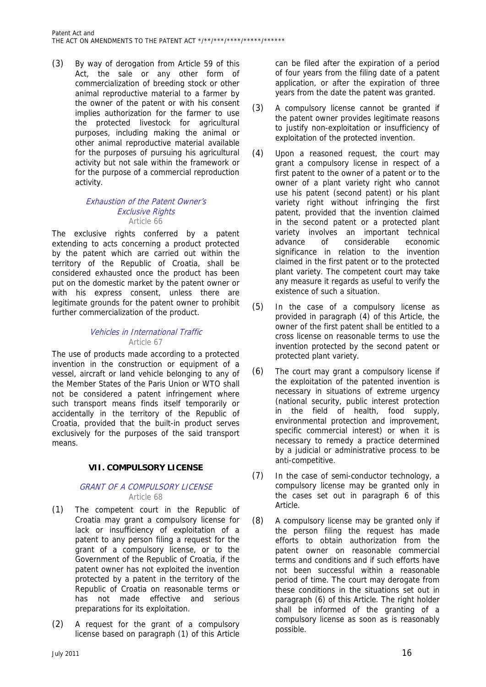(3) By way of derogation from Article 59 of this Act, the sale or any other form of commercialization of breeding stock or other animal reproductive material to a farmer by the owner of the patent or with his consent implies authorization for the farmer to use the protected livestock for agricultural purposes, including making the animal or other animal reproductive material available for the purposes of pursuing his agricultural activity but not sale within the framework or for the purpose of a commercial reproduction activity.

#### Exhaustion of the Patent Owner's Exclusive Rights Article 66

The exclusive rights conferred by a patent extending to acts concerning a product protected by the patent which are carried out within the territory of the Republic of Croatia, shall be considered exhausted once the product has been put on the domestic market by the patent owner or with his express consent, unless there are legitimate grounds for the patent owner to prohibit further commercialization of the product.

# Vehicles in International Traffic Article 67

The use of products made according to a protected invention in the construction or equipment of a vessel, aircraft or land vehicle belonging to any of the Member States of the Paris Union or WTO shall not be considered a patent infringement where such transport means finds itself temporarily or accidentally in the territory of the Republic of Croatia, provided that the built-in product serves exclusively for the purposes of the said transport means.

# **VII. COMPULSORY LICENSE**

# GRANT OF A COMPULSORY LICENSE Article 68

- (1) The competent court in the Republic of Croatia may grant a compulsory license for lack or insufficiency of exploitation of a patent to any person filing a request for the grant of a compulsory license, or to the Government of the Republic of Croatia, if the patent owner has not exploited the invention protected by a patent in the territory of the Republic of Croatia on reasonable terms or has not made effective and serious preparations for its exploitation.
- (2) A request for the grant of a compulsory license based on paragraph (1) of this Article

can be filed after the expiration of a period of four years from the filing date of a patent application, or after the expiration of three years from the date the patent was granted.

- (3) A compulsory license cannot be granted if the patent owner provides legitimate reasons to justify non-exploitation or insufficiency of exploitation of the protected invention.
- (4) Upon a reasoned request, the court may grant a compulsory license in respect of a first patent to the owner of a patent or to the owner of a plant variety right who cannot use his patent (second patent) or his plant variety right without infringing the first patent, provided that the invention claimed in the second patent or a protected plant variety involves an important technical advance of considerable economic significance in relation to the invention claimed in the first patent or to the protected plant variety. The competent court may take any measure it regards as useful to verify the existence of such a situation.
- (5) In the case of a compulsory license as provided in paragraph (4) of this Article, the owner of the first patent shall be entitled to a cross license on reasonable terms to use the invention protected by the second patent or protected plant variety.
- (6) The court may grant a compulsory license if the exploitation of the patented invention is necessary in situations of extreme urgency (national security, public interest protection in the field of health, food supply, environmental protection and improvement, specific commercial interest) or when it is necessary to remedy a practice determined by a judicial or administrative process to be anti-competitive.
- (7) In the case of semi-conductor technology, a compulsory license may be granted only in the cases set out in paragraph 6 of this Article.
- (8) A compulsory license may be granted only if the person filing the request has made efforts to obtain authorization from the patent owner on reasonable commercial terms and conditions and if such efforts have not been successful within a reasonable period of time. The court may derogate from these conditions in the situations set out in paragraph (6) of this Article. The right holder shall be informed of the granting of a compulsory license as soon as is reasonably possible.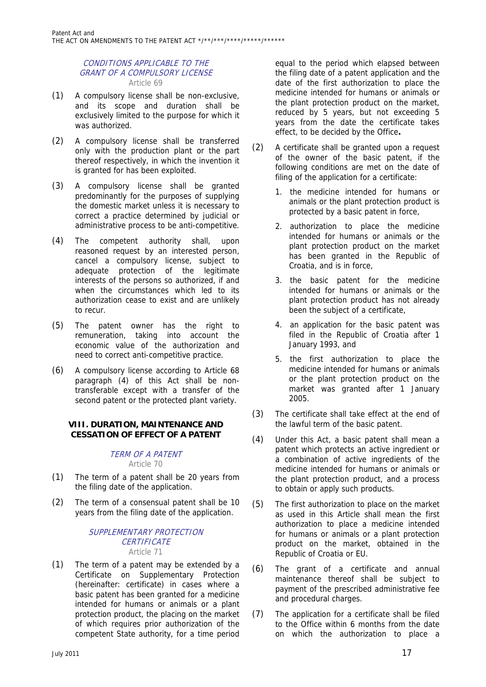#### CONDITIONS APPLICABLE TO THE GRANT OF A COMPULSORY LICENSE Article 69

- (1) A compulsory license shall be non-exclusive, and its scope and duration shall be exclusively limited to the purpose for which it was authorized.
- (2) A compulsory license shall be transferred only with the production plant or the part thereof respectively, in which the invention it is granted for has been exploited.
- (3) A compulsory license shall be granted predominantly for the purposes of supplying the domestic market unless it is necessary to correct a practice determined by judicial or administrative process to be anti-competitive.
- (4) The competent authority shall, upon reasoned request by an interested person, cancel a compulsory license, subject to adequate protection of the legitimate interests of the persons so authorized, if and when the circumstances which led to its authorization cease to exist and are unlikely to recur.
- (5) The patent owner has the right to remuneration, taking into account the economic value of the authorization and need to correct anti-competitive practice.
- (6) A compulsory license according to Article 68 paragraph (4) of this Act shall be nontransferable except with a transfer of the second patent or the protected plant variety.

# **VIII. DURATION, MAINTENANCE AND CESSATION OF EFFECT OF A PATENT**

# TERM OF A PATENT

Article 70

- (1) The term of a patent shall be 20 years from the filing date of the application.
- (2) The term of a consensual patent shall be 10 years from the filing date of the application.

#### SUPPLEMENTARY PROTECTION **CERTIFICATE** Article 71

(1) The term of a patent may be extended by a Certificate on Supplementary Protection (hereinafter: certificate) in cases where a basic patent has been granted for a medicine intended for humans or animals or a plant protection product, the placing on the market of which requires prior authorization of the competent State authority, for a time period

equal to the period which elapsed between the filing date of a patent application and the date of the first authorization to place the medicine intended for humans or animals or the plant protection product on the market, reduced by 5 years, but not exceeding 5 years from the date the certificate takes effect, to be decided by the Office**.**

- (2) A certificate shall be granted upon a request of the owner of the basic patent, if the following conditions are met on the date of filing of the application for a certificate:
	- 1. the medicine intended for humans or animals or the plant protection product is protected by a basic patent in force,
	- 2. authorization to place the medicine intended for humans or animals or the plant protection product on the market has been granted in the Republic of Croatia, and is in force,
	- 3. the basic patent for the medicine intended for humans or animals or the plant protection product has not already been the subject of a certificate,
	- 4. an application for the basic patent was filed in the Republic of Croatia after 1 January 1993, and
	- 5. the first authorization to place the medicine intended for humans or animals or the plant protection product on the market was granted after 1 January 2005.
- (3) The certificate shall take effect at the end of the lawful term of the basic patent.
- (4) Under this Act, a basic patent shall mean a patent which protects an active ingredient or a combination of active ingredients of the medicine intended for humans or animals or the plant protection product, and a process to obtain or apply such products.
- (5) The first authorization to place on the market as used in this Article shall mean the first authorization to place a medicine intended for humans or animals or a plant protection product on the market, obtained in the Republic of Croatia or EU.
- (6) The grant of a certificate and annual maintenance thereof shall be subject to payment of the prescribed administrative fee and procedural charges.
- (7) The application for a certificate shall be filed to the Office within 6 months from the date on which the authorization to place a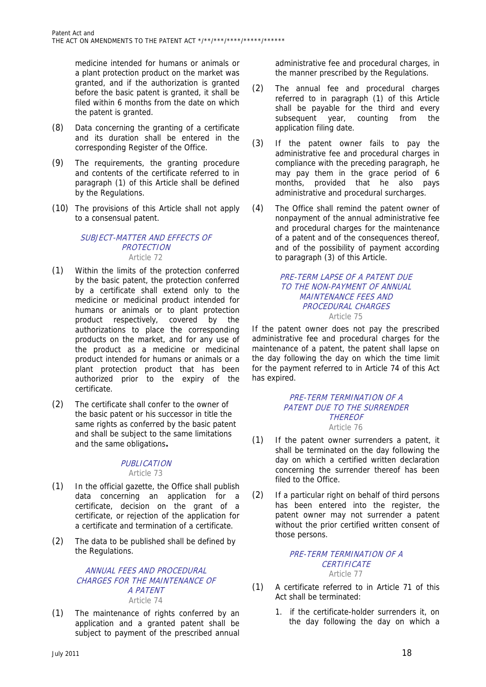medicine intended for humans or animals or a plant protection product on the market was granted, and if the authorization is granted before the basic patent is granted, it shall be filed within 6 months from the date on which the patent is granted.

- (8) Data concerning the granting of a certificate and its duration shall be entered in the corresponding Register of the Office.
- (9) The requirements, the granting procedure and contents of the certificate referred to in paragraph (1) of this Article shall be defined by the Regulations.
- (10) The provisions of this Article shall not apply to a consensual patent.

# SUBJECT-MATTER AND EFFECTS OF **PROTECTION** Article 72

- (1) Within the limits of the protection conferred by the basic patent, the protection conferred by a certificate shall extend only to the medicine or medicinal product intended for humans or animals or to plant protection product respectively, covered by the authorizations to place the corresponding products on the market, and for any use of the product as a medicine or medicinal product intended for humans or animals or a plant protection product that has been authorized prior to the expiry of the certificate.
- (2) The certificate shall confer to the owner of the basic patent or his successor in title the same rights as conferred by the basic patent and shall be subject to the same limitations and the same obligations**.**

# PUBLICATION Article 73

- (1) In the official gazette, the Office shall publish data concerning an application for a certificate, decision on the grant of a certificate, or rejection of the application for a certificate and termination of a certificate.
- (2) The data to be published shall be defined by the Regulations.

# ANNUAL FEES AND PROCEDURAL CHARGES FOR THE MAINTENANCE OF A PATENT Article 74

(1) The maintenance of rights conferred by an application and a granted patent shall be subject to payment of the prescribed annual

administrative fee and procedural charges, in the manner prescribed by the Regulations.

- (2) The annual fee and procedural charges referred to in paragraph (1) of this Article shall be payable for the third and every subsequent year, counting from the application filing date.
- (3) If the patent owner fails to pay the administrative fee and procedural charges in compliance with the preceding paragraph, he may pay them in the grace period of 6 months, provided that he also pays administrative and procedural surcharges.
- (4) The Office shall remind the patent owner of nonpayment of the annual administrative fee and procedural charges for the maintenance of a patent and of the consequences thereof, and of the possibility of payment according to paragraph (3) of this Article.

#### PRE-TERM LAPSE OF A PATENT DUE TO THE NON-PAYMENT OF ANNUAL MAINTENANCE FEES AND PROCEDURAL CHARGES Article 75

If the patent owner does not pay the prescribed administrative fee and procedural charges for the maintenance of a patent, the patent shall lapse on the day following the day on which the time limit for the payment referred to in Article 74 of this Act has expired.

#### PRE-TERM TERMINATION OF A PATENT DUE TO THE SURRENDER **THEREOF** Article 76

- (1) If the patent owner surrenders a patent, it shall be terminated on the day following the day on which a certified written declaration concerning the surrender thereof has been filed to the Office.
- (2) If a particular right on behalf of third persons has been entered into the register, the patent owner may not surrender a patent without the prior certified written consent of those persons.

#### PRE-TERM TERMINATION OF A **CERTIFICATE** Article 77

- (1) A certificate referred to in Article 71 of this Act shall be terminated:
	- 1. if the certificate-holder surrenders it, on the day following the day on which a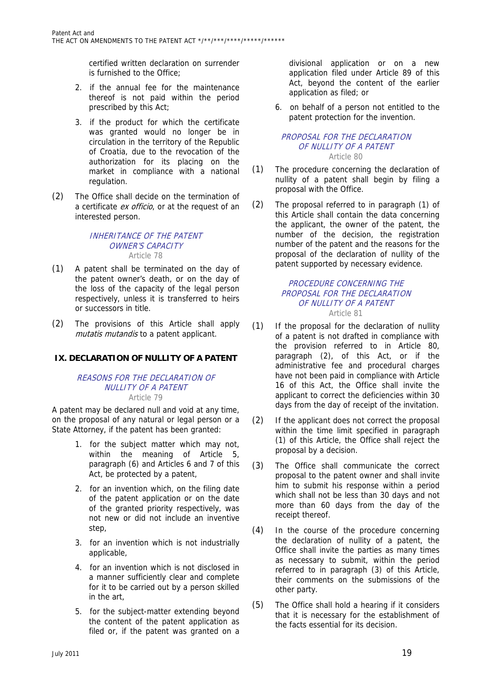certified written declaration on surrender is furnished to the Office;

- 2. if the annual fee for the maintenance thereof is not paid within the period prescribed by this Act;
- 3. if the product for which the certificate was granted would no longer be in circulation in the territory of the Republic of Croatia, due to the revocation of the authorization for its placing on the market in compliance with a national regulation.
- (2) The Office shall decide on the termination of a certificate ex officio, or at the request of an interested person.

# INHERITANCE OF THE PATENT OWNER'S CAPACITY Article 78

- (1) A patent shall be terminated on the day of the patent owner's death, or on the day of the loss of the capacity of the legal person respectively, unless it is transferred to heirs or successors in title.
- (2) The provisions of this Article shall apply mutatis mutandis to a patent applicant.

# **IX. DECLARATION OF NULLITY OF A PATENT**

#### REASONS FOR THE DECLARATION OF NULLITY OF A PATENT Article 79

A patent may be declared null and void at any time, on the proposal of any natural or legal person or a State Attorney, if the patent has been granted:

- 1. for the subject matter which may not, within the meaning of Article 5, paragraph (6) and Articles 6 and 7 of this Act, be protected by a patent,
- 2. for an invention which, on the filing date of the patent application or on the date of the granted priority respectively, was not new or did not include an inventive step,
- 3. for an invention which is not industrially applicable,
- 4. for an invention which is not disclosed in a manner sufficiently clear and complete for it to be carried out by a person skilled in the art,
- 5. for the subject-matter extending beyond the content of the patent application as filed or, if the patent was granted on a

divisional application or on a new application filed under Article 89 of this Act, beyond the content of the earlier application as filed; or

6. on behalf of a person not entitled to the patent protection for the invention.

#### PROPOSAL FOR THE DECLARATION OF NULLITY OF A PATENT Article 80

- (1) The procedure concerning the declaration of nullity of a patent shall begin by filing a proposal with the Office.
- (2) The proposal referred to in paragraph (1) of this Article shall contain the data concerning the applicant, the owner of the patent, the number of the decision, the registration number of the patent and the reasons for the proposal of the declaration of nullity of the patent supported by necessary evidence.

# PROCEDURE CONCERNING THE PROPOSAL FOR THE DECLARATION OF NULLITY OF A PATENT Article 81

- (1) If the proposal for the declaration of nullity of a patent is not drafted in compliance with the provision referred to in Article 80, paragraph (2), of this Act, or if the administrative fee and procedural charges have not been paid in compliance with Article 16 of this Act, the Office shall invite the applicant to correct the deficiencies within 30 days from the day of receipt of the invitation.
- (2) If the applicant does not correct the proposal within the time limit specified in paragraph (1) of this Article, the Office shall reject the proposal by a decision.
- (3) The Office shall communicate the correct proposal to the patent owner and shall invite him to submit his response within a period which shall not be less than 30 days and not more than 60 days from the day of the receipt thereof.
- (4) In the course of the procedure concerning the declaration of nullity of a patent, the Office shall invite the parties as many times as necessary to submit, within the period referred to in paragraph (3) of this Article, their comments on the submissions of the other party.
- (5) The Office shall hold a hearing if it considers that it is necessary for the establishment of the facts essential for its decision.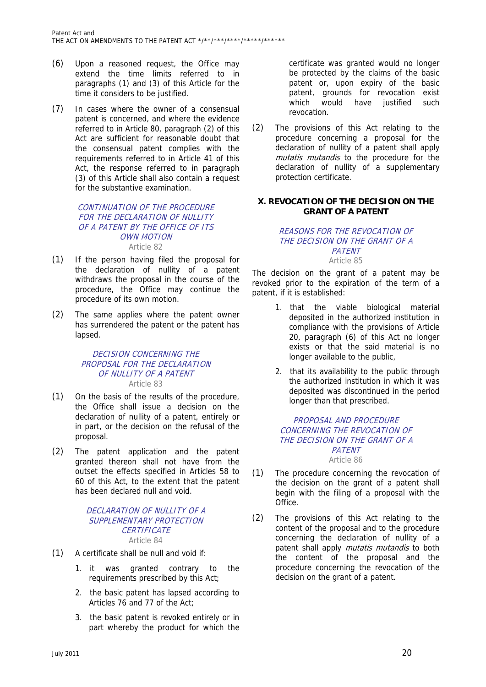- (6) Upon a reasoned request, the Office may extend the time limits referred to in paragraphs (1) and (3) of this Article for the time it considers to be justified.
- (7) In cases where the owner of a consensual patent is concerned, and where the evidence referred to in Article 80, paragraph (2) of this Act are sufficient for reasonable doubt that the consensual patent complies with the requirements referred to in Article 41 of this Act, the response referred to in paragraph (3) of this Article shall also contain a request for the substantive examination.

#### CONTINUATION OF THE PROCEDURE FOR THE DECLARATION OF NULLITY OF A PATENT BY THE OFFICE OF ITS OWN MOTION Article 82

- (1) If the person having filed the proposal for the declaration of nullity of a patent withdraws the proposal in the course of the procedure, the Office may continue the procedure of its own motion.
- (2) The same applies where the patent owner has surrendered the patent or the patent has lapsed.

#### DECISION CONCERNING THE PROPOSAL FOR THE DECLARATION OF NULLITY OF A PATENT Article 83

- (1) On the basis of the results of the procedure, the Office shall issue a decision on the declaration of nullity of a patent, entirely or in part, or the decision on the refusal of the proposal.
- (2) The patent application and the patent granted thereon shall not have from the outset the effects specified in Articles 58 to 60 of this Act, to the extent that the patent has been declared null and void.

#### DECLARATION OF NULLITY OF A SUPPLEMENTARY PROTECTION **CERTIFICATE** Article 84

- (1) A certificate shall be null and void if:
	- 1. it was granted contrary to the requirements prescribed by this Act;
	- 2. the basic patent has lapsed according to Articles 76 and 77 of the Act;
	- 3. the basic patent is revoked entirely or in part whereby the product for which the

certificate was granted would no longer be protected by the claims of the basic patent or, upon expiry of the basic patent, grounds for revocation exist which would have justified such revocation.

(2) The provisions of this Act relating to the procedure concerning a proposal for the declaration of nullity of a patent shall apply mutatis mutandis to the procedure for the declaration of nullity of a supplementary protection certificate.

# **X. REVOCATION OF THE DECISION ON THE GRANT OF A PATENT**

# REASONS FOR THE REVOCATION OF THE DECISION ON THE GRANT OF A **PATENT**

Article 85

The decision on the grant of a patent may be revoked prior to the expiration of the term of a patent, if it is established:

- 1. that the viable biological material deposited in the authorized institution in compliance with the provisions of Article 20, paragraph (6) of this Act no longer exists or that the said material is no longer available to the public,
- 2. that its availability to the public through the authorized institution in which it was deposited was discontinued in the period longer than that prescribed.

# PROPOSAL AND PROCEDURE CONCERNING THE REVOCATION OF THE DECISION ON THE GRANT OF A PATENT Article 86

- (1) The procedure concerning the revocation of the decision on the grant of a patent shall begin with the filing of a proposal with the Office.
- (2) The provisions of this Act relating to the content of the proposal and to the procedure concerning the declaration of nullity of a patent shall apply *mutatis mutandis* to both the content of the proposal and the procedure concerning the revocation of the decision on the grant of a patent.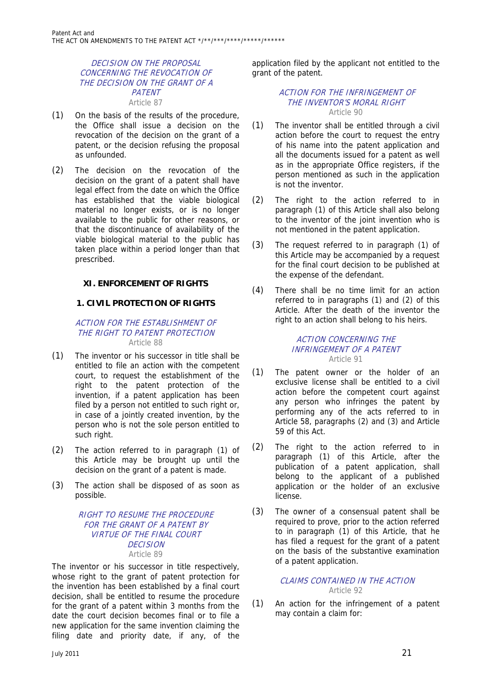# DECISION ON THE PROPOSAL CONCERNING THE REVOCATION OF THE DECISION ON THE GRANT OF A **PATENT** Article 87

- (1) On the basis of the results of the procedure, the Office shall issue a decision on the revocation of the decision on the grant of a patent, or the decision refusing the proposal as unfounded.
- (2) The decision on the revocation of the decision on the grant of a patent shall have legal effect from the date on which the Office has established that the viable biological material no longer exists, or is no longer available to the public for other reasons, or that the discontinuance of availability of the viable biological material to the public has taken place within a period longer than that prescribed.

# **XI. ENFORCEMENT OF RIGHTS**

# **1. CIVIL PROTECTION OF RIGHTS**

#### ACTION FOR THE ESTABLISHMENT OF THE RIGHT TO PATENT PROTECTION Article 88

- (1) The inventor or his successor in title shall be entitled to file an action with the competent court, to request the establishment of the right to the patent protection of the invention, if a patent application has been filed by a person not entitled to such right or, in case of a jointly created invention, by the person who is not the sole person entitled to such right.
- (2) The action referred to in paragraph (1) of this Article may be brought up until the decision on the grant of a patent is made.
- (3) The action shall be disposed of as soon as possible.

# RIGHT TO RESUME THE PROCEDURE FOR THE GRANT OF A PATENT BY VIRTUE OF THE FINAL COURT **DECISION** Article 89

The inventor or his successor in title respectively, whose right to the grant of patent protection for the invention has been established by a final court decision, shall be entitled to resume the procedure for the grant of a patent within 3 months from the date the court decision becomes final or to file a new application for the same invention claiming the filing date and priority date, if any, of the

application filed by the applicant not entitled to the grant of the patent.

#### ACTION FOR THE INFRINGEMENT OF THE INVENTOR'S MORAL RIGHT Article 90

- (1) The inventor shall be entitled through a civil action before the court to request the entry of his name into the patent application and all the documents issued for a patent as well as in the appropriate Office registers, if the person mentioned as such in the application is not the inventor.
- (2) The right to the action referred to in paragraph (1) of this Article shall also belong to the inventor of the joint invention who is not mentioned in the patent application.
- (3) The request referred to in paragraph (1) of this Article may be accompanied by a request for the final court decision to be published at the expense of the defendant.
- (4) There shall be no time limit for an action referred to in paragraphs (1) and (2) of this Article. After the death of the inventor the right to an action shall belong to his heirs.

#### ACTION CONCERNING THE INFRINGEMENT OF A PATENT Article 91

- (1) The patent owner or the holder of an exclusive license shall be entitled to a civil action before the competent court against any person who infringes the patent by performing any of the acts referred to in Article 58, paragraphs (2) and (3) and Article 59 of this Act.
- (2) The right to the action referred to in paragraph (1) of this Article, after the publication of a patent application, shall belong to the applicant of a published application or the holder of an exclusive license.
- (3) The owner of a consensual patent shall be required to prove, prior to the action referred to in paragraph (1) of this Article, that he has filed a request for the grant of a patent on the basis of the substantive examination of a patent application.

# CLAIMS CONTAINED IN THE ACTION Article 92

(1) An action for the infringement of a patent may contain a claim for: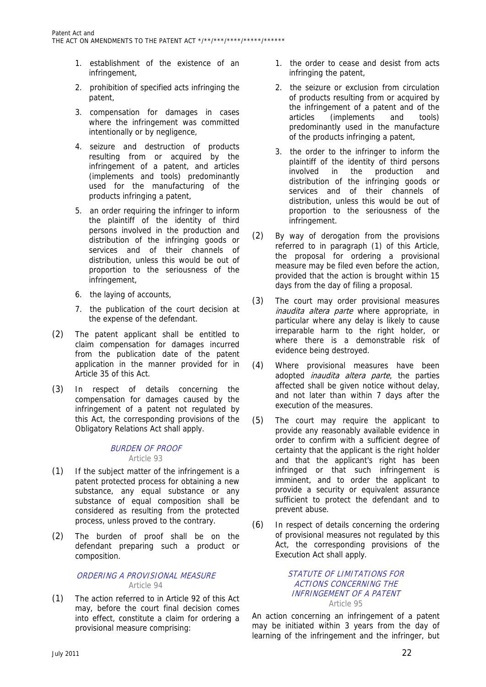- 1. establishment of the existence of an infringement,
- 2. prohibition of specified acts infringing the patent,
- 3. compensation for damages in cases where the infringement was committed intentionally or by negligence,
- 4. seizure and destruction of products resulting from or acquired by the infringement of a patent, and articles (implements and tools) predominantly used for the manufacturing of the products infringing a patent,
- 5. an order requiring the infringer to inform the plaintiff of the identity of third persons involved in the production and distribution of the infringing goods or services and of their channels of distribution, unless this would be out of proportion to the seriousness of the infringement,
- 6. the laying of accounts,
- 7. the publication of the court decision at the expense of the defendant.
- (2) The patent applicant shall be entitled to claim compensation for damages incurred from the publication date of the patent application in the manner provided for in Article 35 of this Act.
- (3) In respect of details concerning the compensation for damages caused by the infringement of a patent not regulated by this Act, the corresponding provisions of the Obligatory Relations Act shall apply.

# BURDEN OF PROOF Article 93

- (1) If the subject matter of the infringement is a patent protected process for obtaining a new substance, any equal substance or any substance of equal composition shall be considered as resulting from the protected process, unless proved to the contrary.
- (2) The burden of proof shall be on the defendant preparing such a product or composition.

# ORDERING A PROVISIONAL MEASURE Article 94

(1) The action referred to in Article 92 of this Act may, before the court final decision comes into effect, constitute a claim for ordering a provisional measure comprising:

- 1. the order to cease and desist from acts infringing the patent,
- 2. the seizure or exclusion from circulation of products resulting from or acquired by the infringement of a patent and of the articles (implements and tools) predominantly used in the manufacture of the products infringing a patent,
- 3. the order to the infringer to inform the plaintiff of the identity of third persons involved in the production and distribution of the infringing goods or services and of their channels of distribution, unless this would be out of proportion to the seriousness of the infringement.
- (2) By way of derogation from the provisions referred to in paragraph (1) of this Article, the proposal for ordering a provisional measure may be filed even before the action, provided that the action is brought within 15 days from the day of filing a proposal.
- (3) The court may order provisional measures *inaudita altera parte* where appropriate, in particular where any delay is likely to cause irreparable harm to the right holder, or where there is a demonstrable risk of evidence being destroyed.
- (4) Where provisional measures have been adopted *inaudita altera parte*, the parties affected shall be given notice without delay, and not later than within 7 days after the execution of the measures.
- (5) The court may require the applicant to provide any reasonably available evidence in order to confirm with a sufficient degree of certainty that the applicant is the right holder and that the applicant's right has been infringed or that such infringement is imminent, and to order the applicant to provide a security or equivalent assurance sufficient to protect the defendant and to prevent abuse.
- (6) In respect of details concerning the ordering of provisional measures not regulated by this Act, the corresponding provisions of the Execution Act shall apply.

# STATUTE OF LIMITATIONS FOR ACTIONS CONCERNING THE INFRINGEMENT OF A PATENT Article 95

An action concerning an infringement of a patent may be initiated within 3 years from the day of learning of the infringement and the infringer, but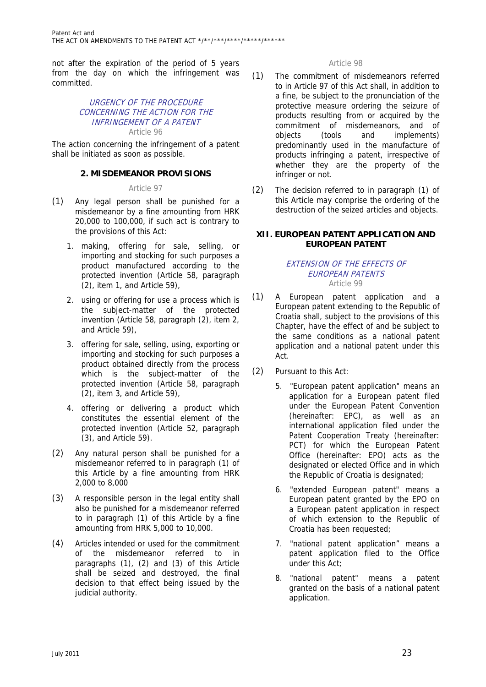not after the expiration of the period of 5 years from the day on which the infringement was committed.

# URGENCY OF THE PROCEDURE CONCERNING THE ACTION FOR THE INFRINGEMENT OF A PATENT Article 96

The action concerning the infringement of a patent shall be initiated as soon as possible.

# **2. MISDEMEANOR PROVISIONS**

# Article 97

- (1) Any legal person shall be punished for a misdemeanor by a fine amounting from HRK 20,000 to 100,000, if such act is contrary to the provisions of this Act:
	- 1. making, offering for sale, selling, or importing and stocking for such purposes a product manufactured according to the protected invention (Article 58, paragraph (2), item 1, and Article 59),
	- 2. using or offering for use a process which is the subject-matter of the protected invention (Article 58, paragraph (2), item 2, and Article 59),
	- 3. offering for sale, selling, using, exporting or importing and stocking for such purposes a product obtained directly from the process which is the subject-matter of the protected invention (Article 58, paragraph (2), item 3, and Article 59),
	- 4. offering or delivering a product which constitutes the essential element of the protected invention (Article 52, paragraph (3), and Article 59).
- (2) Any natural person shall be punished for a misdemeanor referred to in paragraph (1) of this Article by a fine amounting from HRK 2,000 to 8,000
- (3) A responsible person in the legal entity shall also be punished for a misdemeanor referred to in paragraph (1) of this Article by a fine amounting from HRK 5,000 to 10,000.
- (4) Articles intended or used for the commitment of the misdemeanor referred to in paragraphs (1), (2) and (3) of this Article shall be seized and destroyed, the final decision to that effect being issued by the judicial authority.

# Article 98

- (1) The commitment of misdemeanors referred to in Article 97 of this Act shall, in addition to a fine, be subject to the pronunciation of the protective measure ordering the seizure of products resulting from or acquired by the commitment of misdemeanors, and of objects (tools and implements) predominantly used in the manufacture of products infringing a patent, irrespective of whether they are the property of the infringer or not.
- (2) The decision referred to in paragraph (1) of this Article may comprise the ordering of the destruction of the seized articles and objects.

# **XII. EUROPEAN PATENT APPLICATION AND EUROPEAN PATENT**

#### EXTENSION OF THE EFFECTS OF EUROPEAN PATENTS Article 99

- (1) A European patent application and a European patent extending to the Republic of Croatia shall, subject to the provisions of this Chapter, have the effect of and be subject to the same conditions as a national patent application and a national patent under this Act.
- (2) Pursuant to this Act:
	- 5. "European patent application" means an application for a European patent filed under the European Patent Convention (hereinafter: EPC), as well as an international application filed under the Patent Cooperation Treaty (hereinafter: PCT) for which the European Patent Office (hereinafter: EPO) acts as the designated or elected Office and in which the Republic of Croatia is designated;
	- 6. "extended European patent" means a European patent granted by the EPO on a European patent application in respect of which extension to the Republic of Croatia has been requested;
	- 7. "national patent application" means a patent application filed to the Office under this Act;
	- 8. "national patent" means a patent granted on the basis of a national patent application.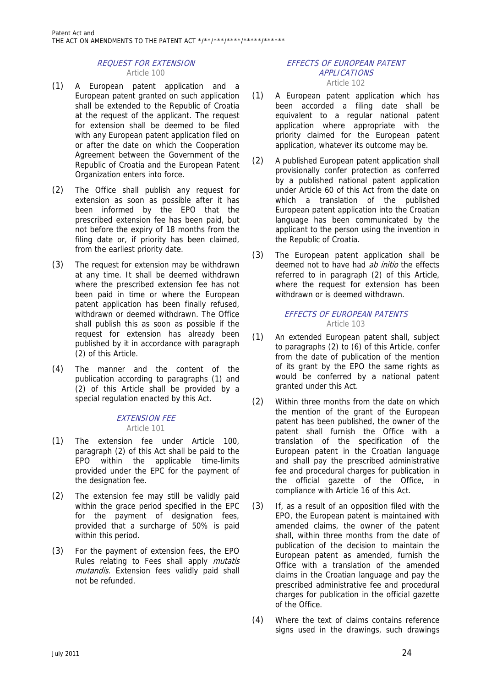# REQUEST FOR EXTENSION Article 100

- (1) A European patent application and a European patent granted on such application shall be extended to the Republic of Croatia at the request of the applicant. The request for extension shall be deemed to be filed with any European patent application filed on or after the date on which the Cooperation Agreement between the Government of the Republic of Croatia and the European Patent Organization enters into force.
- (2) The Office shall publish any request for extension as soon as possible after it has been informed by the EPO that the prescribed extension fee has been paid, but not before the expiry of 18 months from the filing date or, if priority has been claimed, from the earliest priority date.
- (3) The request for extension may be withdrawn at any time. It shall be deemed withdrawn where the prescribed extension fee has not been paid in time or where the European patent application has been finally refused, withdrawn or deemed withdrawn. The Office shall publish this as soon as possible if the request for extension has already been published by it in accordance with paragraph (2) of this Article.
- (4) The manner and the content of the publication according to paragraphs (1) and (2) of this Article shall be provided by a special regulation enacted by this Act.

# EXTENSION FEE

Article 101

- (1) The extension fee under Article 100, paragraph (2) of this Act shall be paid to the EPO within the applicable time-limits provided under the EPC for the payment of the designation fee.
- (2) The extension fee may still be validly paid within the grace period specified in the EPC for the payment of designation fees, provided that a surcharge of 50% is paid within this period.
- (3) For the payment of extension fees, the EPO Rules relating to Fees shall apply *mutatis* mutandis. Extension fees validly paid shall not be refunded.

#### EFFECTS OF EUROPEAN PATENT APPLICATIONS Article 102

- (1) A European patent application which has
- been accorded a filing date shall be equivalent to a regular national patent application where appropriate with the priority claimed for the European patent application, whatever its outcome may be.
- (2) A published European patent application shall provisionally confer protection as conferred by a published national patent application under Article 60 of this Act from the date on which a translation of the published European patent application into the Croatian language has been communicated by the applicant to the person using the invention in the Republic of Croatia.
- (3) The European patent application shall be deemed not to have had *ab initio* the effects referred to in paragraph (2) of this Article, where the request for extension has been withdrawn or is deemed withdrawn.

# EFFECTS OF EUROPEAN PATENTS Article 103

- (1) An extended European patent shall, subject to paragraphs (2) to (6) of this Article, confer from the date of publication of the mention of its grant by the EPO the same rights as would be conferred by a national patent granted under this Act.
- (2) Within three months from the date on which the mention of the grant of the European patent has been published, the owner of the patent shall furnish the Office with a translation of the specification of the European patent in the Croatian language and shall pay the prescribed administrative fee and procedural charges for publication in the official gazette of the Office, in compliance with Article 16 of this Act.
- (3) If, as a result of an opposition filed with the EPO, the European patent is maintained with amended claims, the owner of the patent shall, within three months from the date of publication of the decision to maintain the European patent as amended, furnish the Office with a translation of the amended claims in the Croatian language and pay the prescribed administrative fee and procedural charges for publication in the official gazette of the Office.
- (4) Where the text of claims contains reference signs used in the drawings, such drawings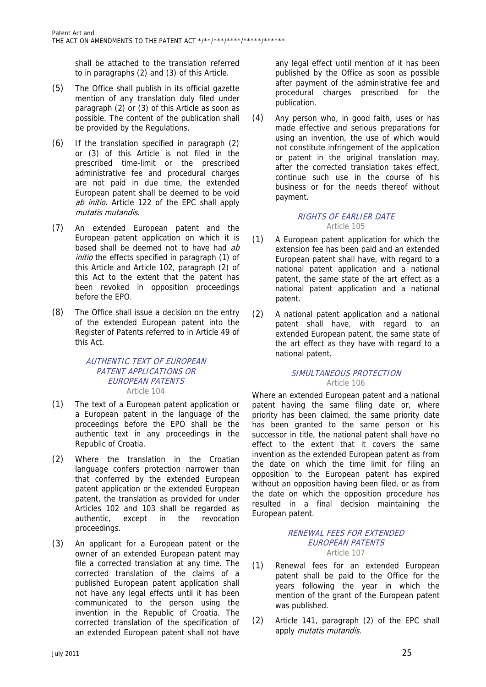shall be attached to the translation referred to in paragraphs (2) and (3) of this Article.

- (5) The Office shall publish in its official gazette mention of any translation duly filed under paragraph (2) or (3) of this Article as soon as possible. The content of the publication shall be provided by the Regulations.
- (6) If the translation specified in paragraph (2) or (3) of this Article is not filed in the prescribed time-limit or the prescribed administrative fee and procedural charges are not paid in due time, the extended European patent shall be deemed to be void ab initio. Article 122 of the EPC shall apply mutatis mutandis.
- (7) An extended European patent and the European patent application on which it is based shall be deemed not to have had ab initio the effects specified in paragraph (1) of this Article and Article 102, paragraph (2) of this Act to the extent that the patent has been revoked in opposition proceedings before the EPO.
- (8) The Office shall issue a decision on the entry of the extended European patent into the Register of Patents referred to in Article 49 of this Act.

# AUTHENTIC TEXT OF EUROPEAN PATENT APPLICATIONS OR EUROPEAN PATENTS Article 104

- (1) The text of a European patent application or a European patent in the language of the proceedings before the EPO shall be the authentic text in any proceedings in the Republic of Croatia.
- (2) Where the translation in the Croatian language confers protection narrower than that conferred by the extended European patent application or the extended European patent, the translation as provided for under Articles 102 and 103 shall be regarded as authentic, except in the revocation proceedings.
- (3) An applicant for a European patent or the owner of an extended European patent may file a corrected translation at any time. The corrected translation of the claims of a published European patent application shall not have any legal effects until it has been communicated to the person using the invention in the Republic of Croatia. The corrected translation of the specification of an extended European patent shall not have

any legal effect until mention of it has been published by the Office as soon as possible after payment of the administrative fee and procedural charges prescribed for the publication.

(4) Any person who, in good faith, uses or has made effective and serious preparations for using an invention, the use of which would not constitute infringement of the application or patent in the original translation may, after the corrected translation takes effect, continue such use in the course of his business or for the needs thereof without payment.

# RIGHTS OF EARLIER DATE Article 105

- (1) A European patent application for which the extension fee has been paid and an extended European patent shall have, with regard to a national patent application and a national patent, the same state of the art effect as a national patent application and a national patent.
- (2) A national patent application and a national patent shall have, with regard to an extended European patent, the same state of the art effect as they have with regard to a national patent.

# SIMULTANEOUS PROTECTION Article 106

Where an extended European patent and a national patent having the same filing date or, where priority has been claimed, the same priority date has been granted to the same person or his successor in title, the national patent shall have no effect to the extent that it covers the same invention as the extended European patent as from the date on which the time limit for filing an opposition to the European patent has expired without an opposition having been filed, or as from the date on which the opposition procedure has resulted in a final decision maintaining the European patent.

#### RENEWAL FEES FOR EXTENDED EUROPEAN PATENTS Article 107

- (1) Renewal fees for an extended European patent shall be paid to the Office for the years following the year in which the mention of the grant of the European patent was published.
- (2) Article 141, paragraph (2) of the EPC shall apply mutatis mutandis.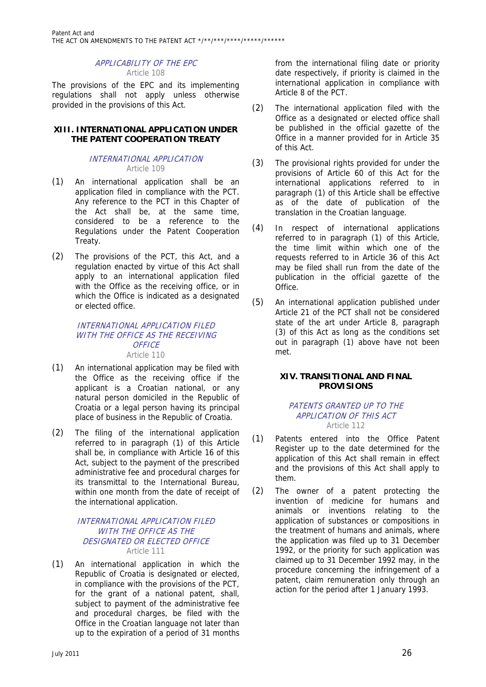# APPLICABILITY OF THE EPC Article 108

The provisions of the EPC and its implementing regulations shall not apply unless otherwise provided in the provisions of this Act.

# **XIII. INTERNATIONAL APPLICATION UNDER THE PATENT COOPERATION TREATY**

#### INTERNATIONAL APPLICATION Article 109

- (1) An international application shall be an application filed in compliance with the PCT. Any reference to the PCT in this Chapter of the Act shall be, at the same time, considered to be a reference to the Regulations under the Patent Cooperation Treaty.
- (2) The provisions of the PCT, this Act, and a regulation enacted by virtue of this Act shall apply to an international application filed with the Office as the receiving office, or in which the Office is indicated as a designated or elected office.

#### INTERNATIONAL APPLICATION FILED WITH THE OFFICE AS THE RECEIVING **OFFICE** Article 110

- (1) An international application may be filed with the Office as the receiving office if the applicant is a Croatian national, or any natural person domiciled in the Republic of Croatia or a legal person having its principal place of business in the Republic of Croatia.
- (2) The filing of the international application referred to in paragraph (1) of this Article shall be, in compliance with Article 16 of this Act, subject to the payment of the prescribed administrative fee and procedural charges for its transmittal to the International Bureau, within one month from the date of receipt of the international application.

# INTERNATIONAL APPLICATION FILED WITH THE OFFICE AS THE DESIGNATED OR ELECTED OFFICE Article 111

(1) An international application in which the Republic of Croatia is designated or elected, in compliance with the provisions of the PCT, for the grant of a national patent, shall, subject to payment of the administrative fee and procedural charges, be filed with the Office in the Croatian language not later than up to the expiration of a period of 31 months

from the international filing date or priority date respectively, if priority is claimed in the international application in compliance with Article 8 of the PCT.

- (2) The international application filed with the Office as a designated or elected office shall be published in the official gazette of the Office in a manner provided for in Article 35 of this Act.
- (3) The provisional rights provided for under the provisions of Article 60 of this Act for the international applications referred to in paragraph (1) of this Article shall be effective as of the date of publication of the translation in the Croatian language.
- (4) In respect of international applications referred to in paragraph (1) of this Article, the time limit within which one of the requests referred to in Article 36 of this Act may be filed shall run from the date of the publication in the official gazette of the Office.
- (5) An international application published under Article 21 of the PCT shall not be considered state of the art under Article 8, paragraph (3) of this Act as long as the conditions set out in paragraph (1) above have not been met.

# **XIV. TRANSITIONAL AND FINAL PROVISIONS**

#### PATENTS GRANTED UP TO THE APPLICATION OF THIS ACT Article 112

- (1) Patents entered into the Office Patent Register up to the date determined for the application of this Act shall remain in effect and the provisions of this Act shall apply to them.
- (2) The owner of a patent protecting the invention of medicine for humans and animals or inventions relating to the application of substances or compositions in the treatment of humans and animals, where the application was filed up to 31 December 1992, or the priority for such application was claimed up to 31 December 1992 may, in the procedure concerning the infringement of a patent, claim remuneration only through an action for the period after 1 January 1993.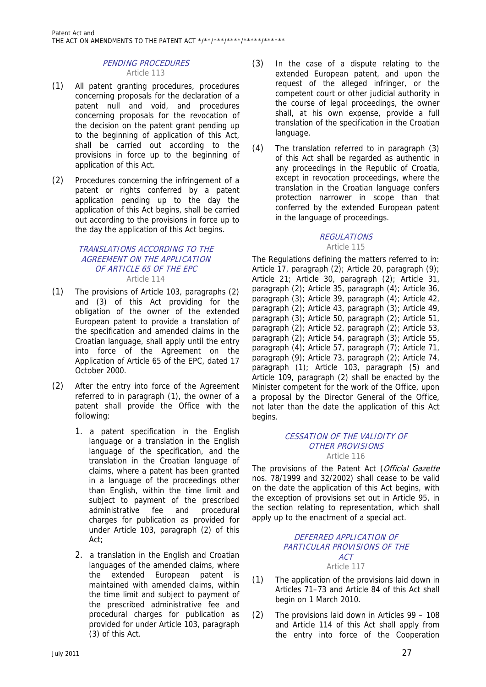# PENDING PROCEDURES Article 113

- (1) All patent granting procedures, procedures concerning proposals for the declaration of a patent null and void, and procedures concerning proposals for the revocation of the decision on the patent grant pending up to the beginning of application of this Act, shall be carried out according to the provisions in force up to the beginning of application of this Act.
- (2) Procedures concerning the infringement of a patent or rights conferred by a patent application pending up to the day the application of this Act begins, shall be carried out according to the provisions in force up to the day the application of this Act begins.

#### TRANSLATIONS ACCORDING TO THE AGREEMENT ON THE APPLICATION OF ARTICLE 65 OF THE EPC Article 114

- (1) The provisions of Article 103, paragraphs (2) and (3) of this Act providing for the obligation of the owner of the extended European patent to provide a translation of the specification and amended claims in the Croatian language, shall apply until the entry into force of the Agreement on the Application of Article 65 of the EPC, dated 17 October 2000.
- (2) After the entry into force of the Agreement referred to in paragraph (1), the owner of a patent shall provide the Office with the following:
	- 1. a patent specification in the English language or a translation in the English language of the specification, and the translation in the Croatian language of claims, where a patent has been granted in a language of the proceedings other than English, within the time limit and subject to payment of the prescribed administrative fee and procedural charges for publication as provided for under Article 103, paragraph (2) of this Act;
	- 2. a translation in the English and Croatian languages of the amended claims, where the extended European patent is maintained with amended claims, within the time limit and subject to payment of the prescribed administrative fee and procedural charges for publication as provided for under Article 103, paragraph (3) of this Act.
- (3) In the case of a dispute relating to the extended European patent, and upon the request of the alleged infringer, or the competent court or other judicial authority in the course of legal proceedings, the owner shall, at his own expense, provide a full translation of the specification in the Croatian language.
- (4) The translation referred to in paragraph (3) of this Act shall be regarded as authentic in any proceedings in the Republic of Croatia, except in revocation proceedings, where the translation in the Croatian language confers protection narrower in scope than that conferred by the extended European patent in the language of proceedings.

# **REGULATIONS** Article 115

The Regulations defining the matters referred to in: Article 17, paragraph (2); Article 20, paragraph (9); Article 21; Article 30, paragraph (2); Article 31, paragraph (2); Article 35, paragraph (4); Article 36, paragraph (3); Article 39, paragraph (4); Article 42, paragraph (2); Article 43, paragraph (3); Article 49, paragraph (3); Article 50, paragraph (2); Article 51, paragraph (2); Article 52, paragraph (2); Article 53, paragraph (2); Article 54, paragraph (3); Article 55, paragraph (4); Article 57, paragraph (7); Article 71, paragraph (9); Article 73, paragraph (2); Article 74, paragraph (1); Article 103, paragraph (5) and Article 109, paragraph (2) shall be enacted by the Minister competent for the work of the Office, upon a proposal by the Director General of the Office, not later than the date the application of this Act begins.

#### CESSATION OF THE VALIDITY OF OTHER PROVISIONS Article 116

The provisions of the Patent Act (Official Gazette nos. 78/1999 and 32/2002) shall cease to be valid on the date the application of this Act begins, with the exception of provisions set out in Article 95, in the section relating to representation, which shall apply up to the enactment of a special act.

# DEFERRED APPLICATION OF PARTICULAR PROVISIONS OF THE ACT Article 117

- (1) The application of the provisions laid down in Articles 71–73 and Article 84 of this Act shall begin on 1 March 2010.
- (2) The provisions laid down in Articles 99 108 and Article 114 of this Act shall apply from the entry into force of the Cooperation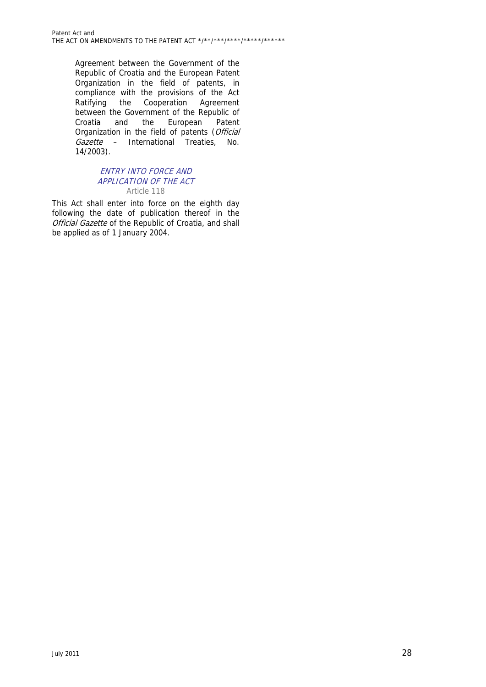Agreement between the Government of the Republic of Croatia and the European Patent Organization in the field of patents, in compliance with the provisions of the Act Ratifying the Cooperation Agreement between the Government of the Republic of Croatia and the European Patent Organization in the field of patents (Official Gazette – International Treaties, No. 14/2003).

# ENTRY INTO FORCE AND APPLICATION OF THE ACT Article 118

This Act shall enter into force on the eighth day following the date of publication thereof in the Official Gazette of the Republic of Croatia, and shall be applied as of 1 January 2004.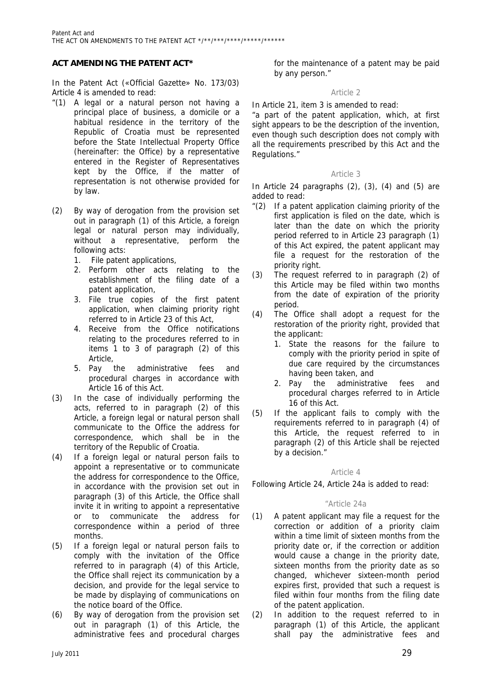# **ACT AMENDING THE PATENT ACT\***

In the Patent Act («Official Gazette» No. 173/03) Article 4 is amended to read:

- "(1) A legal or a natural person not having a principal place of business, a domicile or a habitual residence in the territory of the Republic of Croatia must be represented before the State Intellectual Property Office (hereinafter: the Office) by a representative entered in the Register of Representatives kept by the Office, if the matter of representation is not otherwise provided for by law.
- (2) By way of derogation from the provision set out in paragraph (1) of this Article, a foreign legal or natural person may individually, without a representative, perform the following acts:
	- 1. File patent applications,
	- 2. Perform other acts relating to the establishment of the filing date of a patent application,
	- 3. File true copies of the first patent application, when claiming priority right referred to in Article 23 of this Act,
	- 4. Receive from the Office notifications relating to the procedures referred to in items 1 to 3 of paragraph (2) of this Article,
	- 5. Pay the administrative fees and procedural charges in accordance with Article 16 of this Act.
- (3) In the case of individually performing the acts, referred to in paragraph (2) of this Article, a foreign legal or natural person shall communicate to the Office the address for correspondence, which shall be in the territory of the Republic of Croatia.
- (4) If a foreign legal or natural person fails to appoint a representative or to communicate the address for correspondence to the Office, in accordance with the provision set out in paragraph (3) of this Article, the Office shall invite it in writing to appoint a representative or to communicate the address for correspondence within a period of three months.
- (5) If a foreign legal or natural person fails to comply with the invitation of the Office referred to in paragraph (4) of this Article, the Office shall reject its communication by a decision, and provide for the legal service to be made by displaying of communications on the notice board of the Office.
- (6) By way of derogation from the provision set out in paragraph (1) of this Article, the administrative fees and procedural charges

for the maintenance of a patent may be paid by any person."

#### Article 2

In Article 21, item 3 is amended to read:

"a part of the patent application, which, at first sight appears to be the description of the invention, even though such description does not comply with all the requirements prescribed by this Act and the Regulations."

# Article 3

In Article 24 paragraphs  $(2)$ ,  $(3)$ ,  $(4)$  and  $(5)$  are added to read:

- "(2) If a patent application claiming priority of the first application is filed on the date, which is later than the date on which the priority period referred to in Article 23 paragraph (1) of this Act expired, the patent applicant may file a request for the restoration of the priority right.
- (3) The request referred to in paragraph (2) of this Article may be filed within two months from the date of expiration of the priority period.
- (4) The Office shall adopt a request for the restoration of the priority right, provided that the applicant:
	- 1. State the reasons for the failure to comply with the priority period in spite of due care required by the circumstances having been taken, and
	- 2. Pay the administrative fees and procedural charges referred to in Article 16 of this Act.
- (5) If the applicant fails to comply with the requirements referred to in paragraph (4) of this Article, the request referred to in paragraph (2) of this Article shall be rejected by a decision."

# Article 4

Following Article 24, Article 24a is added to read:

# "Article 24a

- (1) A patent applicant may file a request for the correction or addition of a priority claim within a time limit of sixteen months from the priority date or, if the correction or addition would cause a change in the priority date, sixteen months from the priority date as so changed, whichever sixteen-month period expires first, provided that such a request is filed within four months from the filing date of the patent application.
- (2) In addition to the request referred to in paragraph (1) of this Article, the applicant shall pay the administrative fees and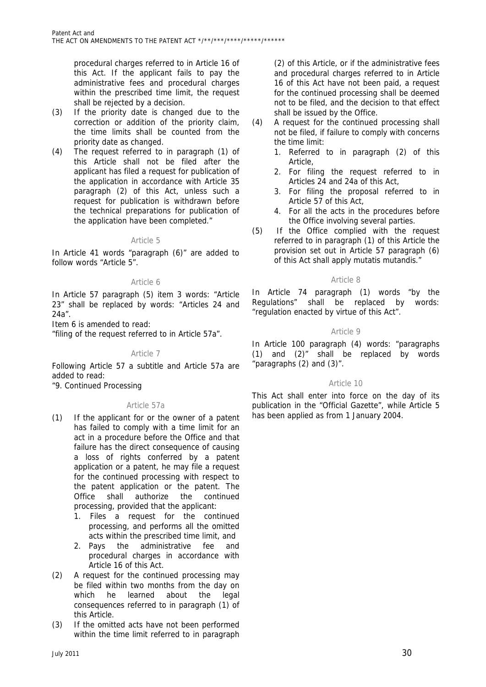procedural charges referred to in Article 16 of this Act. If the applicant fails to pay the administrative fees and procedural charges within the prescribed time limit, the request shall be rejected by a decision.

- (3) If the priority date is changed due to the correction or addition of the priority claim, the time limits shall be counted from the priority date as changed.
- (4) The request referred to in paragraph (1) of this Article shall not be filed after the applicant has filed a request for publication of the application in accordance with Article 35 paragraph (2) of this Act, unless such a request for publication is withdrawn before the technical preparations for publication of the application have been completed."

#### Article 5

In Article 41 words "paragraph (6)" are added to follow words "Article 5".

#### Article 6

In Article 57 paragraph (5) item 3 words: "Article 23" shall be replaced by words: "Articles 24 and 24a".

Item 6 is amended to read:

"filing of the request referred to in Article 57a".

#### Article 7

Following Article 57 a subtitle and Article 57a are added to read:

"9. Continued Processing

#### Article 57a

- (1) If the applicant for or the owner of a patent has failed to comply with a time limit for an act in a procedure before the Office and that failure has the direct consequence of causing a loss of rights conferred by a patent application or a patent, he may file a request for the continued processing with respect to the patent application or the patent. The Office shall authorize the continued processing, provided that the applicant:
	- 1. Files a request for the continued processing, and performs all the omitted acts within the prescribed time limit, and
	- 2. Pays the administrative fee and procedural charges in accordance with Article 16 of this Act.
- (2) A request for the continued processing may be filed within two months from the day on which he learned about the legal consequences referred to in paragraph (1) of this Article.
- (3) If the omitted acts have not been performed within the time limit referred to in paragraph

(2) of this Article, or if the administrative fees and procedural charges referred to in Article 16 of this Act have not been paid, a request for the continued processing shall be deemed not to be filed, and the decision to that effect shall be issued by the Office.

- (4) A request for the continued processing shall not be filed, if failure to comply with concerns the time limit:
	- 1. Referred to in paragraph (2) of this Article,
	- 2. For filing the request referred to in Articles 24 and 24a of this Act,
	- 3. For filing the proposal referred to in Article 57 of this Act,
	- 4. For all the acts in the procedures before the Office involving several parties.
- (5) If the Office complied with the request referred to in paragraph (1) of this Article the provision set out in Article 57 paragraph (6) of this Act shall apply mutatis mutandis."

#### Article 8

In Article 74 paragraph (1) words "by the Regulations" shall be replaced by words: "regulation enacted by virtue of this Act".

# Article 9

In Article 100 paragraph (4) words: "paragraphs (1) and (2)" shall be replaced by words "paragraphs (2) and (3)".

#### Article 10

This Act shall enter into force on the day of its publication in the "Official Gazette", while Article 5 has been applied as from 1 January 2004.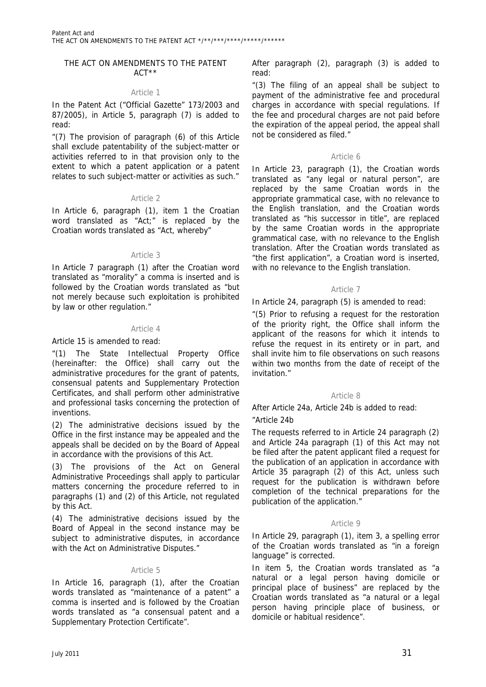#### THE ACT ON AMENDMENTS TO THE PATENT ACT\*\*

#### Article 1

In the Patent Act ("Official Gazette" 173/2003 and 87/2005), in Article 5, paragraph (7) is added to read:

"(7) The provision of paragraph (6) of this Article shall exclude patentability of the subject-matter or activities referred to in that provision only to the extent to which a patent application or a patent relates to such subject-matter or activities as such."

#### Article 2

In Article 6, paragraph (1), item 1 the Croatian word translated as "Act;" is replaced by the Croatian words translated as "Act, whereby"

#### Article 3

In Article 7 paragraph (1) after the Croatian word translated as "morality" a comma is inserted and is followed by the Croatian words translated as "but not merely because such exploitation is prohibited by law or other regulation."

#### Article 4

#### Article 15 is amended to read:

"(1) The State Intellectual Property Office (hereinafter: the Office) shall carry out the administrative procedures for the grant of patents, consensual patents and Supplementary Protection Certificates, and shall perform other administrative and professional tasks concerning the protection of inventions.

(2) The administrative decisions issued by the Office in the first instance may be appealed and the appeals shall be decided on by the Board of Appeal in accordance with the provisions of this Act.

(3) The provisions of the Act on General Administrative Proceedings shall apply to particular matters concerning the procedure referred to in paragraphs (1) and (2) of this Article, not regulated by this Act.

(4) The administrative decisions issued by the Board of Appeal in the second instance may be subject to administrative disputes, in accordance with the Act on Administrative Disputes."

#### Article 5

In Article 16, paragraph (1), after the Croatian words translated as "maintenance of a patent" a comma is inserted and is followed by the Croatian words translated as "a consensual patent and a Supplementary Protection Certificate".

After paragraph (2), paragraph (3) is added to read:

"(3) The filing of an appeal shall be subject to payment of the administrative fee and procedural charges in accordance with special regulations. If the fee and procedural charges are not paid before the expiration of the appeal period, the appeal shall not be considered as filed."

# Article 6

In Article 23, paragraph (1), the Croatian words translated as "any legal or natural person", are replaced by the same Croatian words in the appropriate grammatical case, with no relevance to the English translation, and the Croatian words translated as "his successor in title", are replaced by the same Croatian words in the appropriate grammatical case, with no relevance to the English translation. After the Croatian words translated as "the first application", a Croatian word is inserted, with no relevance to the English translation.

# Article 7

In Article 24, paragraph (5) is amended to read:

"(5) Prior to refusing a request for the restoration of the priority right, the Office shall inform the applicant of the reasons for which it intends to refuse the request in its entirety or in part, and shall invite him to file observations on such reasons within two months from the date of receipt of the invitation."

#### Article 8

After Article 24a, Article 24b is added to read:

#### "Article 24b

The requests referred to in Article 24 paragraph (2) and Article 24a paragraph (1) of this Act may not be filed after the patent applicant filed a request for the publication of an application in accordance with Article 35 paragraph (2) of this Act, unless such request for the publication is withdrawn before completion of the technical preparations for the publication of the application."

# Article 9

In Article 29, paragraph (1), item 3, a spelling error of the Croatian words translated as "in a foreign language" is corrected.

In item 5, the Croatian words translated as "a natural or a legal person having domicile or principal place of business" are replaced by the Croatian words translated as "a natural or a legal person having principle place of business, or domicile or habitual residence".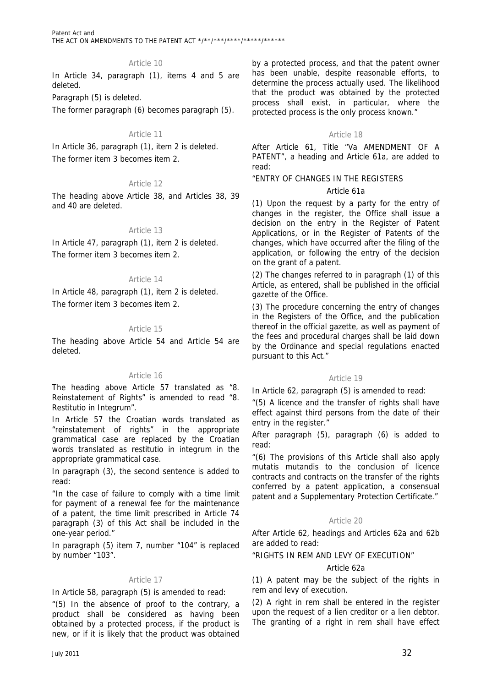# Article 10

In Article 34, paragraph (1), items 4 and 5 are deleted.

Paragraph (5) is deleted.

The former paragraph (6) becomes paragraph (5).

#### Article 11

In Article 36, paragraph (1), item 2 is deleted. The former item 3 becomes item 2.

# Article 12

The heading above Article 38, and Articles 38, 39 and 40 are deleted.

# Article 13

In Article 47, paragraph (1), item 2 is deleted. The former item 3 becomes item 2.

#### Article 14

In Article 48, paragraph (1), item 2 is deleted. The former item 3 becomes item 2.

# Article 15

The heading above Article 54 and Article 54 are deleted.

#### Article 16

The heading above Article 57 translated as "8. Reinstatement of Rights" is amended to read "8. Restitutio in Integrum".

In Article 57 the Croatian words translated as "reinstatement of rights" in the appropriate grammatical case are replaced by the Croatian words translated as restitutio in integrum in the appropriate grammatical case.

In paragraph (3), the second sentence is added to read:

"In the case of failure to comply with a time limit for payment of a renewal fee for the maintenance of a patent, the time limit prescribed in Article 74 paragraph (3) of this Act shall be included in the one-year period."

In paragraph (5) item 7, number "104" is replaced by number "103".

#### Article 17

In Article 58, paragraph (5) is amended to read:

"(5) In the absence of proof to the contrary, a product shall be considered as having been obtained by a protected process, if the product is new, or if it is likely that the product was obtained

by a protected process, and that the patent owner has been unable, despite reasonable efforts, to determine the process actually used. The likelihood that the product was obtained by the protected process shall exist, in particular, where the protected process is the only process known."

#### Article 18

After Article 61, Title "Va AMENDMENT OF A PATENT", a heading and Article 61a, are added to read:

# "ENTRY OF CHANGES IN THE REGISTERS

# Article 61a

(1) Upon the request by a party for the entry of changes in the register, the Office shall issue a decision on the entry in the Register of Patent Applications, or in the Register of Patents of the changes, which have occurred after the filing of the application, or following the entry of the decision on the grant of a patent.

(2) The changes referred to in paragraph (1) of this Article, as entered, shall be published in the official gazette of the Office.

(3) The procedure concerning the entry of changes in the Registers of the Office, and the publication thereof in the official gazette, as well as payment of the fees and procedural charges shall be laid down by the Ordinance and special regulations enacted pursuant to this Act."

#### Article 19

In Article 62, paragraph (5) is amended to read:

"(5) A licence and the transfer of rights shall have effect against third persons from the date of their entry in the register."

After paragraph (5), paragraph (6) is added to read:

"(6) The provisions of this Article shall also apply mutatis mutandis to the conclusion of licence contracts and contracts on the transfer of the rights conferred by a patent application, a consensual patent and a Supplementary Protection Certificate."

#### Article 20

After Article 62, headings and Articles 62a and 62b are added to read:

#### "RIGHTS IN REM AND LEVY OF EXECUTION"

#### Article 62a

(1) A patent may be the subject of the rights in rem and levy of execution.

(2) A right in rem shall be entered in the register upon the request of a lien creditor or a lien debtor. The granting of a right in rem shall have effect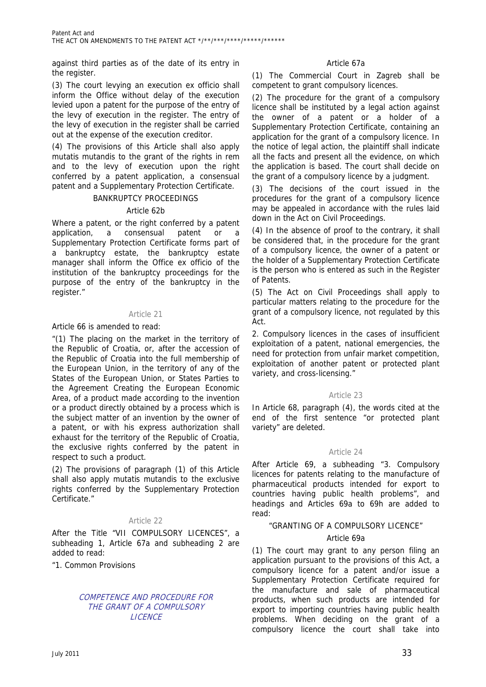against third parties as of the date of its entry in the register.

(3) The court levying an execution ex officio shall inform the Office without delay of the execution levied upon a patent for the purpose of the entry of the levy of execution in the register. The entry of the levy of execution in the register shall be carried out at the expense of the execution creditor.

(4) The provisions of this Article shall also apply mutatis mutandis to the grant of the rights in rem and to the levy of execution upon the right conferred by a patent application, a consensual patent and a Supplementary Protection Certificate.

#### BANKRUPTCY PROCEEDINGS

#### Article 62b

Where a patent, or the right conferred by a patent application, a consensual patent or a Supplementary Protection Certificate forms part of a bankruptcy estate, the bankruptcy estate manager shall inform the Office ex officio of the institution of the bankruptcy proceedings for the purpose of the entry of the bankruptcy in the register."

#### Article 21

#### Article 66 is amended to read:

"(1) The placing on the market in the territory of the Republic of Croatia, or, after the accession of the Republic of Croatia into the full membership of the European Union, in the territory of any of the States of the European Union, or States Parties to the Agreement Creating the European Economic Area, of a product made according to the invention or a product directly obtained by a process which is the subject matter of an invention by the owner of a patent, or with his express authorization shall exhaust for the territory of the Republic of Croatia, the exclusive rights conferred by the patent in respect to such a product.

(2) The provisions of paragraph (1) of this Article shall also apply mutatis mutandis to the exclusive rights conferred by the Supplementary Protection Certificate."

#### Article 22

After the Title "VII COMPULSORY LICENCES", a subheading 1, Article 67a and subheading 2 are added to read:

"1. Common Provisions

# COMPETENCE AND PROCEDURE FOR THE GRANT OF A COMPULSORY LICENCE

# Article 67a

(1) The Commercial Court in Zagreb shall be competent to grant compulsory licences.

(2) The procedure for the grant of a compulsory licence shall be instituted by a legal action against the owner of a patent or a holder of a Supplementary Protection Certificate, containing an application for the grant of a compulsory licence. In the notice of legal action, the plaintiff shall indicate all the facts and present all the evidence, on which the application is based. The court shall decide on the grant of a compulsory licence by a judgment.

(3) The decisions of the court issued in the procedures for the grant of a compulsory licence may be appealed in accordance with the rules laid down in the Act on Civil Proceedings.

(4) In the absence of proof to the contrary, it shall be considered that, in the procedure for the grant of a compulsory licence, the owner of a patent or the holder of a Supplementary Protection Certificate is the person who is entered as such in the Register of Patents.

(5) The Act on Civil Proceedings shall apply to particular matters relating to the procedure for the grant of a compulsory licence, not regulated by this Act.

2. Compulsory licences in the cases of insufficient exploitation of a patent, national emergencies, the need for protection from unfair market competition, exploitation of another patent or protected plant variety, and cross-licensing."

#### Article 23

In Article 68, paragraph (4), the words cited at the end of the first sentence "or protected plant variety" are deleted.

#### Article 24

After Article 69, a subheading "3. Compulsory licences for patents relating to the manufacture of pharmaceutical products intended for export to countries having public health problems", and headings and Articles 69a to 69h are added to read:

# "GRANTING OF A COMPULSORY LICENCE"

# Article 69a

(1) The court may grant to any person filing an application pursuant to the provisions of this Act, a compulsory licence for a patent and/or issue a Supplementary Protection Certificate required for the manufacture and sale of pharmaceutical products, when such products are intended for export to importing countries having public health problems. When deciding on the grant of a compulsory licence the court shall take into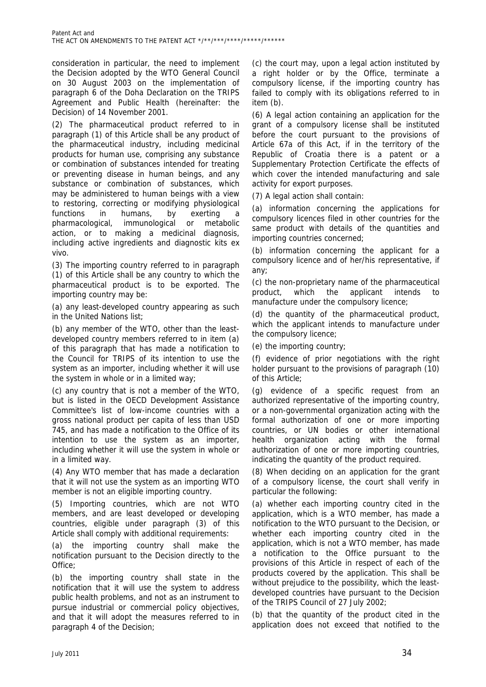consideration in particular, the need to implement the Decision adopted by the WTO General Council on 30 August 2003 on the implementation of paragraph 6 of the Doha Declaration on the TRIPS Agreement and Public Health (hereinafter: the Decision) of 14 November 2001.

(2) The pharmaceutical product referred to in paragraph (1) of this Article shall be any product of the pharmaceutical industry, including medicinal products for human use, comprising any substance or combination of substances intended for treating or preventing disease in human beings, and any substance or combination of substances, which may be administered to human beings with a view to restoring, correcting or modifying physiological functions in humans, by exerting a pharmacological, immunological or metabolic action, or to making a medicinal diagnosis, including active ingredients and diagnostic kits ex vivo.

(3) The importing country referred to in paragraph (1) of this Article shall be any country to which the pharmaceutical product is to be exported. The importing country may be:

(a) any least-developed country appearing as such in the United Nations list;

(b) any member of the WTO, other than the leastdeveloped country members referred to in item (a) of this paragraph that has made a notification to the Council for TRIPS of its intention to use the system as an importer, including whether it will use the system in whole or in a limited way;

(c) any country that is not a member of the WTO, but is listed in the OECD Development Assistance Committee's list of low-income countries with a gross national product per capita of less than USD 745, and has made a notification to the Office of its intention to use the system as an importer, including whether it will use the system in whole or in a limited way.

(4) Any WTO member that has made a declaration that it will not use the system as an importing WTO member is not an eligible importing country.

(5) Importing countries, which are not WTO members, and are least developed or developing countries, eligible under paragraph (3) of this Article shall comply with additional requirements:

(a) the importing country shall make the notification pursuant to the Decision directly to the Office;

(b) the importing country shall state in the notification that it will use the system to address public health problems, and not as an instrument to pursue industrial or commercial policy objectives, and that it will adopt the measures referred to in paragraph 4 of the Decision;

(c) the court may, upon a legal action instituted by a right holder or by the Office, terminate a compulsory license, if the importing country has failed to comply with its obligations referred to in item (b).

(6) A legal action containing an application for the grant of a compulsory license shall be instituted before the court pursuant to the provisions of Article 67a of this Act, if in the territory of the Republic of Croatia there is a patent or a Supplementary Protection Certificate the effects of which cover the intended manufacturing and sale activity for export purposes.

(7) A legal action shall contain:

(a) information concerning the applications for compulsory licences filed in other countries for the same product with details of the quantities and importing countries concerned;

(b) information concerning the applicant for a compulsory licence and of her/his representative, if any;

(c) the non-proprietary name of the pharmaceutical product, which the applicant intends manufacture under the compulsory licence;

(d) the quantity of the pharmaceutical product, which the applicant intends to manufacture under the compulsory licence;

(e) the importing country;

(f) evidence of prior negotiations with the right holder pursuant to the provisions of paragraph (10) of this Article;

(g) evidence of a specific request from an authorized representative of the importing country, or a non-governmental organization acting with the formal authorization of one or more importing countries, or UN bodies or other international health organization acting with the formal authorization of one or more importing countries, indicating the quantity of the product required.

(8) When deciding on an application for the grant of a compulsory license, the court shall verify in particular the following:

(a) whether each importing country cited in the application, which is a WTO member, has made a notification to the WTO pursuant to the Decision, or whether each importing country cited in the application, which is not a WTO member, has made a notification to the Office pursuant to the provisions of this Article in respect of each of the products covered by the application. This shall be without prejudice to the possibility, which the leastdeveloped countries have pursuant to the Decision of the TRIPS Council of 27 July 2002;

(b) that the quantity of the product cited in the application does not exceed that notified to the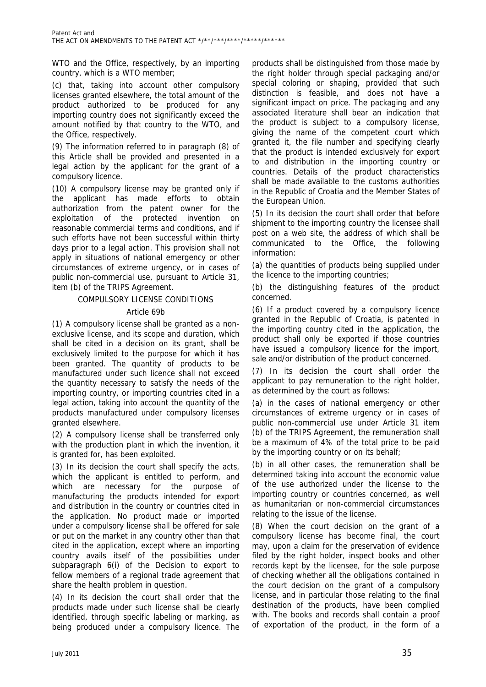WTO and the Office, respectively, by an importing country, which is a WTO member;

(c) that, taking into account other compulsory licenses granted elsewhere, the total amount of the product authorized to be produced for any importing country does not significantly exceed the amount notified by that country to the WTO, and the Office, respectively.

(9) The information referred to in paragraph (8) of this Article shall be provided and presented in a legal action by the applicant for the grant of a compulsory licence.

(10) A compulsory license may be granted only if the applicant has made efforts to obtain authorization from the patent owner for the exploitation of the protected invention on reasonable commercial terms and conditions, and if such efforts have not been successful within thirty days prior to a legal action. This provision shall not apply in situations of national emergency or other circumstances of extreme urgency, or in cases of public non-commercial use, pursuant to Article 31, item (b) of the TRIPS Agreement.

# COMPULSORY LICENSE CONDITIONS

# Article 69b

(1) A compulsory license shall be granted as a nonexclusive license, and its scope and duration, which shall be cited in a decision on its grant, shall be exclusively limited to the purpose for which it has been granted. The quantity of products to be manufactured under such licence shall not exceed the quantity necessary to satisfy the needs of the importing country, or importing countries cited in a legal action, taking into account the quantity of the products manufactured under compulsory licenses granted elsewhere.

(2) A compulsory license shall be transferred only with the production plant in which the invention, it is granted for, has been exploited.

(3) In its decision the court shall specify the acts, which the applicant is entitled to perform, and which are necessary for the purpose of manufacturing the products intended for export and distribution in the country or countries cited in the application. No product made or imported under a compulsory license shall be offered for sale or put on the market in any country other than that cited in the application, except where an importing country avails itself of the possibilities under subparagraph 6(i) of the Decision to export to fellow members of a regional trade agreement that share the health problem in question.

(4) In its decision the court shall order that the products made under such license shall be clearly identified, through specific labeling or marking, as being produced under a compulsory licence. The

products shall be distinguished from those made by the right holder through special packaging and/or special coloring or shaping, provided that such distinction is feasible, and does not have a significant impact on price. The packaging and any associated literature shall bear an indication that the product is subject to a compulsory license, giving the name of the competent court which granted it, the file number and specifying clearly that the product is intended exclusively for export to and distribution in the importing country or countries. Details of the product characteristics shall be made available to the customs authorities in the Republic of Croatia and the Member States of the European Union.

(5) In its decision the court shall order that before shipment to the importing country the licensee shall post on a web site, the address of which shall be communicated to the Office, the following information:

(a) the quantities of products being supplied under the licence to the importing countries;

(b) the distinguishing features of the product concerned.

(6) If a product covered by a compulsory licence granted in the Republic of Croatia, is patented in the importing country cited in the application, the product shall only be exported if those countries have issued a compulsory licence for the import, sale and/or distribution of the product concerned.

(7) In its decision the court shall order the applicant to pay remuneration to the right holder, as determined by the court as follows:

(a) in the cases of national emergency or other circumstances of extreme urgency or in cases of public non-commercial use under Article 31 item (b) of the TRIPS Agreement, the remuneration shall be a maximum of 4% of the total price to be paid by the importing country or on its behalf;

(b) in all other cases, the remuneration shall be determined taking into account the economic value of the use authorized under the license to the importing country or countries concerned, as well as humanitarian or non-commercial circumstances relating to the issue of the license.

(8) When the court decision on the grant of a compulsory license has become final, the court may, upon a claim for the preservation of evidence filed by the right holder, inspect books and other records kept by the licensee, for the sole purpose of checking whether all the obligations contained in the court decision on the grant of a compulsory license, and in particular those relating to the final destination of the products, have been complied with. The books and records shall contain a proof of exportation of the product, in the form of a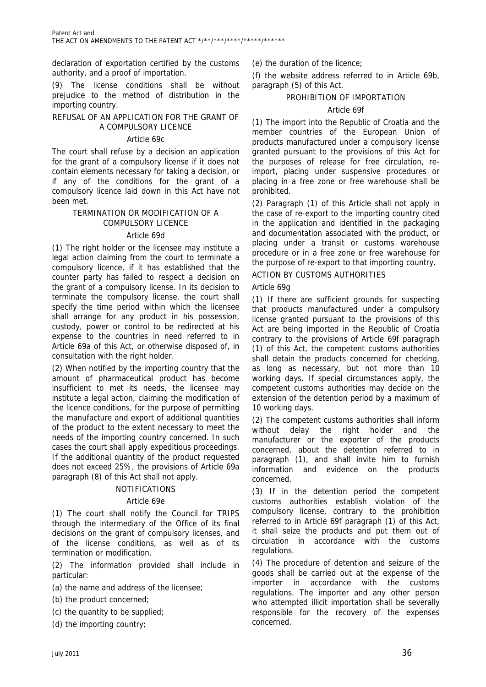declaration of exportation certified by the customs authority, and a proof of importation.

(9) The license conditions shall be without prejudice to the method of distribution in the importing country.

# REFUSAL OF AN APPLICATION FOR THE GRANT OF A COMPULSORY LICENCE

# Article 69c

The court shall refuse by a decision an application for the grant of a compulsory license if it does not contain elements necessary for taking a decision, or if any of the conditions for the grant of a compulsory licence laid down in this Act have not been met.

# TERMINATION OR MODIFICATION OF A COMPULSORY LICENCE

# Article 69d

(1) The right holder or the licensee may institute a legal action claiming from the court to terminate a compulsory licence, if it has established that the counter party has failed to respect a decision on the grant of a compulsory license. In its decision to terminate the compulsory license, the court shall specify the time period within which the licensee shall arrange for any product in his possession, custody, power or control to be redirected at his expense to the countries in need referred to in Article 69a of this Act, or otherwise disposed of, in consultation with the right holder.

(2) When notified by the importing country that the amount of pharmaceutical product has become insufficient to met its needs, the licensee may institute a legal action, claiming the modification of the licence conditions, for the purpose of permitting the manufacture and export of additional quantities of the product to the extent necessary to meet the needs of the importing country concerned. In such cases the court shall apply expeditious proceedings. If the additional quantity of the product requested does not exceed 25%, the provisions of Article 69a paragraph (8) of this Act shall not apply.

# NOTIFICATIONS

# Article 69e

(1) The court shall notify the Council for TRIPS through the intermediary of the Office of its final decisions on the grant of compulsory licenses, and of the license conditions, as well as of its termination or modification.

(2) The information provided shall include in particular:

- (a) the name and address of the licensee;
- (b) the product concerned;
- (c) the quantity to be supplied;
- (d) the importing country;

(e) the duration of the licence;

(f) the website address referred to in Article 69b, paragraph (5) of this Act.

# PROHIBITION OF IMPORTATION

# Article 69f

(1) The import into the Republic of Croatia and the member countries of the European Union of products manufactured under a compulsory license granted pursuant to the provisions of this Act for the purposes of release for free circulation, reimport, placing under suspensive procedures or placing in a free zone or free warehouse shall be prohibited.

(2) Paragraph (1) of this Article shall not apply in the case of re-export to the importing country cited in the application and identified in the packaging and documentation associated with the product, or placing under a transit or customs warehouse procedure or in a free zone or free warehouse for the purpose of re-export to that importing country.

# ACTION BY CUSTOMS AUTHORITIES

# Article 69g

(1) If there are sufficient grounds for suspecting that products manufactured under a compulsory license granted pursuant to the provisions of this Act are being imported in the Republic of Croatia contrary to the provisions of Article 69f paragraph (1) of this Act, the competent customs authorities shall detain the products concerned for checking, as long as necessary, but not more than 10 working days. If special circumstances apply, the competent customs authorities may decide on the extension of the detention period by a maximum of 10 working days.

(2) The competent customs authorities shall inform without delay the right holder and the manufacturer or the exporter of the products concerned, about the detention referred to in paragraph (1), and shall invite him to furnish information and evidence on the products concerned.

(3) If in the detention period the competent customs authorities establish violation of the compulsory license, contrary to the prohibition referred to in Article 69f paragraph (1) of this Act, it shall seize the products and put them out of circulation in accordance with the customs regulations.

(4) The procedure of detention and seizure of the goods shall be carried out at the expense of the importer in accordance with the customs regulations. The importer and any other person who attempted illicit importation shall be severally responsible for the recovery of the expenses concerned.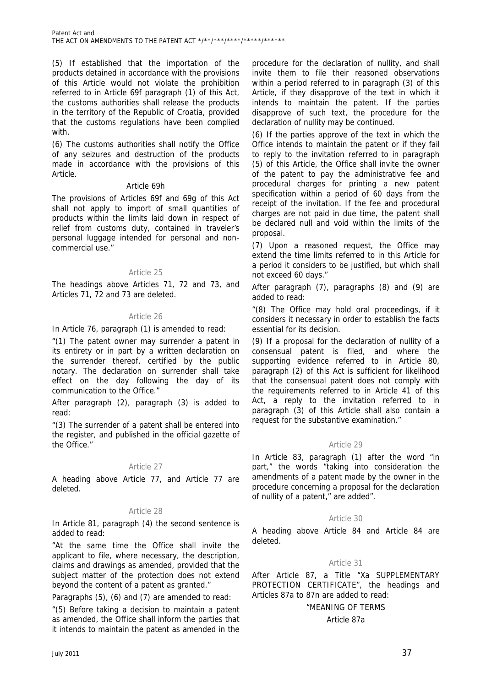(5) If established that the importation of the products detained in accordance with the provisions of this Article would not violate the prohibition referred to in Article 69f paragraph (1) of this Act, the customs authorities shall release the products in the territory of the Republic of Croatia, provided that the customs regulations have been complied with.

(6) The customs authorities shall notify the Office of any seizures and destruction of the products made in accordance with the provisions of this Article.

#### Article 69h

The provisions of Articles 69f and 69g of this Act shall not apply to import of small quantities of products within the limits laid down in respect of relief from customs duty, contained in traveler's personal luggage intended for personal and noncommercial use."

# Article 25

The headings above Articles 71, 72 and 73, and Articles 71, 72 and 73 are deleted.

# Article 26

In Article 76, paragraph (1) is amended to read:

"(1) The patent owner may surrender a patent in its entirety or in part by a written declaration on the surrender thereof, certified by the public notary. The declaration on surrender shall take effect on the day following the day of its communication to the Office."

After paragraph (2), paragraph (3) is added to read:

"(3) The surrender of a patent shall be entered into the register, and published in the official gazette of the Office."

# Article 27

A heading above Article 77, and Article 77 are deleted.

# Article 28

In Article 81, paragraph (4) the second sentence is added to read:

"At the same time the Office shall invite the applicant to file, where necessary, the description, claims and drawings as amended, provided that the subject matter of the protection does not extend beyond the content of a patent as granted."

Paragraphs (5), (6) and (7) are amended to read:

"(5) Before taking a decision to maintain a patent as amended, the Office shall inform the parties that it intends to maintain the patent as amended in the

procedure for the declaration of nullity, and shall invite them to file their reasoned observations within a period referred to in paragraph (3) of this Article, if they disapprove of the text in which it intends to maintain the patent. If the parties disapprove of such text, the procedure for the declaration of nullity may be continued.

(6) If the parties approve of the text in which the Office intends to maintain the patent or if they fail to reply to the invitation referred to in paragraph (5) of this Article, the Office shall invite the owner of the patent to pay the administrative fee and procedural charges for printing a new patent specification within a period of 60 days from the receipt of the invitation. If the fee and procedural charges are not paid in due time, the patent shall be declared null and void within the limits of the proposal.

(7) Upon a reasoned request, the Office may extend the time limits referred to in this Article for a period it considers to be justified, but which shall not exceed 60 days."

After paragraph (7), paragraphs (8) and (9) are added to read:

"(8) The Office may hold oral proceedings, if it considers it necessary in order to establish the facts essential for its decision.

(9) If a proposal for the declaration of nullity of a consensual patent is filed, and where the supporting evidence referred to in Article 80, paragraph (2) of this Act is sufficient for likelihood that the consensual patent does not comply with the requirements referred to in Article 41 of this Act, a reply to the invitation referred to in paragraph (3) of this Article shall also contain a request for the substantive examination."

# Article 29

In Article 83, paragraph (1) after the word "in part," the words "taking into consideration the amendments of a patent made by the owner in the procedure concerning a proposal for the declaration of nullity of a patent," are added".

# Article 30

A heading above Article 84 and Article 84 are deleted.

# Article 31

After Article 87, a Title "Xa SUPPLEMENTARY PROTECTION CERTIFICATE", the headings and Articles 87a to 87n are added to read:

# "MEANING OF TERMS

# Article 87a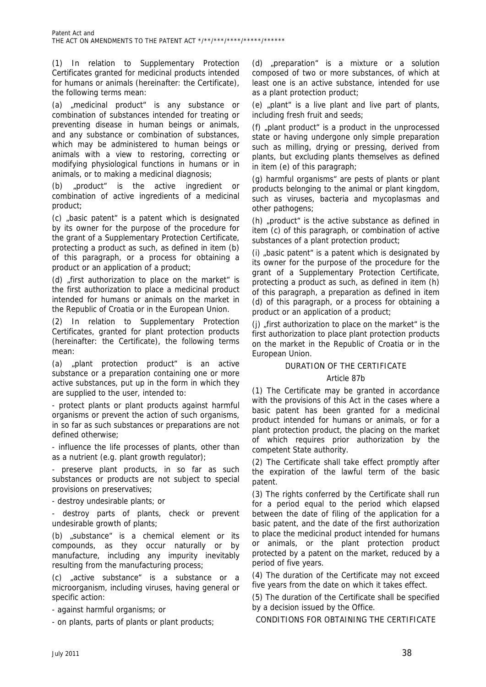(1) In relation to Supplementary Protection Certificates granted for medicinal products intended for humans or animals (hereinafter: the Certificate), the following terms mean:

(a) .medicinal product<sup>"</sup> is any substance or combination of substances intended for treating or preventing disease in human beings or animals, and any substance or combination of substances, which may be administered to human beings or animals with a view to restoring, correcting or modifying physiological functions in humans or in animals, or to making a medicinal diagnosis;

(b) "product" is the active ingredient or combination of active ingredients of a medicinal product;

(c) "basic patent" is a patent which is designated by its owner for the purpose of the procedure for the grant of a Supplementary Protection Certificate, protecting a product as such, as defined in item (b) of this paragraph, or a process for obtaining a product or an application of a product;

(d) "first authorization to place on the market" is the first authorization to place a medicinal product intended for humans or animals on the market in the Republic of Croatia or in the European Union.

(2) In relation to Supplementary Protection Certificates, granted for plant protection products (hereinafter: the Certificate), the following terms mean:

(a) "plant protection product" is an active substance or a preparation containing one or more active substances, put up in the form in which they are supplied to the user, intended to:

- protect plants or plant products against harmful organisms or prevent the action of such organisms, in so far as such substances or preparations are not defined otherwise;

- influence the life processes of plants, other than as a nutrient (e.g. plant growth regulator);

- preserve plant products, in so far as such substances or products are not subject to special provisions on preservatives;

- destroy undesirable plants; or

- destroy parts of plants, check or prevent undesirable growth of plants;

(b) "substance" is a chemical element or its compounds, as they occur naturally or by manufacture, including any impurity inevitably resulting from the manufacturing process;

(c) "active substance" is a substance or a microorganism, including viruses, having general or specific action:

- against harmful organisms; or

- on plants, parts of plants or plant products;

(d) "preparation" is a mixture or a solution composed of two or more substances, of which at least one is an active substance, intended for use as a plant protection product;

 $(e)$  "plant" is a live plant and live part of plants, including fresh fruit and seeds;

(f)  $_{n}$  plant product<sup>"</sup> is a product in the unprocessed state or having undergone only simple preparation such as milling, drying or pressing, derived from plants, but excluding plants themselves as defined in item (e) of this paragraph;

(g) harmful organisms" are pests of plants or plant products belonging to the animal or plant kingdom, such as viruses, bacteria and mycoplasmas and other pathogens;

(h)  $\mu$  product" is the active substance as defined in item (c) of this paragraph, or combination of active substances of a plant protection product;

(i)  $\mu$  basic patent" is a patent which is designated by its owner for the purpose of the procedure for the grant of a Supplementary Protection Certificate, protecting a product as such, as defined in item (h) of this paragraph, a preparation as defined in item (d) of this paragraph, or a process for obtaining a product or an application of a product;

(j)  $\sqrt{s}$  first authorization to place on the market" is the first authorization to place plant protection products on the market in the Republic of Croatia or in the European Union.

# DURATION OF THE CERTIFICATE

# Article 87b

(1) The Certificate may be granted in accordance with the provisions of this Act in the cases where a basic patent has been granted for a medicinal product intended for humans or animals, or for a plant protection product, the placing on the market of which requires prior authorization by the competent State authority.

(2) The Certificate shall take effect promptly after the expiration of the lawful term of the basic patent.

(3) The rights conferred by the Certificate shall run for a period equal to the period which elapsed between the date of filing of the application for a basic patent, and the date of the first authorization to place the medicinal product intended for humans or animals, or the plant protection product protected by a patent on the market, reduced by a period of five years.

(4) The duration of the Certificate may not exceed five years from the date on which it takes effect.

(5) The duration of the Certificate shall be specified by a decision issued by the Office.

CONDITIONS FOR OBTAINING THE CERTIFICATE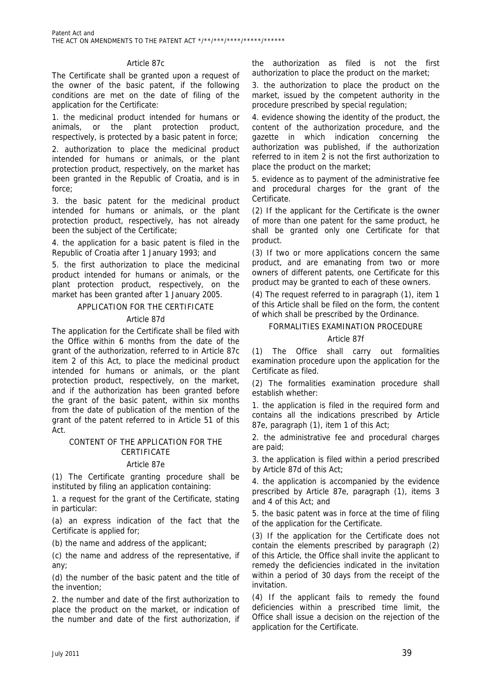# Article 87c

The Certificate shall be granted upon a request of the owner of the basic patent, if the following conditions are met on the date of filing of the application for the Certificate:

1. the medicinal product intended for humans or animals, or the plant protection product, respectively, is protected by a basic patent in force;

2. authorization to place the medicinal product intended for humans or animals, or the plant protection product, respectively, on the market has been granted in the Republic of Croatia, and is in force;

3. the basic patent for the medicinal product intended for humans or animals, or the plant protection product, respectively, has not already been the subject of the Certificate;

4. the application for a basic patent is filed in the Republic of Croatia after 1 January 1993; and

5. the first authorization to place the medicinal product intended for humans or animals, or the plant protection product, respectively, on the market has been granted after 1 January 2005.

# APPLICATION FOR THE CERTIFICATE

# Article 87d

The application for the Certificate shall be filed with the Office within 6 months from the date of the grant of the authorization, referred to in Article 87c item 2 of this Act, to place the medicinal product intended for humans or animals, or the plant protection product, respectively, on the market, and if the authorization has been granted before the grant of the basic patent, within six months from the date of publication of the mention of the grant of the patent referred to in Article 51 of this Act.

# CONTENT OF THE APPLICATION FOR THE **CERTIFICATE**

#### Article 87e

(1) The Certificate granting procedure shall be instituted by filing an application containing:

1. a request for the grant of the Certificate, stating in particular:

(a) an express indication of the fact that the Certificate is applied for;

(b) the name and address of the applicant;

(c) the name and address of the representative, if any;

(d) the number of the basic patent and the title of the invention;

2. the number and date of the first authorization to place the product on the market, or indication of the number and date of the first authorization, if the authorization as filed is not the first authorization to place the product on the market;

3. the authorization to place the product on the market, issued by the competent authority in the procedure prescribed by special regulation;

4. evidence showing the identity of the product, the content of the authorization procedure, and the gazette in which indication concerning the authorization was published, if the authorization referred to in item 2 is not the first authorization to place the product on the market;

5. evidence as to payment of the administrative fee and procedural charges for the grant of the Certificate.

(2) If the applicant for the Certificate is the owner of more than one patent for the same product, he shall be granted only one Certificate for that product.

(3) If two or more applications concern the same product, and are emanating from two or more owners of different patents, one Certificate for this product may be granted to each of these owners.

(4) The request referred to in paragraph (1), item 1 of this Article shall be filed on the form, the content of which shall be prescribed by the Ordinance.

# FORMALITIES EXAMINATION PROCEDURE

#### Article 87f

(1) The Office shall carry out formalities examination procedure upon the application for the Certificate as filed.

(2) The formalities examination procedure shall establish whether:

1. the application is filed in the required form and contains all the indications prescribed by Article 87e, paragraph (1), item 1 of this Act;

2. the administrative fee and procedural charges are paid;

3. the application is filed within a period prescribed by Article 87d of this Act;

4. the application is accompanied by the evidence prescribed by Article 87e, paragraph (1), items 3 and 4 of this Act; and

5. the basic patent was in force at the time of filing of the application for the Certificate.

(3) If the application for the Certificate does not contain the elements prescribed by paragraph (2) of this Article, the Office shall invite the applicant to remedy the deficiencies indicated in the invitation within a period of 30 days from the receipt of the invitation.

(4) If the applicant fails to remedy the found deficiencies within a prescribed time limit, the Office shall issue a decision on the rejection of the application for the Certificate.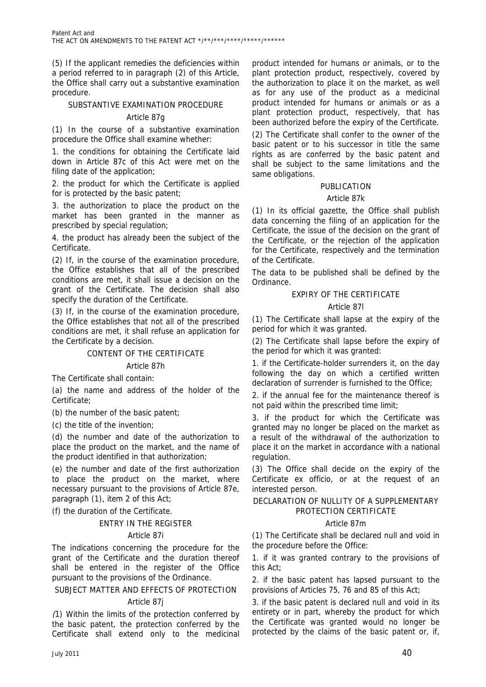(5) If the applicant remedies the deficiencies within a period referred to in paragraph (2) of this Article, the Office shall carry out a substantive examination procedure.

# SUBSTANTIVE EXAMINATION PROCEDURE

# Article 87g

(1) In the course of a substantive examination procedure the Office shall examine whether:

1. the conditions for obtaining the Certificate laid down in Article 87c of this Act were met on the filing date of the application;

2. the product for which the Certificate is applied for is protected by the basic patent;

3. the authorization to place the product on the market has been granted in the manner as prescribed by special regulation;

4. the product has already been the subject of the Certificate.

(2) If, in the course of the examination procedure, the Office establishes that all of the prescribed conditions are met, it shall issue a decision on the grant of the Certificate. The decision shall also specify the duration of the Certificate.

(3) If, in the course of the examination procedure, the Office establishes that not all of the prescribed conditions are met, it shall refuse an application for the Certificate by a decision.

# CONTENT OF THE CERTIFICATE

#### Article 87h

The Certificate shall contain:

(a) the name and address of the holder of the Certificate;

(b) the number of the basic patent;

(c) the title of the invention;

(d) the number and date of the authorization to place the product on the market, and the name of the product identified in that authorization;

(e) the number and date of the first authorization to place the product on the market, where necessary pursuant to the provisions of Article 87e, paragraph (1), item 2 of this Act;

(f) the duration of the Certificate.

#### ENTRY IN THE REGISTER

#### Article 87i

The indications concerning the procedure for the grant of the Certificate and the duration thereof shall be entered in the register of the Office pursuant to the provisions of the Ordinance.

#### SUBJECT MATTER AND EFFECTS OF PROTECTION

# Article 87j

(1) Within the limits of the protection conferred by the basic patent, the protection conferred by the Certificate shall extend only to the medicinal

product intended for humans or animals, or to the plant protection product, respectively, covered by the authorization to place it on the market, as well as for any use of the product as a medicinal product intended for humans or animals or as a plant protection product, respectively, that has been authorized before the expiry of the Certificate.

(2) The Certificate shall confer to the owner of the basic patent or to his successor in title the same rights as are conferred by the basic patent and shall be subject to the same limitations and the same obligations.

# PUBLICATION

# Article 87k

(1) In its official gazette, the Office shall publish data concerning the filing of an application for the Certificate, the issue of the decision on the grant of the Certificate, or the rejection of the application for the Certificate, respectively and the termination of the Certificate.

The data to be published shall be defined by the Ordinance.

# EXPIRY OF THE CERTIFICATE

# Article 87l

(1) The Certificate shall lapse at the expiry of the period for which it was granted.

(2) The Certificate shall lapse before the expiry of the period for which it was granted:

1. if the Certificate-holder surrenders it, on the day following the day on which a certified written declaration of surrender is furnished to the Office;

2. if the annual fee for the maintenance thereof is not paid within the prescribed time limit;

3. if the product for which the Certificate was granted may no longer be placed on the market as a result of the withdrawal of the authorization to place it on the market in accordance with a national regulation.

(3) The Office shall decide on the expiry of the Certificate ex officio, or at the request of an interested person.

# DECLARATION OF NULLITY OF A SUPPLEMENTARY PROTECTION CERTIFICATE

# Article 87m

(1) The Certificate shall be declared null and void in the procedure before the Office:

1. if it was granted contrary to the provisions of this Act;

2. if the basic patent has lapsed pursuant to the provisions of Articles 75, 76 and 85 of this Act;

3. if the basic patent is declared null and void in its entirety or in part, whereby the product for which the Certificate was granted would no longer be protected by the claims of the basic patent or, if,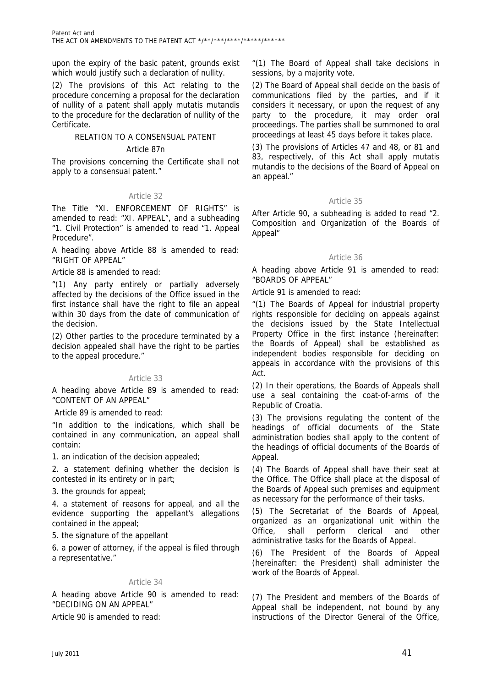upon the expiry of the basic patent, grounds exist which would justify such a declaration of nullity.

(2) The provisions of this Act relating to the procedure concerning a proposal for the declaration of nullity of a patent shall apply mutatis mutandis to the procedure for the declaration of nullity of the Certificate.

# RELATION TO A CONSENSUAL PATENT

#### Article 87n

The provisions concerning the Certificate shall not apply to a consensual patent."

# Article 32

The Title "XI. ENFORCEMENT OF RIGHTS" is amended to read: "XI. APPEAL", and a subheading "1. Civil Protection" is amended to read "1. Appeal Procedure".

A heading above Article 88 is amended to read: "RIGHT OF APPEAL"

Article 88 is amended to read:

"(1) Any party entirely or partially adversely affected by the decisions of the Office issued in the first instance shall have the right to file an appeal within 30 days from the date of communication of the decision.

(2) Other parties to the procedure terminated by a decision appealed shall have the right to be parties to the appeal procedure."

#### Article 33

A heading above Article 89 is amended to read: "CONTENT OF AN APPEAL"

Article 89 is amended to read:

"In addition to the indications, which shall be contained in any communication, an appeal shall contain:

1. an indication of the decision appealed;

2. a statement defining whether the decision is contested in its entirety or in part;

3. the grounds for appeal;

4. a statement of reasons for appeal, and all the evidence supporting the appellant's allegations contained in the appeal;

5. the signature of the appellant

6. a power of attorney, if the appeal is filed through a representative."

# Article 34

A heading above Article 90 is amended to read: "DECIDING ON AN APPEAL"

Article 90 is amended to read:

"(1) The Board of Appeal shall take decisions in sessions, by a majority vote.

(2) The Board of Appeal shall decide on the basis of communications filed by the parties, and if it considers it necessary, or upon the request of any party to the procedure, it may order oral proceedings. The parties shall be summoned to oral proceedings at least 45 days before it takes place.

(3) The provisions of Articles 47 and 48, or 81 and 83, respectively, of this Act shall apply mutatis mutandis to the decisions of the Board of Appeal on an appeal."

# Article 35

After Article 90, a subheading is added to read "2. Composition and Organization of the Boards of Appeal"

# Article 36

A heading above Article 91 is amended to read: "BOARDS OF APPEAL"

Article 91 is amended to read:

"(1) The Boards of Appeal for industrial property rights responsible for deciding on appeals against the decisions issued by the State Intellectual Property Office in the first instance (hereinafter: the Boards of Appeal) shall be established as independent bodies responsible for deciding on appeals in accordance with the provisions of this Act.

(2) In their operations, the Boards of Appeals shall use a seal containing the coat-of-arms of the Republic of Croatia.

(3) The provisions regulating the content of the headings of official documents of the State administration bodies shall apply to the content of the headings of official documents of the Boards of Appeal.

(4) The Boards of Appeal shall have their seat at the Office. The Office shall place at the disposal of the Boards of Appeal such premises and equipment as necessary for the performance of their tasks.

(5) The Secretariat of the Boards of Appeal, organized as an organizational unit within the Office, shall perform clerical and other administrative tasks for the Boards of Appeal.

(6) The President of the Boards of Appeal (hereinafter: the President) shall administer the work of the Boards of Appeal.

(7) The President and members of the Boards of Appeal shall be independent, not bound by any instructions of the Director General of the Office,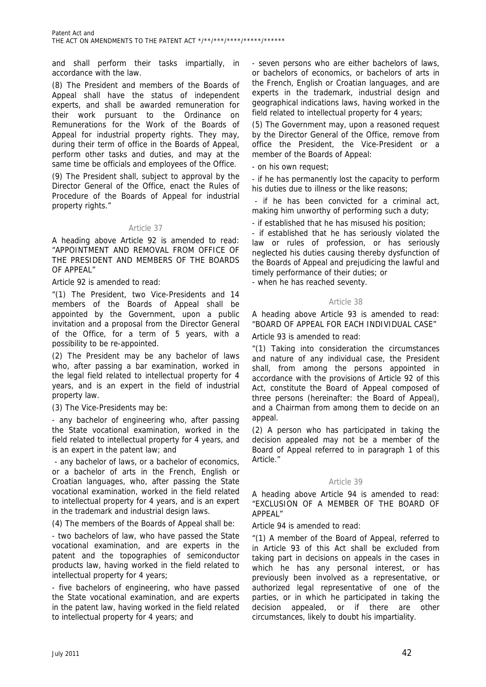and shall perform their tasks impartially, in accordance with the law.

(8) The President and members of the Boards of Appeal shall have the status of independent experts, and shall be awarded remuneration for their work pursuant to the Ordinance on Remunerations for the Work of the Boards of Appeal for industrial property rights. They may, during their term of office in the Boards of Appeal, perform other tasks and duties, and may at the same time be officials and employees of the Office.

(9) The President shall, subject to approval by the Director General of the Office, enact the Rules of Procedure of the Boards of Appeal for industrial property rights."

# Article 37

A heading above Article 92 is amended to read: "APPOINTMENT AND REMOVAL FROM OFFICE OF THE PRESIDENT AND MEMBERS OF THE BOARDS OF APPEAL"

Article 92 is amended to read:

"(1) The President, two Vice-Presidents and 14 members of the Boards of Appeal shall be appointed by the Government, upon a public invitation and a proposal from the Director General of the Office, for a term of 5 years, with a possibility to be re-appointed.

(2) The President may be any bachelor of laws who, after passing a bar examination, worked in the legal field related to intellectual property for 4 years, and is an expert in the field of industrial property law.

(3) The Vice-Presidents may be:

- any bachelor of engineering who, after passing the State vocational examination, worked in the field related to intellectual property for 4 years, and is an expert in the patent law; and

 - any bachelor of laws, or a bachelor of economics, or a bachelor of arts in the French, English or Croatian languages, who, after passing the State vocational examination, worked in the field related to intellectual property for 4 years, and is an expert in the trademark and industrial design laws.

(4) The members of the Boards of Appeal shall be:

- two bachelors of law, who have passed the State vocational examination, and are experts in the patent and the topographies of semiconductor products law, having worked in the field related to intellectual property for 4 years;

- five bachelors of engineering, who have passed the State vocational examination, and are experts in the patent law, having worked in the field related to intellectual property for 4 years; and

- seven persons who are either bachelors of laws, or bachelors of economics, or bachelors of arts in the French, English or Croatian languages, and are experts in the trademark, industrial design and geographical indications laws, having worked in the field related to intellectual property for 4 years;

(5) The Government may, upon a reasoned request by the Director General of the Office, remove from office the President, the Vice-President or a member of the Boards of Appeal:

- on his own request;

- if he has permanently lost the capacity to perform his duties due to illness or the like reasons;

if he has been convicted for a criminal act, making him unworthy of performing such a duty;

- if established that he has misused his position;

- if established that he has seriously violated the law or rules of profession, or has seriously neglected his duties causing thereby dysfunction of the Boards of Appeal and prejudicing the lawful and timely performance of their duties; or

- when he has reached seventy.

# Article 38

A heading above Article 93 is amended to read: "BOARD OF APPEAL FOR EACH INDIVIDUAL CASE"

Article 93 is amended to read:

"(1) Taking into consideration the circumstances and nature of any individual case, the President shall, from among the persons appointed in accordance with the provisions of Article 92 of this Act, constitute the Board of Appeal composed of three persons (hereinafter: the Board of Appeal), and a Chairman from among them to decide on an appeal.

(2) A person who has participated in taking the decision appealed may not be a member of the Board of Appeal referred to in paragraph 1 of this Article."

# Article 39

A heading above Article 94 is amended to read: "EXCLUSION OF A MEMBER OF THE BOARD OF APPEAL"

Article 94 is amended to read:

"(1) A member of the Board of Appeal, referred to in Article 93 of this Act shall be excluded from taking part in decisions on appeals in the cases in which he has any personal interest, or has previously been involved as a representative, or authorized legal representative of one of the parties, or in which he participated in taking the decision appealed, or if there are other circumstances, likely to doubt his impartiality.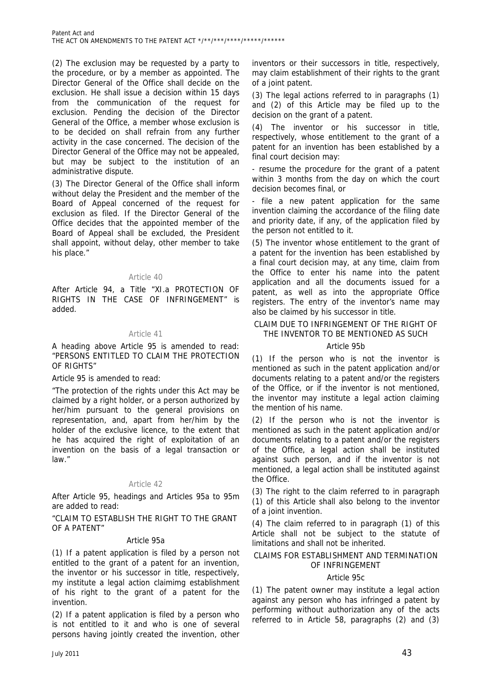(2) The exclusion may be requested by a party to the procedure, or by a member as appointed. The Director General of the Office shall decide on the exclusion. He shall issue a decision within 15 days from the communication of the request for exclusion. Pending the decision of the Director General of the Office, a member whose exclusion is to be decided on shall refrain from any further activity in the case concerned. The decision of the Director General of the Office may not be appealed, but may be subject to the institution of an administrative dispute.

(3) The Director General of the Office shall inform without delay the President and the member of the Board of Appeal concerned of the request for exclusion as filed. If the Director General of the Office decides that the appointed member of the Board of Appeal shall be excluded, the President shall appoint, without delay, other member to take his place."

# Article 40

After Article 94, a Title "XI.a PROTECTION OF RIGHTS IN THE CASE OF INFRINGEMENT" is added.

# Article 41

A heading above Article 95 is amended to read: "PERSONS ENTITLED TO CLAIM THE PROTECTION OF RIGHTS"

Article 95 is amended to read:

"The protection of the rights under this Act may be claimed by a right holder, or a person authorized by her/him pursuant to the general provisions on representation, and, apart from her/him by the holder of the exclusive licence, to the extent that he has acquired the right of exploitation of an invention on the basis of a legal transaction or law."

# Article 42

After Article 95, headings and Articles 95a to 95m are added to read:

"CLAIM TO ESTABLISH THE RIGHT TO THE GRANT OF A PATENT"

#### Article 95a

(1) If a patent application is filed by a person not entitled to the grant of a patent for an invention, the inventor or his successor in title, respectively, my institute a legal action claimimg establishment of his right to the grant of a patent for the invention.

(2) If a patent application is filed by a person who is not entitled to it and who is one of several persons having jointly created the invention, other

inventors or their successors in title, respectively, may claim establishment of their rights to the grant of a joint patent.

(3) The legal actions referred to in paragraphs (1) and (2) of this Article may be filed up to the decision on the grant of a patent.

(4) The inventor or his successor in title, respectively, whose entitlement to the grant of a patent for an invention has been established by a final court decision may:

- resume the procedure for the grant of a patent within 3 months from the day on which the court decision becomes final, or

file a new patent application for the same invention claiming the accordance of the filing date and priority date, if any, of the application filed by the person not entitled to it.

(5) The inventor whose entitlement to the grant of a patent for the invention has been established by a final court decision may, at any time, claim from the Office to enter his name into the patent application and all the documents issued for a patent, as well as into the appropriate Office registers. The entry of the inventor's name may also be claimed by his successor in title.

# CLAIM DUE TO INFRINGEMENT OF THE RIGHT OF THE INVENTOR TO BE MENTIONED AS SUCH

# Article 95b

(1) If the person who is not the inventor is mentioned as such in the patent application and/or documents relating to a patent and/or the registers of the Office, or if the inventor is not mentioned, the inventor may institute a legal action claiming the mention of his name.

(2) If the person who is not the inventor is mentioned as such in the patent application and/or documents relating to a patent and/or the registers of the Office, a legal action shall be instituted against such person, and if the inventor is not mentioned, a legal action shall be instituted against the Office.

(3) The right to the claim referred to in paragraph (1) of this Article shall also belong to the inventor of a joint invention.

(4) The claim referred to in paragraph (1) of this Article shall not be subject to the statute of limitations and shall not be inherited.

# CLAIMS FOR ESTABLISHMENT AND TERMINATION OF INFRINGEMENT

# Article 95c

(1) The patent owner may institute a legal action against any person who has infringed a patent by performing without authorization any of the acts referred to in Article 58, paragraphs (2) and (3)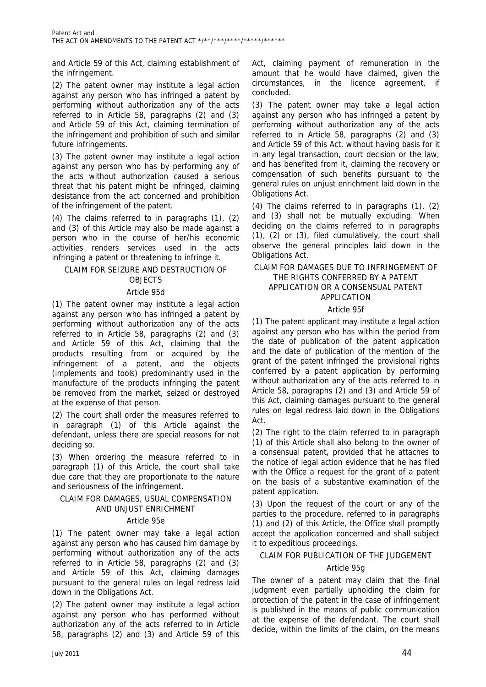and Article 59 of this Act, claiming establishment of the infringement.

(2) The patent owner may institute a legal action against any person who has infringed a patent by performing without authorization any of the acts referred to in Article 58, paragraphs (2) and (3) and Article 59 of this Act, claiming termination of the infringement and prohibition of such and similar future infringements.

(3) The patent owner may institute a legal action against any person who has by performing any of the acts without authorization caused a serious threat that his patent might be infringed, claiming desistance from the act concerned and prohibition of the infringement of the patent.

(4) The claims referred to in paragraphs (1), (2) and (3) of this Article may also be made against a person who in the course of her/his economic activities renders services used in the acts infringing a patent or threatening to infringe it.

# CLAIM FOR SEIZURE AND DESTRUCTION OF OBJECTS

# Article 95d

(1) The patent owner may institute a legal action against any person who has infringed a patent by performing without authorization any of the acts referred to in Article 58, paragraphs (2) and (3) and Article 59 of this Act, claiming that the products resulting from or acquired by the infringement of a patent, and the objects (implements and tools) predominantly used in the manufacture of the products infringing the patent be removed from the market, seized or destroyed at the expense of that person.

(2) The court shall order the measures referred to in paragraph (1) of this Article against the defendant, unless there are special reasons for not deciding so.

(3) When ordering the measure referred to in paragraph (1) of this Article, the court shall take due care that they are proportionate to the nature and seriousness of the infringement.

# CLAIM FOR DAMAGES, USUAL COMPENSATION AND UNJUST ENRICHMENT

# Article 95e

(1) The patent owner may take a legal action against any person who has caused him damage by performing without authorization any of the acts referred to in Article 58, paragraphs (2) and (3) and Article 59 of this Act, claiming damages pursuant to the general rules on legal redress laid down in the Obligations Act.

(2) The patent owner may institute a legal action against any person who has performed without authorization any of the acts referred to in Article 58, paragraphs (2) and (3) and Article 59 of this

Act, claiming payment of remuneration in the amount that he would have claimed, given the circumstances, in the licence agreement, if concluded.

(3) The patent owner may take a legal action against any person who has infringed a patent by performing without authorization any of the acts referred to in Article 58, paragraphs (2) and (3) and Article 59 of this Act, without having basis for it in any legal transaction, court decision or the law, and has benefited from it, claiming the recovery or compensation of such benefits pursuant to the general rules on unjust enrichment laid down in the Obligations Act.

(4) The claims referred to in paragraphs (1), (2) and (3) shall not be mutually excluding. When deciding on the claims referred to in paragraphs (1), (2) or (3), filed cumulatively, the court shall observe the general principles laid down in the Obligations Act.

# CLAIM FOR DAMAGES DUE TO INFRINGEMENT OF THE RIGHTS CONFERRED BY A PATENT APPLICATION OR A CONSENSUAL PATENT APPLICATION

# Article 95f

(1) The patent applicant may institute a legal action against any person who has within the period from the date of publication of the patent application and the date of publication of the mention of the grant of the patent infringed the provisional rights conferred by a patent application by performing without authorization any of the acts referred to in Article 58, paragraphs (2) and (3) and Article 59 of this Act, claiming damages pursuant to the general rules on legal redress laid down in the Obligations Act.

(2) The right to the claim referred to in paragraph (1) of this Article shall also belong to the owner of a consensual patent, provided that he attaches to the notice of legal action evidence that he has filed with the Office a request for the grant of a patent on the basis of a substantive examination of the patent application.

(3) Upon the request of the court or any of the parties to the procedure, referred to in paragraphs (1) and (2) of this Article, the Office shall promptly accept the application concerned and shall subject it to expeditious proceedings.

# CLAIM FOR PUBLICATION OF THE JUDGEMENT

# Article 95g

The owner of a patent may claim that the final judgment even partially upholding the claim for protection of the patent in the case of infringement is published in the means of public communication at the expense of the defendant. The court shall decide, within the limits of the claim, on the means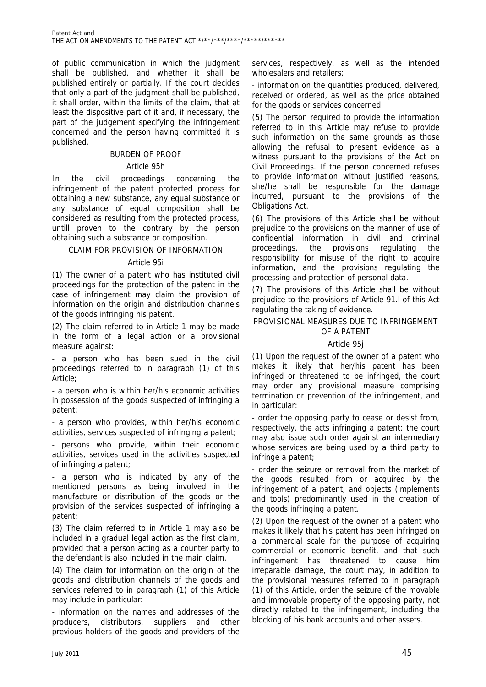of public communication in which the judgment shall be published, and whether it shall be published entirely or partially. If the court decides that only a part of the judgment shall be published, it shall order, within the limits of the claim, that at least the dispositive part of it and, if necessary, the part of the judgement specifying the infringement concerned and the person having committed it is published.

# BURDEN OF PROOF

# Article 95h

In the civil proceedings concerning the infringement of the patent protected process for obtaining a new substance, any equal substance or any substance of equal composition shall be considered as resulting from the protected process, untill proven to the contrary by the person obtaining such a substance or composition.

# CLAIM FOR PROVISION OF INFORMATION

# Article 95i

(1) The owner of a patent who has instituted civil proceedings for the protection of the patent in the case of infringement may claim the provision of information on the origin and distribution channels of the goods infringing his patent.

(2) The claim referred to in Article 1 may be made in the form of a legal action or a provisional measure against:

- a person who has been sued in the civil proceedings referred to in paragraph (1) of this Article;

- a person who is within her/his economic activities in possession of the goods suspected of infringing a patent;

- a person who provides, within her/his economic activities, services suspected of infringing a patent;

- persons who provide, within their economic activities, services used in the activities suspected of infringing a patent;

- a person who is indicated by any of the mentioned persons as being involved in the manufacture or distribution of the goods or the provision of the services suspected of infringing a patent;

(3) The claim referred to in Article 1 may also be included in a gradual legal action as the first claim, provided that a person acting as a counter party to the defendant is also included in the main claim.

(4) The claim for information on the origin of the goods and distribution channels of the goods and services referred to in paragraph (1) of this Article may include in particular:

- information on the names and addresses of the producers, distributors, suppliers and other previous holders of the goods and providers of the

services, respectively, as well as the intended wholesalers and retailers;

- information on the quantities produced, delivered, received or ordered, as well as the price obtained for the goods or services concerned.

(5) The person required to provide the information referred to in this Article may refuse to provide such information on the same grounds as those allowing the refusal to present evidence as a witness pursuant to the provisions of the Act on Civil Proceedings. If the person concerned refuses to provide information without justified reasons, she/he shall be responsible for the damage incurred, pursuant to the provisions of the Obligations Act.

(6) The provisions of this Article shall be without prejudice to the provisions on the manner of use of confidential information in civil and criminal proceedings, the provisions regulating the responsibility for misuse of the right to acquire information, and the provisions regulating the processing and protection of personal data.

(7) The provisions of this Article shall be without prejudice to the provisions of Article 91.l of this Act regulating the taking of evidence.

# PROVISIONAL MEASURES DUE TO INFRINGEMENT OF A PATENT

# Article 95j

(1) Upon the request of the owner of a patent who makes it likely that her/his patent has been infringed or threatened to be infringed, the court may order any provisional measure comprising termination or prevention of the infringement, and in particular:

- order the opposing party to cease or desist from, respectively, the acts infringing a patent; the court may also issue such order against an intermediary whose services are being used by a third party to infringe a patent;

- order the seizure or removal from the market of the goods resulted from or acquired by the infringement of a patent, and objects (implements and tools) predominantly used in the creation of the goods infringing a patent.

(2) Upon the request of the owner of a patent who makes it likely that his patent has been infringed on a commercial scale for the purpose of acquiring commercial or economic benefit, and that such infringement has threatened to cause him irreparable damage, the court may, in addition to the provisional measures referred to in paragraph (1) of this Article, order the seizure of the movable and immovable property of the opposing party, not directly related to the infringement, including the blocking of his bank accounts and other assets.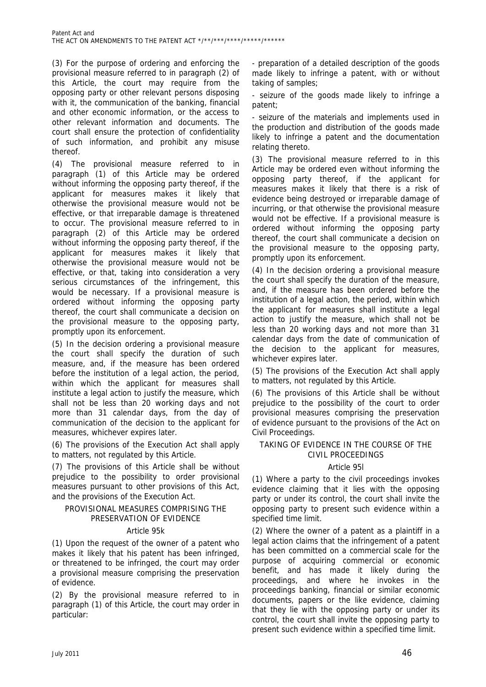(3) For the purpose of ordering and enforcing the provisional measure referred to in paragraph (2) of this Article, the court may require from the opposing party or other relevant persons disposing with it, the communication of the banking, financial and other economic information, or the access to other relevant information and documents. The court shall ensure the protection of confidentiality of such information, and prohibit any misuse thereof.

(4) The provisional measure referred to in paragraph (1) of this Article may be ordered without informing the opposing party thereof, if the applicant for measures makes it likely that otherwise the provisional measure would not be effective, or that irreparable damage is threatened to occur. The provisional measure referred to in paragraph (2) of this Article may be ordered without informing the opposing party thereof, if the applicant for measures makes it likely that otherwise the provisional measure would not be effective, or that, taking into consideration a very serious circumstances of the infringement, this would be necessary. If a provisional measure is ordered without informing the opposing party thereof, the court shall communicate a decision on the provisional measure to the opposing party, promptly upon its enforcement.

(5) In the decision ordering a provisional measure the court shall specify the duration of such measure, and, if the measure has been ordered before the institution of a legal action, the period, within which the applicant for measures shall institute a legal action to justify the measure, which shall not be less than 20 working days and not more than 31 calendar days, from the day of communication of the decision to the applicant for measures, whichever expires later.

(6) The provisions of the Execution Act shall apply to matters, not regulated by this Article.

(7) The provisions of this Article shall be without prejudice to the possibility to order provisional measures pursuant to other provisions of this Act, and the provisions of the Execution Act.

# PROVISIONAL MEASURES COMPRISING THE PRESERVATION OF EVIDENCE

# Article 95k

(1) Upon the request of the owner of a patent who makes it likely that his patent has been infringed, or threatened to be infringed, the court may order a provisional measure comprising the preservation of evidence.

(2) By the provisional measure referred to in paragraph (1) of this Article, the court may order in particular:

- preparation of a detailed description of the goods made likely to infringe a patent, with or without taking of samples;

- seizure of the goods made likely to infringe a patent;

- seizure of the materials and implements used in the production and distribution of the goods made likely to infringe a patent and the documentation relating thereto.

(3) The provisional measure referred to in this Article may be ordered even without informing the opposing party thereof, if the applicant for measures makes it likely that there is a risk of evidence being destroyed or irreparable damage of incurring, or that otherwise the provisional measure would not be effective. If a provisional measure is ordered without informing the opposing party thereof, the court shall communicate a decision on the provisional measure to the opposing party, promptly upon its enforcement.

(4) In the decision ordering a provisional measure the court shall specify the duration of the measure, and, if the measure has been ordered before the institution of a legal action, the period, within which the applicant for measures shall institute a legal action to justify the measure, which shall not be less than 20 working days and not more than 31 calendar days from the date of communication of the decision to the applicant for measures, whichever expires later.

(5) The provisions of the Execution Act shall apply to matters, not regulated by this Article.

(6) The provisions of this Article shall be without prejudice to the possibility of the court to order provisional measures comprising the preservation of evidence pursuant to the provisions of the Act on Civil Proceedings.

# TAKING OF EVIDENCE IN THE COURSE OF THE CIVIL PROCEEDINGS

# Article 95l

(1) Where a party to the civil proceedings invokes evidence claiming that it lies with the opposing party or under its control, the court shall invite the opposing party to present such evidence within a specified time limit.

(2) Where the owner of a patent as a plaintiff in a legal action claims that the infringement of a patent has been committed on a commercial scale for the purpose of acquiring commercial or economic benefit, and has made it likely during the proceedings, and where he invokes in the proceedings banking, financial or similar economic documents, papers or the like evidence, claiming that they lie with the opposing party or under its control, the court shall invite the opposing party to present such evidence within a specified time limit.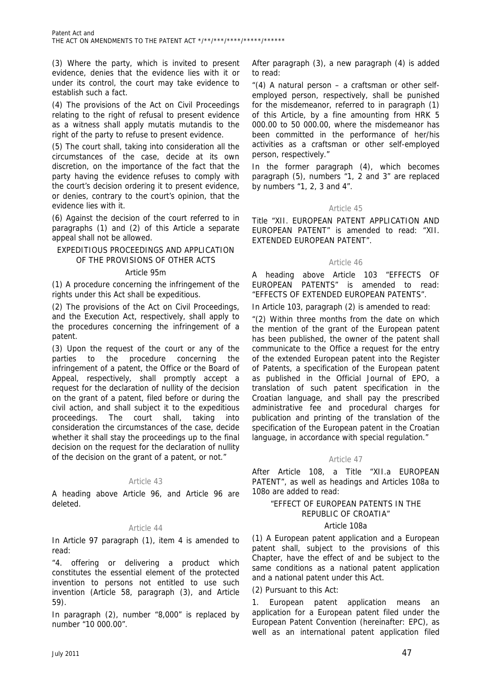(3) Where the party, which is invited to present evidence, denies that the evidence lies with it or under its control, the court may take evidence to establish such a fact.

(4) The provisions of the Act on Civil Proceedings relating to the right of refusal to present evidence as a witness shall apply mutatis mutandis to the right of the party to refuse to present evidence.

(5) The court shall, taking into consideration all the circumstances of the case, decide at its own discretion, on the importance of the fact that the party having the evidence refuses to comply with the court's decision ordering it to present evidence, or denies, contrary to the court's opinion, that the evidence lies with it.

(6) Against the decision of the court referred to in paragraphs (1) and (2) of this Article a separate appeal shall not be allowed.

# EXPEDITIOUS PROCEEDINGS AND APPLICATION OF THE PROVISIONS OF OTHER ACTS

# Article 95m

(1) A procedure concerning the infringement of the rights under this Act shall be expeditious.

(2) The provisions of the Act on Civil Proceedings, and the Execution Act, respectively, shall apply to the procedures concerning the infringement of a patent.

(3) Upon the request of the court or any of the parties to the procedure concerning the infringement of a patent, the Office or the Board of Appeal, respectively, shall promptly accept a request for the declaration of nullity of the decision on the grant of a patent, filed before or during the civil action, and shall subject it to the expeditious proceedings. The court shall, taking into consideration the circumstances of the case, decide whether it shall stay the proceedings up to the final decision on the request for the declaration of nullity of the decision on the grant of a patent, or not."

# Article 43

A heading above Article 96, and Article 96 are deleted.

# Article 44

In Article 97 paragraph (1), item 4 is amended to read:

"4. offering or delivering a product which constitutes the essential element of the protected invention to persons not entitled to use such invention (Article 58, paragraph (3), and Article 59).

In paragraph (2), number "8,000" is replaced by number "10 000.00".

After paragraph (3), a new paragraph (4) is added to read:

"(4) A natural person – a craftsman or other selfemployed person, respectively, shall be punished for the misdemeanor, referred to in paragraph (1) of this Article, by a fine amounting from HRK 5 000.00 to 50 000.00, where the misdemeanor has been committed in the performance of her/his activities as a craftsman or other self-employed person, respectively."

In the former paragraph (4), which becomes paragraph (5), numbers "1, 2 and 3" are replaced by numbers "1, 2, 3 and 4".

# Article 45

Title "XII. EUROPEAN PATENT APPLICATION AND EUROPEAN PATENT" is amended to read: "XII. EXTENDED EUROPEAN PATENT".

# Article 46

A heading above Article 103 "EFFECTS OF EUROPEAN PATENTS" is amended to read: "EFFECTS OF EXTENDED EUROPEAN PATENTS".

In Article 103, paragraph (2) is amended to read:

"(2) Within three months from the date on which the mention of the grant of the European patent has been published, the owner of the patent shall communicate to the Office a request for the entry of the extended European patent into the Register of Patents, a specification of the European patent as published in the Official Journal of EPO, a translation of such patent specification in the Croatian language, and shall pay the prescribed administrative fee and procedural charges for publication and printing of the translation of the specification of the European patent in the Croatian language, in accordance with special regulation."

# Article 47

After Article 108, a Title "XII.a EUROPEAN PATENT", as well as headings and Articles 108a to 108o are added to read:

# "EFFECT OF EUROPEAN PATENTS IN THE REPUBLIC OF CROATIA"

# Article 108a

(1) A European patent application and a European patent shall, subject to the provisions of this Chapter, have the effect of and be subject to the same conditions as a national patent application and a national patent under this Act.

(2) Pursuant to this Act:

1. European patent application means an application for a European patent filed under the European Patent Convention (hereinafter: EPC), as well as an international patent application filed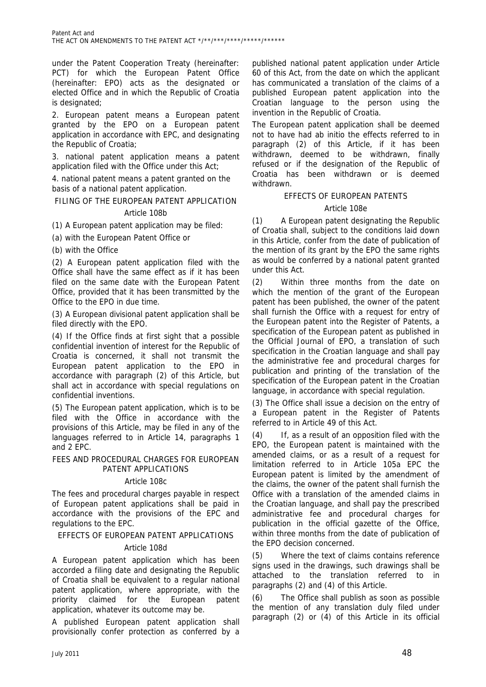under the Patent Cooperation Treaty (hereinafter: PCT) for which the European Patent Office (hereinafter: EPO) acts as the designated or elected Office and in which the Republic of Croatia is designated;

2. European patent means a European patent granted by the EPO on a European patent application in accordance with EPC, and designating the Republic of Croatia;

3. national patent application means a patent application filed with the Office under this Act;

4. national patent means a patent granted on the basis of a national patent application.

FILING OF THE EUROPEAN PATENT APPLICATION

# Article 108b

(1) A European patent application may be filed:

(a) with the European Patent Office or

(b) with the Office

(2) A European patent application filed with the Office shall have the same effect as if it has been filed on the same date with the European Patent Office, provided that it has been transmitted by the Office to the EPO in due time.

(3) A European divisional patent application shall be filed directly with the EPO.

(4) If the Office finds at first sight that a possible confidential invention of interest for the Republic of Croatia is concerned, it shall not transmit the European patent application to the EPO in accordance with paragraph (2) of this Article, but shall act in accordance with special regulations on confidential inventions.

(5) The European patent application, which is to be filed with the Office in accordance with the provisions of this Article, may be filed in any of the languages referred to in Article 14, paragraphs 1 and 2 EPC.

#### FEES AND PROCEDURAL CHARGES FOR EUROPEAN PATENT APPLICATIONS

# Article 108c

The fees and procedural charges payable in respect of European patent applications shall be paid in accordance with the provisions of the EPC and regulations to the EPC.

EFFECTS OF EUROPEAN PATENT APPLICATIONS

# Article 108d

A European patent application which has been accorded a filing date and designating the Republic of Croatia shall be equivalent to a regular national patent application, where appropriate, with the priority claimed for the European patent application, whatever its outcome may be.

A published European patent application shall provisionally confer protection as conferred by a

published national patent application under Article 60 of this Act, from the date on which the applicant has communicated a translation of the claims of a published European patent application into the Croatian language to the person using the invention in the Republic of Croatia.

The European patent application shall be deemed not to have had ab initio the effects referred to in paragraph (2) of this Article, if it has been withdrawn, deemed to be withdrawn, finally refused or if the designation of the Republic of Croatia has been withdrawn or is deemed withdrawn.

# EFFECTS OF EUROPEAN PATENTS

# Article 108e

(1) A European patent designating the Republic of Croatia shall, subject to the conditions laid down in this Article, confer from the date of publication of the mention of its grant by the EPO the same rights as would be conferred by a national patent granted under this Act.

(2) Within three months from the date on which the mention of the grant of the European patent has been published, the owner of the patent shall furnish the Office with a request for entry of the European patent into the Register of Patents, a specification of the European patent as published in the Official Journal of EPO, a translation of such specification in the Croatian language and shall pay the administrative fee and procedural charges for publication and printing of the translation of the specification of the European patent in the Croatian language, in accordance with special regulation.

(3) The Office shall issue a decision on the entry of a European patent in the Register of Patents referred to in Article 49 of this Act.

(4) If, as a result of an opposition filed with the EPO, the European patent is maintained with the amended claims, or as a result of a request for limitation referred to in Article 105a EPC the European patent is limited by the amendment of the claims, the owner of the patent shall furnish the Office with a translation of the amended claims in the Croatian language, and shall pay the prescribed administrative fee and procedural charges for publication in the official gazette of the Office, within three months from the date of publication of the EPO decision concerned.

(5) Where the text of claims contains reference signs used in the drawings, such drawings shall be attached to the translation referred to in paragraphs (2) and (4) of this Article.

(6) The Office shall publish as soon as possible the mention of any translation duly filed under paragraph (2) or (4) of this Article in its official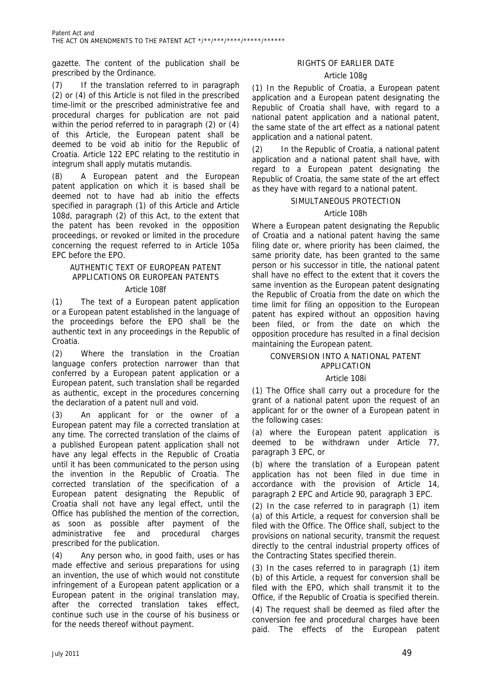gazette. The content of the publication shall be prescribed by the Ordinance.

(7) If the translation referred to in paragraph (2) or (4) of this Article is not filed in the prescribed time-limit or the prescribed administrative fee and procedural charges for publication are not paid within the period referred to in paragraph (2) or (4) of this Article, the European patent shall be deemed to be void ab initio for the Republic of Croatia. Article 122 EPC relating to the restitutio in integrum shall apply mutatis mutandis.

A European patent and the European patent application on which it is based shall be deemed not to have had ab initio the effects specified in paragraph (1) of this Article and Article 108d, paragraph (2) of this Act, to the extent that the patent has been revoked in the opposition proceedings, or revoked or limited in the procedure concerning the request referred to in Article 105a EPC before the EPO.

# AUTHENTIC TEXT OF EUROPEAN PATENT APPLICATIONS OR EUROPEAN PATENTS

# Article 108f

(1) The text of a European patent application or a European patent established in the language of the proceedings before the EPO shall be the authentic text in any proceedings in the Republic of Croatia.

(2) Where the translation in the Croatian language confers protection narrower than that conferred by a European patent application or a European patent, such translation shall be regarded as authentic, except in the procedures concerning the declaration of a patent null and void.

(3) An applicant for or the owner of a European patent may file a corrected translation at any time. The corrected translation of the claims of a published European patent application shall not have any legal effects in the Republic of Croatia until it has been communicated to the person using the invention in the Republic of Croatia. The corrected translation of the specification of a European patent designating the Republic of Croatia shall not have any legal effect, until the Office has published the mention of the correction, as soon as possible after payment of the administrative fee and procedural charges prescribed for the publication.

(4) Any person who, in good faith, uses or has made effective and serious preparations for using an invention, the use of which would not constitute infringement of a European patent application or a European patent in the original translation may, after the corrected translation takes effect, continue such use in the course of his business or for the needs thereof without payment.

# RIGHTS OF EARLIER DATE

# Article 108g

(1) In the Republic of Croatia, a European patent application and a European patent designating the Republic of Croatia shall have, with regard to a national patent application and a national patent, the same state of the art effect as a national patent application and a national patent.

(2) In the Republic of Croatia, a national patent application and a national patent shall have, with regard to a European patent designating the Republic of Croatia, the same state of the art effect as they have with regard to a national patent.

# SIMULTANEOUS PROTECTION

# Article 108h

Where a European patent designating the Republic of Croatia and a national patent having the same filing date or, where priority has been claimed, the same priority date, has been granted to the same person or his successor in title, the national patent shall have no effect to the extent that it covers the same invention as the European patent designating the Republic of Croatia from the date on which the time limit for filing an opposition to the European patent has expired without an opposition having been filed, or from the date on which the opposition procedure has resulted in a final decision maintaining the European patent.

# CONVERSION INTO A NATIONAL PATENT APPLICATION

# Article 108i

(1) The Office shall carry out a procedure for the grant of a national patent upon the request of an applicant for or the owner of a European patent in the following cases:

(a) where the European patent application is deemed to be withdrawn under Article 77, paragraph 3 EPC, or

(b) where the translation of a European patent application has not been filed in due time in accordance with the provision of Article 14, paragraph 2 EPC and Article 90, paragraph 3 EPC.

(2) In the case referred to in paragraph (1) item (a) of this Article, a request for conversion shall be filed with the Office. The Office shall, subject to the provisions on national security, transmit the request directly to the central industrial property offices of the Contracting States specified therein.

(3) In the cases referred to in paragraph (1) item (b) of this Article, a request for conversion shall be filed with the EPO, which shall transmit it to the Office, if the Republic of Croatia is specified therein.

(4) The request shall be deemed as filed after the conversion fee and procedural charges have been paid. The effects of the European patent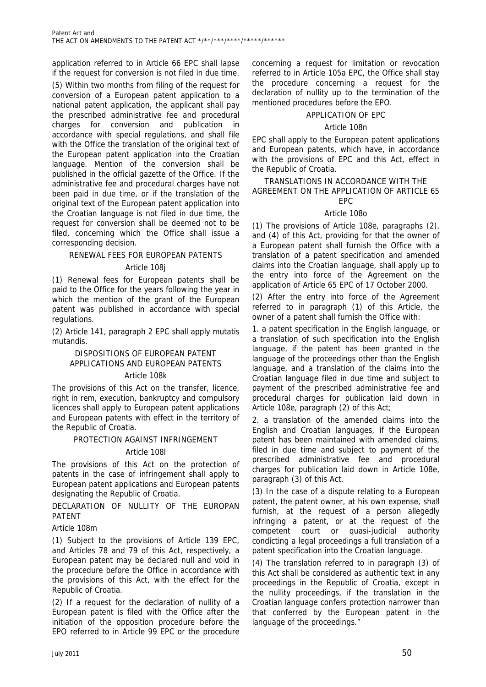application referred to in Article 66 EPC shall lapse if the request for conversion is not filed in due time.

(5) Within two months from filing of the request for conversion of a European patent application to a national patent application, the applicant shall pay the prescribed administrative fee and procedural charges for conversion and publication in accordance with special regulations, and shall file with the Office the translation of the original text of the European patent application into the Croatian language. Mention of the conversion shall be published in the official gazette of the Office. If the administrative fee and procedural charges have not been paid in due time, or if the translation of the original text of the European patent application into the Croatian language is not filed in due time, the request for conversion shall be deemed not to be filed, concerning which the Office shall issue a corresponding decision.

# RENEWAL FEES FOR EUROPEAN PATENTS

# Article 108j

(1) Renewal fees for European patents shall be paid to the Office for the years following the year in which the mention of the grant of the European patent was published in accordance with special regulations.

(2) Article 141, paragraph 2 EPC shall apply mutatis mutandis.

# DISPOSITIONS OF EUROPEAN PATENT APPLICATIONS AND EUROPEAN PATENTS

#### Article 108k

The provisions of this Act on the transfer, licence, right in rem, execution, bankruptcy and compulsory licences shall apply to European patent applications and European patents with effect in the territory of the Republic of Croatia.

# PROTECTION AGAINST INFRINGEMENT

# Article 108l

The provisions of this Act on the protection of patents in the case of infringement shall apply to European patent applications and European patents designating the Republic of Croatia.

DECLARATION OF NULLITY OF THE FUROPAN PATENT

Article 108m

(1) Subject to the provisions of Article 139 EPC, and Articles 78 and 79 of this Act, respectively, a European patent may be declared null and void in the procedure before the Office in accordance with the provisions of this Act, with the effect for the Republic of Croatia.

(2) If a request for the declaration of nullity of a European patent is filed with the Office after the initiation of the opposition procedure before the EPO referred to in Article 99 EPC or the procedure

concerning a request for limitation or revocation referred to in Article 105a EPC, the Office shall stay the procedure concerning a request for the declaration of nullity up to the termination of the mentioned procedures before the EPO.

# APPLICATION OF EPC

# Article 108n

EPC shall apply to the European patent applications and European patents, which have, in accordance with the provisions of EPC and this Act, effect in the Republic of Croatia.

#### TRANSLATIONS IN ACCORDANCE WITH THE AGREEMENT ON THE APPLICATION OF ARTICLE 65 EPC

# Article 108o

(1) The provisions of Article 108e, paragraphs (2), and (4) of this Act, providing for that the owner of a European patent shall furnish the Office with a translation of a patent specification and amended claims into the Croatian language, shall apply up to the entry into force of the Agreement on the application of Article 65 EPC of 17 October 2000.

(2) After the entry into force of the Agreement referred to in paragraph (1) of this Article, the owner of a patent shall furnish the Office with:

1. a patent specification in the English language, or a translation of such specification into the English language, if the patent has been granted in the language of the proceedings other than the English language, and a translation of the claims into the Croatian language filed in due time and subject to payment of the prescribed administrative fee and procedural charges for publication laid down in Article 108e, paragraph (2) of this Act;

2. a translation of the amended claims into the English and Croatian languages, if the European patent has been maintained with amended claims, filed in due time and subject to payment of the prescribed administrative fee and procedural charges for publication laid down in Article 108e, paragraph (3) of this Act.

(3) In the case of a dispute relating to a European patent, the patent owner, at his own expense, shall furnish, at the request of a person allegedly infringing a patent, or at the request of the competent court or quasi-judicial authority condicting a legal proceedings a full translation of a patent specification into the Croatian language.

(4) The translation referred to in paragraph (3) of this Act shall be considered as authentic text in any proceedings in the Republic of Croatia, except in the nullity proceedings, if the translation in the Croatian language confers protection narrower than that conferred by the European patent in the language of the proceedings."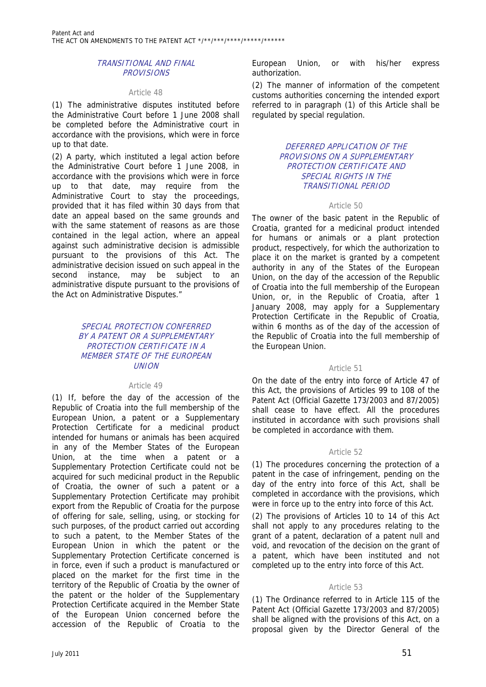# TRANSITIONAL AND FINAL **PROVISIONS**

#### Article 48

(1) The administrative disputes instituted before the Administrative Court before 1 June 2008 shall be completed before the Administrative court in accordance with the provisions, which were in force up to that date.

(2) A party, which instituted a legal action before the Administrative Court before 1 June 2008, in accordance with the provisions which were in force up to that date, may require from the Administrative Court to stay the proceedings, provided that it has filed within 30 days from that date an appeal based on the same grounds and with the same statement of reasons as are those contained in the legal action, where an appeal against such administrative decision is admissible pursuant to the provisions of this Act. The administrative decision issued on such appeal in the second instance, may be subject to an administrative dispute pursuant to the provisions of the Act on Administrative Disputes."

# SPECIAL PROTECTION CONFERRED BY A PATENT OR A SUPPLEMENTARY PROTECTION CERTIFICATE IN A MEMBER STATE OF THE EUROPEAN **UNION**

#### Article 49

(1) If, before the day of the accession of the Republic of Croatia into the full membership of the European Union, a patent or a Supplementary Protection Certificate for a medicinal product intended for humans or animals has been acquired in any of the Member States of the European Union, at the time when a patent or a Supplementary Protection Certificate could not be acquired for such medicinal product in the Republic of Croatia, the owner of such a patent or a Supplementary Protection Certificate may prohibit export from the Republic of Croatia for the purpose of offering for sale, selling, using, or stocking for such purposes, of the product carried out according to such a patent, to the Member States of the European Union in which the patent or the Supplementary Protection Certificate concerned is in force, even if such a product is manufactured or placed on the market for the first time in the territory of the Republic of Croatia by the owner of the patent or the holder of the Supplementary Protection Certificate acquired in the Member State of the European Union concerned before the accession of the Republic of Croatia to the

European Union, or with his/her express authorization.

(2) The manner of information of the competent customs authorities concerning the intended export referred to in paragraph (1) of this Article shall be regulated by special regulation.

#### DEFERRED APPLICATION OF THE PROVISIONS ON A SUPPLEMENTARY PROTECTION CERTIFICATE AND SPECIAL RIGHTS IN THE TRANSITIONAL PERIOD

#### Article 50

The owner of the basic patent in the Republic of Croatia, granted for a medicinal product intended for humans or animals or a plant protection product, respectively, for which the authorization to place it on the market is granted by a competent authority in any of the States of the European Union, on the day of the accession of the Republic of Croatia into the full membership of the European Union, or, in the Republic of Croatia, after 1 January 2008, may apply for a Supplementary Protection Certificate in the Republic of Croatia, within 6 months as of the day of the accession of the Republic of Croatia into the full membership of the European Union.

#### Article 51

On the date of the entry into force of Article 47 of this Act, the provisions of Articles 99 to 108 of the Patent Act (Official Gazette 173/2003 and 87/2005) shall cease to have effect. All the procedures instituted in accordance with such provisions shall be completed in accordance with them.

#### Article 52

(1) The procedures concerning the protection of a patent in the case of infringement, pending on the day of the entry into force of this Act, shall be completed in accordance with the provisions, which were in force up to the entry into force of this Act.

(2) The provisions of Articles 10 to 14 of this Act shall not apply to any procedures relating to the grant of a patent, declaration of a patent null and void, and revocation of the decision on the grant of a patent, which have been instituted and not completed up to the entry into force of this Act.

#### Article 53

(1) The Ordinance referred to in Article 115 of the Patent Act (Official Gazette 173/2003 and 87/2005) shall be aligned with the provisions of this Act, on a proposal given by the Director General of the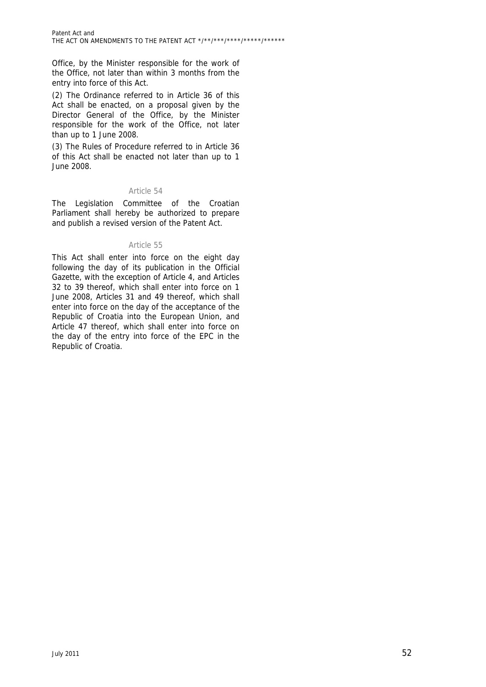Office, by the Minister responsible for the work of the Office, not later than within 3 months from the entry into force of this Act.

(2) The Ordinance referred to in Article 36 of this Act shall be enacted, on a proposal given by the Director General of the Office, by the Minister responsible for the work of the Office, not later than up to 1 June 2008.

(3) The Rules of Procedure referred to in Article 36 of this Act shall be enacted not later than up to 1 June 2008.

# Article 54

The Legislation Committee of the Croatian Parliament shall hereby be authorized to prepare and publish a revised version of the Patent Act.

# Article 55

This Act shall enter into force on the eight day following the day of its publication in the Official Gazette, with the exception of Article 4, and Articles 32 to 39 thereof, which shall enter into force on 1 June 2008, Articles 31 and 49 thereof, which shall enter into force on the day of the acceptance of the Republic of Croatia into the European Union, and Article 47 thereof, which shall enter into force on the day of the entry into force of the EPC in the Republic of Croatia.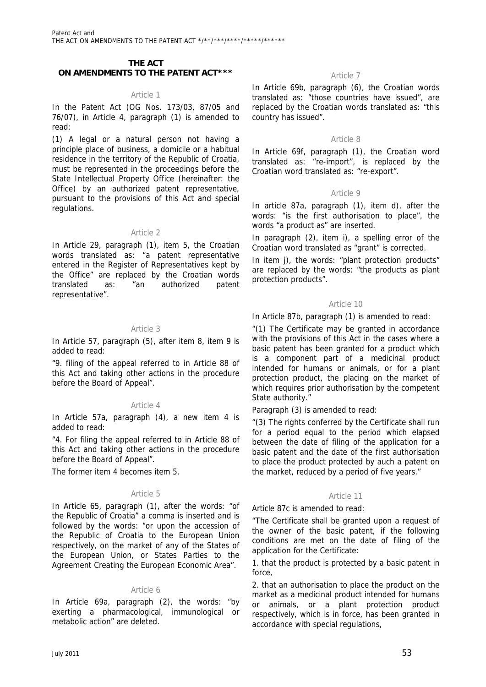# **THE ACT ON AMENDMENTS TO THE PATENT ACT\*\*\* Active Active Active 7** Article 7

#### Article 1

In the Patent Act (OG Nos. 173/03, 87/05 and 76/07), in Article 4, paragraph (1) is amended to read:

(1) A legal or a natural person not having a principle place of business, a domicile or a habitual residence in the territory of the Republic of Croatia, must be represented in the proceedings before the State Intellectual Property Office (hereinafter: the Office) by an authorized patent representative, pursuant to the provisions of this Act and special regulations.

# Article 2

In Article 29, paragraph (1), item 5, the Croatian words translated as: "a patent representative entered in the Register of Representatives kept by the Office" are replaced by the Croatian words translated as: "an authorized patent representative".

# Article 3

In Article 57, paragraph (5), after item 8, item 9 is added to read:

"9. filing of the appeal referred to in Article 88 of this Act and taking other actions in the procedure before the Board of Appeal".

# Article 4

In Article 57a, paragraph (4), a new item 4 is added to read:

"4. For filing the appeal referred to in Article 88 of this Act and taking other actions in the procedure before the Board of Appeal".

The former item 4 becomes item 5.

# Article 5

In Article 65, paragraph (1), after the words: "of the Republic of Croatia" a comma is inserted and is followed by the words: "or upon the accession of the Republic of Croatia to the European Union respectively, on the market of any of the States of the European Union, or States Parties to the Agreement Creating the European Economic Area".

#### Article 6

In Article 69a, paragraph (2), the words: "by exerting a pharmacological, immunological or metabolic action" are deleted.

In Article 69b, paragraph (6), the Croatian words translated as: "those countries have issued", are replaced by the Croatian words translated as: "this country has issued".

# Article 8

In Article 69f, paragraph (1), the Croatian word translated as: "re-import", is replaced by the Croatian word translated as: "re-export".

#### Article 9

In article 87a, paragraph (1), item d), after the words: "is the first authorisation to place", the words "a product as" are inserted.

In paragraph (2), item i), a spelling error of the Croatian word translated as "grant" is corrected.

In item j), the words: "plant protection products" are replaced by the words: "the products as plant protection products".

# Article 10

In Article 87b, paragraph (1) is amended to read:

"(1) The Certificate may be granted in accordance with the provisions of this Act in the cases where a basic patent has been granted for a product which is a component part of a medicinal product intended for humans or animals, or for a plant protection product, the placing on the market of which requires prior authorisation by the competent State authority."

Paragraph (3) is amended to read:

"(3) The rights conferred by the Certificate shall run for a period equal to the period which elapsed between the date of filing of the application for a basic patent and the date of the first authorisation to place the product protected by auch a patent on the market, reduced by a period of five years."

#### Article 11

Article 87c is amended to read:

"The Certificate shall be granted upon a request of the owner of the basic patent, if the following conditions are met on the date of filing of the application for the Certificate:

1. that the product is protected by a basic patent in force,

2. that an authorisation to place the product on the market as a medicinal product intended for humans or animals, or a plant protection product respectively, which is in force, has been granted in accordance with special regulations,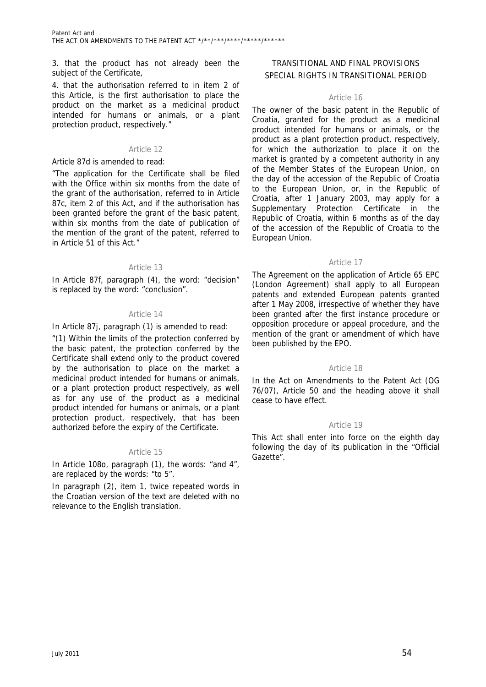3. that the product has not already been the subject of the Certificate,

4. that the authorisation referred to in item 2 of this Article, is the first authorisation to place the product on the market as a medicinal product intended for humans or animals, or a plant protection product, respectively."

#### Article 12

#### Article 87d is amended to read:

"The application for the Certificate shall be filed with the Office within six months from the date of the grant of the authorisation, referred to in Article 87c, item 2 of this Act, and if the authorisation has been granted before the grant of the basic patent, within six months from the date of publication of the mention of the grant of the patent, referred to in Article 51 of this Act."

# Article 13

In Article 87f, paragraph (4), the word: "decision" is replaced by the word: "conclusion".

# Article 14

In Article 87j, paragraph (1) is amended to read:

"(1) Within the limits of the protection conferred by the basic patent, the protection conferred by the Certificate shall extend only to the product covered by the authorisation to place on the market a medicinal product intended for humans or animals, or a plant protection product respectively, as well as for any use of the product as a medicinal product intended for humans or animals, or a plant protection product, respectively, that has been authorized before the expiry of the Certificate.

#### Article 15

In Article 108o, paragraph (1), the words: "and 4", are replaced by the words: "to 5".

In paragraph (2), item 1, twice repeated words in the Croatian version of the text are deleted with no relevance to the English translation.

# TRANSITIONAL AND FINAL PROVISIONS SPECIAL RIGHTS IN TRANSITIONAL PERIOD

# Article 16

The owner of the basic patent in the Republic of Croatia, granted for the product as a medicinal product intended for humans or animals, or the product as a plant protection product, respectively, for which the authorization to place it on the market is granted by a competent authority in any of the Member States of the European Union, on the day of the accession of the Republic of Croatia to the European Union, or, in the Republic of Croatia, after 1 January 2003, may apply for a Supplementary Protection Certificate in the Republic of Croatia, within 6 months as of the day of the accession of the Republic of Croatia to the European Union.

#### Article 17

The Agreement on the application of Article 65 EPC (London Agreement) shall apply to all European patents and extended European patents granted after 1 May 2008, irrespective of whether they have been granted after the first instance procedure or opposition procedure or appeal procedure, and the mention of the grant or amendment of which have been published by the EPO.

# Article 18

In the Act on Amendments to the Patent Act (OG 76/07), Article 50 and the heading above it shall cease to have effect.

# Article 19

This Act shall enter into force on the eighth day following the day of its publication in the "Official Gazette".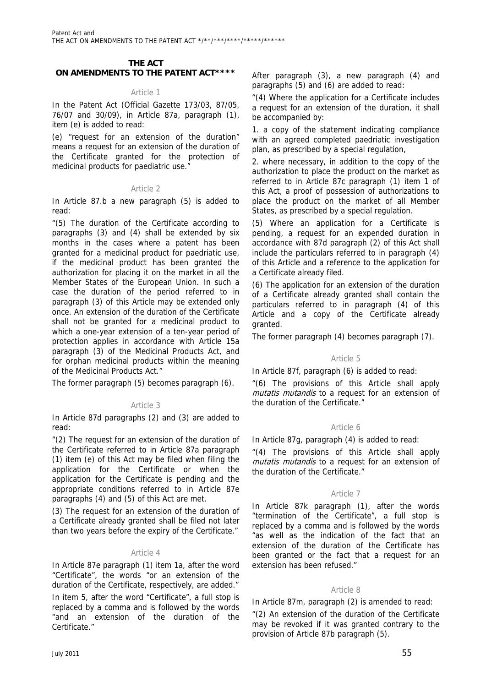#### **THE ACT ON AMENDMENTS TO THE PATENT ACT\*\*\*\***

# Article 1

In the Patent Act (Official Gazette 173/03, 87/05, 76/07 and 30/09), in Article 87a, paragraph (1), item (e) is added to read:

(e) "request for an extension of the duration" means a request for an extension of the duration of the Certificate granted for the protection of medicinal products for paediatric use."

#### Article 2

In Article 87.b a new paragraph (5) is added to read:

"(5) The duration of the Certificate according to paragraphs (3) and (4) shall be extended by six months in the cases where a patent has been granted for a medicinal product for paedriatic use, if the medicinal product has been granted the authorization for placing it on the market in all the Member States of the European Union. In such a case the duration of the period referred to in paragraph (3) of this Article may be extended only once. An extension of the duration of the Certificate shall not be granted for a medicinal product to which a one-year extension of a ten-year period of protection applies in accordance with Article 15a paragraph (3) of the Medicinal Products Act, and for orphan medicinal products within the meaning of the Medicinal Products Act."

The former paragraph (5) becomes paragraph (6).

# Article 3

In Article 87d paragraphs (2) and (3) are added to read:

"(2) The request for an extension of the duration of the Certificate referred to in Article 87a paragraph (1) item (e) of this Act may be filed when filing the application for the Certificate or when the application for the Certificate is pending and the appropriate conditions referred to in Article 87e paragraphs (4) and (5) of this Act are met.

(3) The request for an extension of the duration of a Certificate already granted shall be filed not later than two years before the expiry of the Certificate."

# Article 4

In Article 87e paragraph (1) item 1a, after the word "Certificate", the words "or an extension of the duration of the Certificate, respectively, are added." In item 5, after the word "Certificate", a full stop is

replaced by a comma and is followed by the words "and an extension of the duration of the Certificate."

After paragraph (3), a new paragraph (4) and paragraphs (5) and (6) are added to read:

"(4) Where the application for a Certificate includes a request for an extension of the duration, it shall be accompanied by:

1. a copy of the statement indicating compliance with an agreed completed paedriatic investigation plan, as prescribed by a special regulation,

2. where necessary, in addition to the copy of the authorization to place the product on the market as referred to in Article 87c paragraph (1) item 1 of this Act, a proof of possession of authorizations to place the product on the market of all Member States, as prescribed by a special regulation.

(5) Where an application for a Certificate is pending, a request for an expended duration in accordance with 87d paragraph (2) of this Act shall include the particulars referred to in paragraph (4) of this Article and a reference to the application for a Certificate already filed.

(6) The application for an extension of the duration of a Certificate already granted shall contain the particulars referred to in paragraph (4) of this Article and a copy of the Certificate already granted.

The former paragraph (4) becomes paragraph (7).

# Article 5

In Article 87f, paragraph (6) is added to read:

"(6) The provisions of this Article shall apply mutatis mutandis to a request for an extension of the duration of the Certificate."

# Article 6

In Article 87g, paragraph (4) is added to read:

"(4) The provisions of this Article shall apply mutatis mutandis to a request for an extension of the duration of the Certificate."

# Article 7

In Article 87k paragraph (1), after the words "termination of the Certificate", a full stop is replaced by a comma and is followed by the words "as well as the indication of the fact that an extension of the duration of the Certificate has been granted or the fact that a request for an extension has been refused."

# Article 8

In Article 87m, paragraph (2) is amended to read:

"(2) An extension of the duration of the Certificate may be revoked if it was granted contrary to the provision of Article 87b paragraph (5).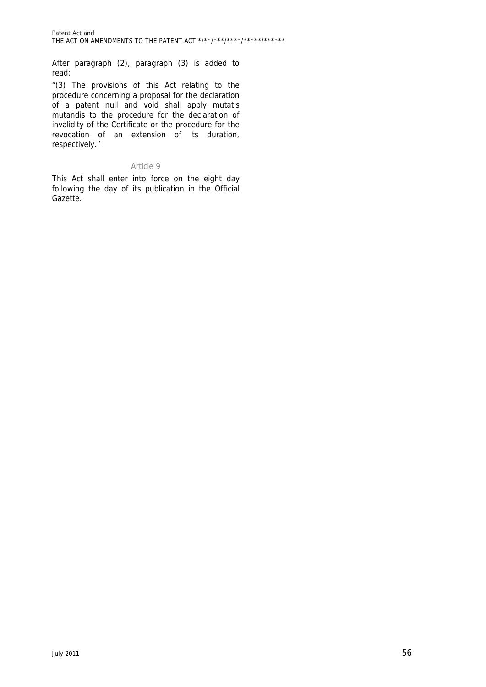After paragraph (2), paragraph (3) is added to read:

"(3) The provisions of this Act relating to the procedure concerning a proposal for the declaration of a patent null and void shall apply mutatis mutandis to the procedure for the declaration of invalidity of the Certificate or the procedure for the revocation of an extension of its duration, respectively."

# Article 9

This Act shall enter into force on the eight day following the day of its publication in the Official Gazette.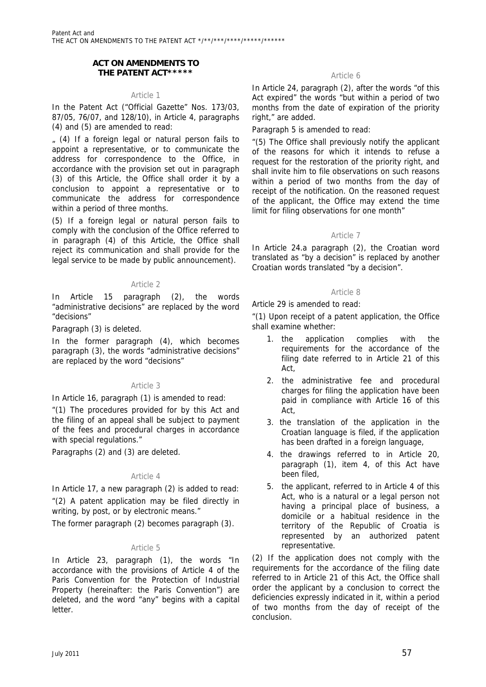# **ACT ON AMENDMENTS TO THE PATENT ACT\*\*\*\*\* Article 6**

#### Article 1

In the Patent Act ("Official Gazette" Nos. 173/03, 87/05, 76/07, and 128/10), in Article 4, paragraphs (4) and (5) are amended to read:

 $(4)$  If a foreign legal or natural person fails to appoint a representative, or to communicate the address for correspondence to the Office, in accordance with the provision set out in paragraph (3) of this Article, the Office shall order it by a conclusion to appoint a representative or to communicate the address for correspondence within a period of three months.

(5) If a foreign legal or natural person fails to comply with the conclusion of the Office referred to in paragraph (4) of this Article, the Office shall reject its communication and shall provide for the legal service to be made by public announcement).

# Article 2

In Article 15 paragraph (2), the words "administrative decisions" are replaced by the word "decisions"

Paragraph (3) is deleted.

In the former paragraph (4), which becomes paragraph (3), the words "administrative decisions" are replaced by the word "decisions"

# Article 3

In Article 16, paragraph (1) is amended to read:

"(1) The procedures provided for by this Act and the filing of an appeal shall be subject to payment of the fees and procedural charges in accordance with special regulations."

Paragraphs (2) and (3) are deleted.

#### Article 4

In Article 17, a new paragraph (2) is added to read: "(2) A patent application may be filed directly in writing, by post, or by electronic means."

The former paragraph (2) becomes paragraph (3).

#### Article 5

In Article 23, paragraph (1), the words "In accordance with the provisions of Article 4 of the Paris Convention for the Protection of Industrial Property (hereinafter: the Paris Convention") are deleted, and the word "any" begins with a capital letter.

In Article 24, paragraph (2), after the words "of this Act expired" the words "but within a period of two months from the date of expiration of the priority right," are added.

Paragraph 5 is amended to read:

"(5) The Office shall previously notify the applicant of the reasons for which it intends to refuse a request for the restoration of the priority right, and shall invite him to file observations on such reasons within a period of two months from the day of receipt of the notification. On the reasoned request of the applicant, the Office may extend the time limit for filing observations for one month"

# Article 7

In Article 24.a paragraph (2), the Croatian word translated as "by a decision" is replaced by another Croatian words translated "by a decision".

#### Article 8

Article 29 is amended to read:

"(1) Upon receipt of a patent application, the Office shall examine whether:

- 1. the application complies with the requirements for the accordance of the filing date referred to in Article 21 of this Act,
- 2. the administrative fee and procedural charges for filing the application have been paid in compliance with Article 16 of this Act,
- 3. the translation of the application in the Croatian language is filed, if the application has been drafted in a foreign language,
- 4. the drawings referred to in Article 20, paragraph (1), item 4, of this Act have been filed,
- 5. the applicant, referred to in Article 4 of this Act, who is a natural or a legal person not having a principal place of business, a domicile or a habitual residence in the territory of the Republic of Croatia is represented by an authorized patent representative.

(2) If the application does not comply with the requirements for the accordance of the filing date referred to in Article 21 of this Act, the Office shall order the applicant by a conclusion to correct the deficiencies expressly indicated in it, within a period of two months from the day of receipt of the conclusion.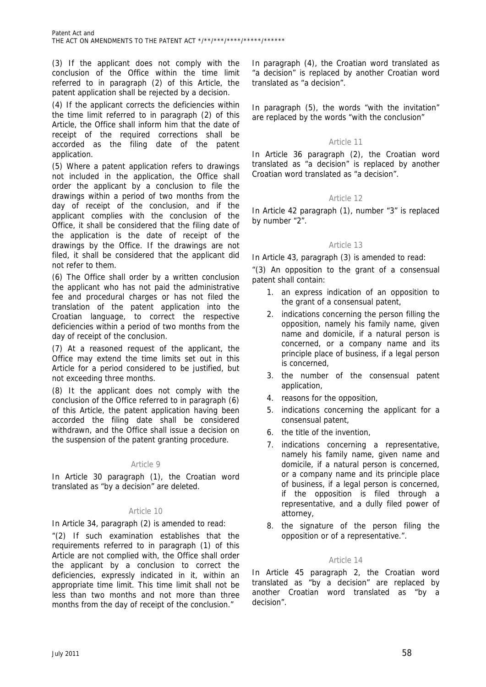(3) If the applicant does not comply with the conclusion of the Office within the time limit referred to in paragraph (2) of this Article, the patent application shall be rejected by a decision.

(4) If the applicant corrects the deficiencies within the time limit referred to in paragraph (2) of this Article, the Office shall inform him that the date of receipt of the required corrections shall be accorded as the filing date of the patent application.

(5) Where a patent application refers to drawings not included in the application, the Office shall order the applicant by a conclusion to file the drawings within a period of two months from the day of receipt of the conclusion, and if the applicant complies with the conclusion of the Office, it shall be considered that the filing date of the application is the date of receipt of the drawings by the Office. If the drawings are not filed, it shall be considered that the applicant did not refer to them.

(6) The Office shall order by a written conclusion the applicant who has not paid the administrative fee and procedural charges or has not filed the translation of the patent application into the Croatian language, to correct the respective deficiencies within a period of two months from the day of receipt of the conclusion.

(7) At a reasoned request of the applicant, the Office may extend the time limits set out in this Article for a period considered to be justified, but not exceeding three months.

(8) It the applicant does not comply with the conclusion of the Office referred to in paragraph (6) of this Article, the patent application having been accorded the filing date shall be considered withdrawn, and the Office shall issue a decision on the suspension of the patent granting procedure.

# Article 9

In Article 30 paragraph (1), the Croatian word translated as "by a decision" are deleted.

# Article 10

In Article 34, paragraph (2) is amended to read:

"(2) If such examination establishes that the requirements referred to in paragraph (1) of this Article are not complied with, the Office shall order the applicant by a conclusion to correct the deficiencies, expressly indicated in it, within an appropriate time limit. This time limit shall not be less than two months and not more than three months from the day of receipt of the conclusion."

In paragraph (4), the Croatian word translated as "a decision" is replaced by another Croatian word translated as "a decision".

In paragraph (5), the words "with the invitation" are replaced by the words "with the conclusion"

# Article 11

In Article 36 paragraph (2), the Croatian word translated as "a decision" is replaced by another Croatian word translated as "a decision".

# Article 12

In Article 42 paragraph (1), number "3" is replaced by number "2".

# Article 13

In Article 43, paragraph (3) is amended to read:

"(3) An opposition to the grant of a consensual patent shall contain:

- 1. an express indication of an opposition to the grant of a consensual patent,
- 2. indications concerning the person filling the opposition, namely his family name, given name and domicile, if a natural person is concerned, or a company name and its principle place of business, if a legal person is concerned,
- 3. the number of the consensual patent application,
- 4. reasons for the opposition,
- 5. indications concerning the applicant for a consensual patent,
- 6. the title of the invention,
- 7. indications concerning a representative, namely his family name, given name and domicile, if a natural person is concerned, or a company name and its principle place of business, if a legal person is concerned, if the opposition is filed through a representative, and a dully filed power of attorney,
- 8. the signature of the person filing the opposition or of a representative.".

# Article 14

In Article 45 paragraph 2, the Croatian word translated as "by a decision" are replaced by another Croatian word translated as "by a decision".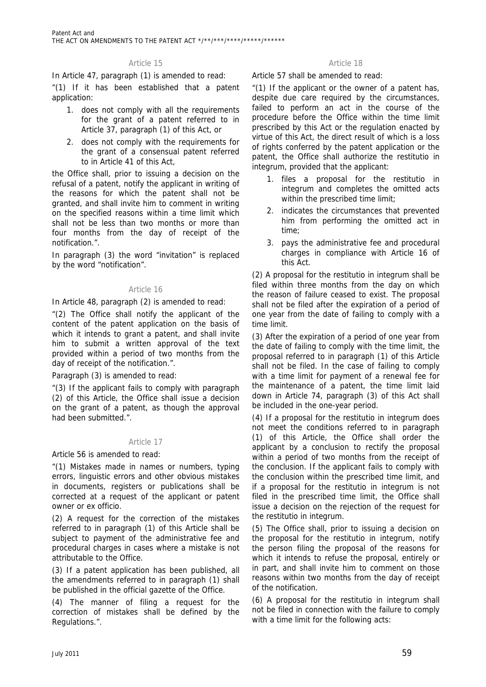In Article 47, paragraph (1) is amended to read:

"(1) If it has been established that a patent application:

- 1. does not comply with all the requirements for the grant of a patent referred to in Article 37, paragraph (1) of this Act, or
- 2. does not comply with the requirements for the grant of a consensual patent referred to in Article 41 of this Act,

the Office shall, prior to issuing a decision on the refusal of a patent, notify the applicant in writing of the reasons for which the patent shall not be granted, and shall invite him to comment in writing on the specified reasons within a time limit which shall not be less than two months or more than four months from the day of receipt of the notification.".

In paragraph (3) the word "invitation" is replaced by the word "notification".

# Article 16

In Article 48, paragraph (2) is amended to read:

"(2) The Office shall notify the applicant of the content of the patent application on the basis of which it intends to grant a patent, and shall invite him to submit a written approval of the text provided within a period of two months from the day of receipt of the notification.".

Paragraph (3) is amended to read:

"(3) If the applicant fails to comply with paragraph (2) of this Article, the Office shall issue a decision on the grant of a patent, as though the approval had been submitted."

# Article 17

Article 56 is amended to read:

"(1) Mistakes made in names or numbers, typing errors, linguistic errors and other obvious mistakes in documents, registers or publications shall be corrected at a request of the applicant or patent owner or ex officio.

(2) A request for the correction of the mistakes referred to in paragraph (1) of this Article shall be subject to payment of the administrative fee and procedural charges in cases where a mistake is not attributable to the Office.

(3) If a patent application has been published, all the amendments referred to in paragraph (1) shall be published in the official gazette of the Office.

(4) The manner of filing a request for the correction of mistakes shall be defined by the Regulations.".

#### Article 15 Article 18

Article 57 shall be amended to read:

"(1) If the applicant or the owner of a patent has, despite due care required by the circumstances, failed to perform an act in the course of the procedure before the Office within the time limit prescribed by this Act or the regulation enacted by virtue of this Act, the direct result of which is a loss of rights conferred by the patent application or the patent, the Office shall authorize the restitutio in integrum, provided that the applicant:

- 1. files a proposal for the restitutio in integrum and completes the omitted acts within the prescribed time limit;
- 2. indicates the circumstances that prevented him from performing the omitted act in time;
- 3. pays the administrative fee and procedural charges in compliance with Article 16 of this Act.

(2) A proposal for the restitutio in integrum shall be filed within three months from the day on which the reason of failure ceased to exist. The proposal shall not be filed after the expiration of a period of one year from the date of failing to comply with a time limit.

(3) After the expiration of a period of one year from the date of failing to comply with the time limit, the proposal referred to in paragraph (1) of this Article shall not be filed. In the case of failing to comply with a time limit for payment of a renewal fee for the maintenance of a patent, the time limit laid down in Article 74, paragraph (3) of this Act shall be included in the one-year period.

(4) If a proposal for the restitutio in integrum does not meet the conditions referred to in paragraph (1) of this Article, the Office shall order the applicant by a conclusion to rectify the proposal within a period of two months from the receipt of the conclusion. If the applicant fails to comply with the conclusion within the prescribed time limit, and if a proposal for the restitutio in integrum is not filed in the prescribed time limit, the Office shall issue a decision on the rejection of the request for the restitutio in integrum.

(5) The Office shall, prior to issuing a decision on the proposal for the restitutio in integrum, notify the person filing the proposal of the reasons for which it intends to refuse the proposal, entirely or in part, and shall invite him to comment on those reasons within two months from the day of receipt of the notification.

(6) A proposal for the restitutio in integrum shall not be filed in connection with the failure to comply with a time limit for the following acts: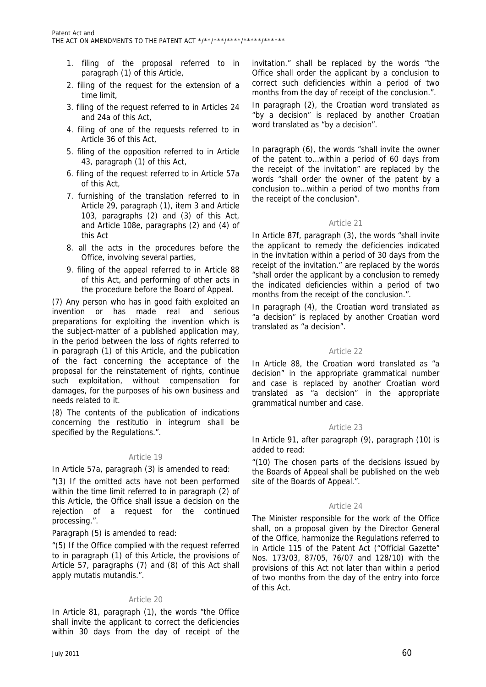- 1. filing of the proposal referred to in paragraph (1) of this Article,
- 2. filing of the request for the extension of a time limit,
- 3. filing of the request referred to in Articles 24 and 24a of this Act,
- 4. filing of one of the requests referred to in Article 36 of this Act,
- 5. filing of the opposition referred to in Article 43, paragraph (1) of this Act,
- 6. filing of the request referred to in Article 57a of this Act,
- 7. furnishing of the translation referred to in Article 29, paragraph (1), item 3 and Article 103, paragraphs (2) and (3) of this Act, and Article 108e, paragraphs (2) and (4) of this Act
- 8. all the acts in the procedures before the Office, involving several parties,
- 9. filing of the appeal referred to in Article 88 of this Act, and performing of other acts in the procedure before the Board of Appeal.

(7) Any person who has in good faith exploited an invention or has made real and serious preparations for exploiting the invention which is the subject-matter of a published application may, in the period between the loss of rights referred to in paragraph (1) of this Article, and the publication of the fact concerning the acceptance of the proposal for the reinstatement of rights, continue such exploitation, without compensation for damages, for the purposes of his own business and needs related to it.

(8) The contents of the publication of indications concerning the restitutio in integrum shall be specified by the Regulations.".

#### Article 19

In Article 57a, paragraph (3) is amended to read:

"(3) If the omitted acts have not been performed within the time limit referred to in paragraph (2) of this Article, the Office shall issue a decision on the rejection of a request for the continued processing.".

Paragraph (5) is amended to read:

"(5) If the Office complied with the request referred to in paragraph (1) of this Article, the provisions of Article 57, paragraphs (7) and (8) of this Act shall apply mutatis mutandis.".

# Article 20

In Article 81, paragraph (1), the words "the Office shall invite the applicant to correct the deficiencies within 30 days from the day of receipt of the

invitation." shall be replaced by the words "the Office shall order the applicant by a conclusion to correct such deficiencies within a period of two months from the day of receipt of the conclusion.".

In paragraph (2), the Croatian word translated as "by a decision" is replaced by another Croatian word translated as "by a decision".

In paragraph (6), the words "shall invite the owner of the patent to…within a period of 60 days from the receipt of the invitation" are replaced by the words "shall order the owner of the patent by a conclusion to…within a period of two months from the receipt of the conclusion".

# Article 21

In Article 87f, paragraph (3), the words "shall invite the applicant to remedy the deficiencies indicated in the invitation within a period of 30 days from the receipt of the invitation." are replaced by the words "shall order the applicant by a conclusion to remedy the indicated deficiencies within a period of two months from the receipt of the conclusion.".

In paragraph (4), the Croatian word translated as "a decision" is replaced by another Croatian word translated as "a decision".

# Article 22

In Article 88, the Croatian word translated as "a decision" in the appropriate grammatical number and case is replaced by another Croatian word translated as "a decision" in the appropriate grammatical number and case.

# Article 23

In Article 91, after paragraph (9), paragraph (10) is added to read:

"(10) The chosen parts of the decisions issued by the Boards of Appeal shall be published on the web site of the Boards of Appeal.".

# Article 24

The Minister responsible for the work of the Office shall, on a proposal given by the Director General of the Office, harmonize the Regulations referred to in Article 115 of the Patent Act ("Official Gazette" Nos. 173/03, 87/05, 76/07 and 128/10) with the provisions of this Act not later than within a period of two months from the day of the entry into force of this Act.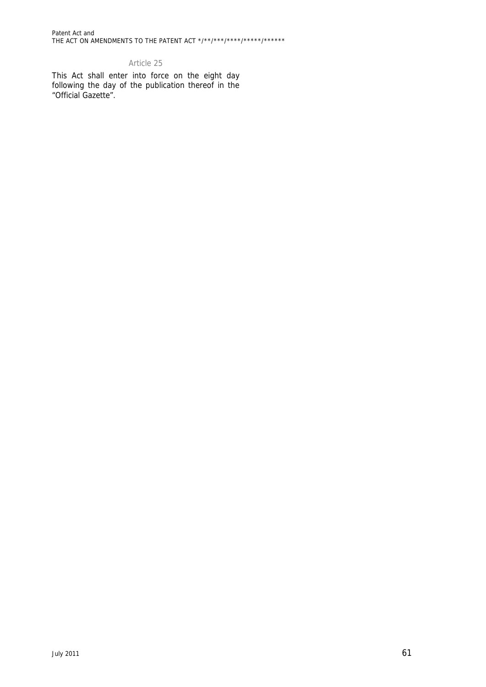Patent Act and THE ACT ON AMENDMENTS TO THE PATENT ACT \*/\*\*/\*\*\*/\*\*\*\*/\*\*\*\*\*/\*\*\*\*\*\*

# Article 25

This Act shall enter into force on the eight day following the day of the publication thereof in the "Official Gazette".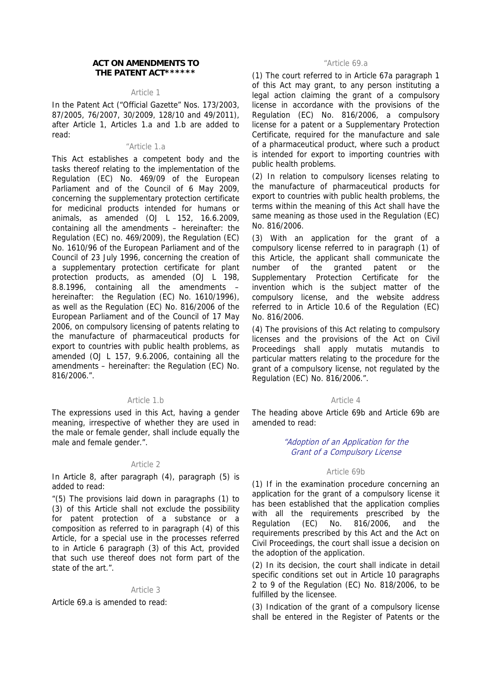#### **ACT ON AMENDMENTS TO THE PATENT ACT\*\*\*\*\*\***

#### Article 1

In the Patent Act ("Official Gazette" Nos. 173/2003, 87/2005, 76/2007, 30/2009, 128/10 and 49/2011), after Article 1, Articles 1.a and 1.b are added to read:

#### "Article 1.a

This Act establishes a competent body and the tasks thereof relating to the implementation of the Regulation (EC) No. 469/09 of the European Parliament and of the Council of 6 May 2009, concerning the supplementary protection certificate for medicinal products intended for humans or animals, as amended (OJ L 152, 16.6.2009, containing all the amendments – hereinafter: the Regulation (EC) no. 469/2009), the Regulation (EC) No. 1610/96 of the European Parliament and of the Council of 23 July 1996, concerning the creation of a supplementary protection certificate for plant protection products, as amended (OJ L 198, 8.8.1996, containing all the amendments – hereinafter: the Regulation (EC) No. 1610/1996), as well as the Regulation (EC) No. 816/2006 of the European Parliament and of the Council of 17 May 2006, on compulsory licensing of patents relating to the manufacture of pharmaceutical products for export to countries with public health problems, as amended (OJ L 157, 9.6.2006, containing all the amendments – hereinafter: the Regulation (EC) No. 816/2006.".

#### Article 1.b

The expressions used in this Act, having a gender meaning, irrespective of whether they are used in the male or female gender, shall include equally the male and female gender.".

#### Article 2

In Article 8, after paragraph (4), paragraph (5) is added to read:

"(5) The provisions laid down in paragraphs (1) to (3) of this Article shall not exclude the possibility for patent protection of a substance or a composition as referred to in paragraph (4) of this Article, for a special use in the processes referred to in Article 6 paragraph (3) of this Act, provided that such use thereof does not form part of the state of the art.".

#### Article 3

Article 69.a is amended to read:

#### "Article 69.a

(1) The court referred to in Article 67a paragraph 1 of this Act may grant, to any person instituting a legal action claiming the grant of a compulsory license in accordance with the provisions of the Regulation (EC) No. 816/2006, a compulsory license for a patent or a Supplementary Protection Certificate, required for the manufacture and sale of a pharmaceutical product, where such a product is intended for export to importing countries with public health problems.

(2) In relation to compulsory licenses relating to the manufacture of pharmaceutical products for export to countries with public health problems, the terms within the meaning of this Act shall have the same meaning as those used in the Regulation (EC) No. 816/2006.

(3) With an application for the grant of a compulsory license referred to in paragraph (1) of this Article, the applicant shall communicate the number of the granted patent or the Supplementary Protection Certificate for the invention which is the subject matter of the compulsory license, and the website address referred to in Article 10.6 of the Regulation (EC) No. 816/2006.

(4) The provisions of this Act relating to compulsory licenses and the provisions of the Act on Civil Proceedings shall apply mutatis mutandis to particular matters relating to the procedure for the grant of a compulsory license, not regulated by the Regulation (EC) No. 816/2006.".

#### Article 4

The heading above Article 69b and Article 69b are amended to read:

#### "Adoption of an Application for the Grant of a Compulsory License

#### Article 69b

(1) If in the examination procedure concerning an application for the grant of a compulsory license it has been established that the application complies with all the requirements prescribed by the Regulation (EC) No. 816/2006, and the requirements prescribed by this Act and the Act on Civil Proceedings, the court shall issue a decision on the adoption of the application.

(2) In its decision, the court shall indicate in detail specific conditions set out in Article 10 paragraphs 2 to 9 of the Regulation (EC) No. 818/2006, to be fulfilled by the licensee.

(3) Indication of the grant of a compulsory license shall be entered in the Register of Patents or the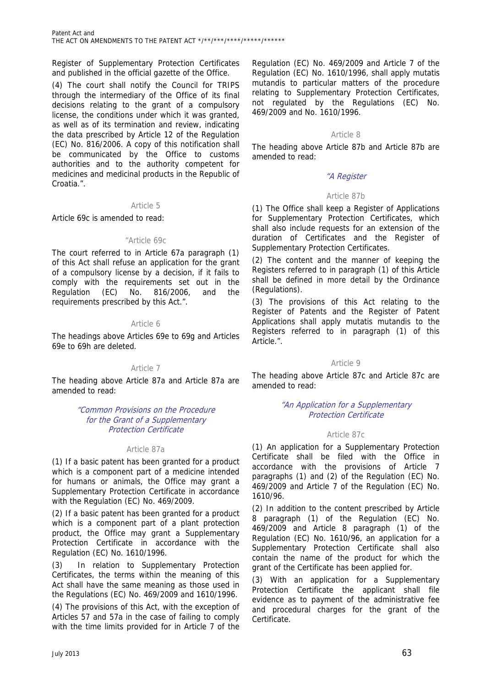Register of Supplementary Protection Certificates and published in the official gazette of the Office.

(4) The court shall notify the Council for TRIPS through the intermediary of the Office of its final decisions relating to the grant of a compulsory license, the conditions under which it was granted, as well as of its termination and review, indicating the data prescribed by Article 12 of the Regulation (EC) No. 816/2006. A copy of this notification shall be communicated by the Office to customs authorities and to the authority competent for medicines and medicinal products in the Republic of Croatia.".

#### Article 5

Article 69c is amended to read:

#### "Article 69c

The court referred to in Article 67a paragraph (1) of this Act shall refuse an application for the grant of a compulsory license by a decision, if it fails to comply with the requirements set out in the Regulation (EC) No. 816/2006, and the requirements prescribed by this Act.".

# Article 6

The headings above Articles 69e to 69g and Articles 69e to 69h are deleted.

#### Article 7

The heading above Article 87a and Article 87a are amended to read:

#### "Common Provisions on the Procedure for the Grant of a Supplementary Protection Certificate

#### Article 87a

(1) If a basic patent has been granted for a product which is a component part of a medicine intended for humans or animals, the Office may grant a Supplementary Protection Certificate in accordance with the Regulation (EC) No. 469/2009.

(2) If a basic patent has been granted for a product which is a component part of a plant protection product, the Office may grant a Supplementary Protection Certificate in accordance with the Regulation (EC) No. 1610/1996.

In relation to Supplementary Protection Certificates, the terms within the meaning of this Act shall have the same meaning as those used in the Regulations (EC) No. 469/2009 and 1610/1996.

(4) The provisions of this Act, with the exception of Articles 57 and 57a in the case of failing to comply with the time limits provided for in Article 7 of the

Regulation (EC) No. 469/2009 and Article 7 of the Regulation (EC) No. 1610/1996, shall apply mutatis mutandis to particular matters of the procedure relating to Supplementary Protection Certificates, not regulated by the Regulations (EC) No. 469/2009 and No. 1610/1996.

# Article 8

The heading above Article 87b and Article 87b are amended to read:

# "A Register

# Article 87b

(1) The Office shall keep a Register of Applications for Supplementary Protection Certificates, which shall also include requests for an extension of the duration of Certificates and the Register of Supplementary Protection Certificates.

(2) The content and the manner of keeping the Registers referred to in paragraph (1) of this Article shall be defined in more detail by the Ordinance (Regulations).

(3) The provisions of this Act relating to the Register of Patents and the Register of Patent Applications shall apply mutatis mutandis to the Registers referred to in paragraph (1) of this Article.".

#### Article 9

The heading above Article 87c and Article 87c are amended to read:

# "An Application for a Supplementary Protection Certificate

#### Article 87c

(1) An application for a Supplementary Protection Certificate shall be filed with the Office in accordance with the provisions of Article 7 paragraphs (1) and (2) of the Regulation (EC) No. 469/2009 and Article 7 of the Regulation (EC) No. 1610/96.

(2) In addition to the content prescribed by Article 8 paragraph (1) of the Regulation (EC) No. 469/2009 and Article 8 paragraph (1) of the Regulation (EC) No. 1610/96, an application for a Supplementary Protection Certificate shall also contain the name of the product for which the grant of the Certificate has been applied for.

(3) With an application for a Supplementary Protection Certificate the applicant shall file evidence as to payment of the administrative fee and procedural charges for the grant of the Certificate.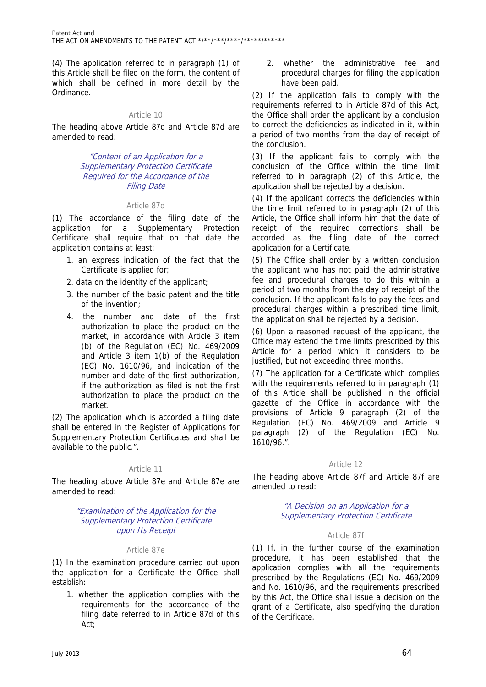(4) The application referred to in paragraph (1) of this Article shall be filed on the form, the content of which shall be defined in more detail by the Ordinance.

# Article 10

The heading above Article 87d and Article 87d are amended to read:

#### "Content of an Application for a Supplementary Protection Certificate Required for the Accordance of the Filing Date

# Article 87d

(1) The accordance of the filing date of the application for a Supplementary Protection Certificate shall require that on that date the application contains at least:

- 1. an express indication of the fact that the Certificate is applied for;
- 2. data on the identity of the applicant;
- 3. the number of the basic patent and the title of the invention;
- 4. the number and date of the first authorization to place the product on the market, in accordance with Article 3 item (b) of the Regulation (EC) No. 469/2009 and Article 3 item 1(b) of the Regulation (EC) No. 1610/96, and indication of the number and date of the first authorization, if the authorization as filed is not the first authorization to place the product on the market.

(2) The application which is accorded a filing date shall be entered in the Register of Applications for Supplementary Protection Certificates and shall be available to the public.".

# Article 11

The heading above Article 87e and Article 87e are amended to read:

#### "Examination of the Application for the Supplementary Protection Certificate upon Its Receipt

#### Article 87e

(1) In the examination procedure carried out upon the application for a Certificate the Office shall establish:

1. whether the application complies with the requirements for the accordance of the filing date referred to in Article 87d of this Act;

2. whether the administrative fee and procedural charges for filing the application have been paid.

(2) If the application fails to comply with the requirements referred to in Article 87d of this Act, the Office shall order the applicant by a conclusion to correct the deficiencies as indicated in it, within a period of two months from the day of receipt of the conclusion.

(3) If the applicant fails to comply with the conclusion of the Office within the time limit referred to in paragraph (2) of this Article, the application shall be rejected by a decision.

(4) If the applicant corrects the deficiencies within the time limit referred to in paragraph (2) of this Article, the Office shall inform him that the date of receipt of the required corrections shall be accorded as the filing date of the correct application for a Certificate.

(5) The Office shall order by a written conclusion the applicant who has not paid the administrative fee and procedural charges to do this within a period of two months from the day of receipt of the conclusion. If the applicant fails to pay the fees and procedural charges within a prescribed time limit, the application shall be rejected by a decision.

(6) Upon a reasoned request of the applicant, the Office may extend the time limits prescribed by this Article for a period which it considers to be justified, but not exceeding three months.

(7) The application for a Certificate which complies with the requirements referred to in paragraph (1) of this Article shall be published in the official gazette of the Office in accordance with the provisions of Article 9 paragraph (2) of the Regulation (EC) No. 469/2009 and Article 9 paragraph (2) of the Regulation (EC) No. 1610/96.".

# Article 12

The heading above Article 87f and Article 87f are amended to read:

# "A Decision on an Application for a Supplementary Protection Certificate

#### Article 87f

(1) If, in the further course of the examination procedure, it has been established that the application complies with all the requirements prescribed by the Regulations (EC) No. 469/2009 and No. 1610/96, and the requirements prescribed by this Act, the Office shall issue a decision on the grant of a Certificate, also specifying the duration of the Certificate.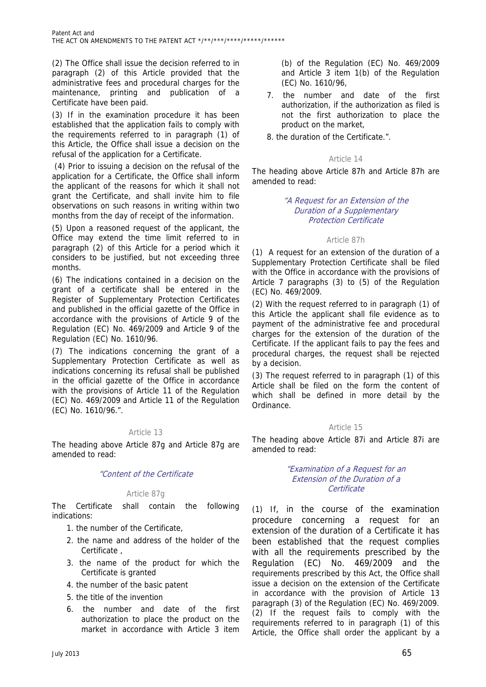(2) The Office shall issue the decision referred to in paragraph (2) of this Article provided that the administrative fees and procedural charges for the maintenance, printing and publication of a Certificate have been paid.

(3) If in the examination procedure it has been established that the application fails to comply with the requirements referred to in paragraph (1) of this Article, the Office shall issue a decision on the refusal of the application for a Certificate.

 (4) Prior to issuing a decision on the refusal of the application for a Certificate, the Office shall inform the applicant of the reasons for which it shall not grant the Certificate, and shall invite him to file observations on such reasons in writing within two months from the day of receipt of the information.

(5) Upon a reasoned request of the applicant, the Office may extend the time limit referred to in paragraph (2) of this Article for a period which it considers to be justified, but not exceeding three months.

(6) The indications contained in a decision on the grant of a certificate shall be entered in the Register of Supplementary Protection Certificates and published in the official gazette of the Office in accordance with the provisions of Article 9 of the Regulation (EC) No. 469/2009 and Article 9 of the Regulation (EC) No. 1610/96.

(7) The indications concerning the grant of a Supplementary Protection Certificate as well as indications concerning its refusal shall be published in the official gazette of the Office in accordance with the provisions of Article 11 of the Regulation (EC) No. 469/2009 and Article 11 of the Regulation (EC) No. 1610/96.".

# Article 13

The heading above Article 87g and Article 87g are amended to read:

# "Content of the Certificate

# Article 87g

The Certificate shall contain the following indications:

- 1. the number of the Certificate,
- 2. the name and address of the holder of the Certificate ,
- 3. the name of the product for which the Certificate is granted
- 4. the number of the basic patent
- 5. the title of the invention
- 6. the number and date of the first authorization to place the product on the market in accordance with Article 3 item

(b) of the Regulation (EC) No. 469/2009 and Article 3 item 1(b) of the Regulation (EC) No. 1610/96,

- 7. the number and date of the first authorization, if the authorization as filed is not the first authorization to place the product on the market,
- 8. the duration of the Certificate.".

# Article 14

The heading above Article 87h and Article 87h are amended to read:

# "A Request for an Extension of the Duration of a Supplementary Protection Certificate

# Article 87h

(1) A request for an extension of the duration of a Supplementary Protection Certificate shall be filed with the Office in accordance with the provisions of Article 7 paragraphs (3) to (5) of the Regulation (EC) No. 469/2009.

(2) With the request referred to in paragraph (1) of this Article the applicant shall file evidence as to payment of the administrative fee and procedural charges for the extension of the duration of the Certificate. If the applicant fails to pay the fees and procedural charges, the request shall be rejected by a decision.

(3) The request referred to in paragraph (1) of this Article shall be filed on the form the content of which shall be defined in more detail by the Ordinance.

#### Article 15

The heading above Article 87i and Article 87i are amended to read:

#### "Examination of a Request for an Extension of the Duration of a **Certificate**

(1) If, in the course of the examination procedure concerning a request for an extension of the duration of a Certificate it has been established that the request complies with all the requirements prescribed by the Regulation (EC) No. 469/2009 and the requirements prescribed by this Act, the Office shall issue a decision on the extension of the Certificate in accordance with the provision of Article 13 paragraph (3) of the Regulation (EC) No. 469/2009. (2) If the request fails to comply with the requirements referred to in paragraph (1) of this Article, the Office shall order the applicant by a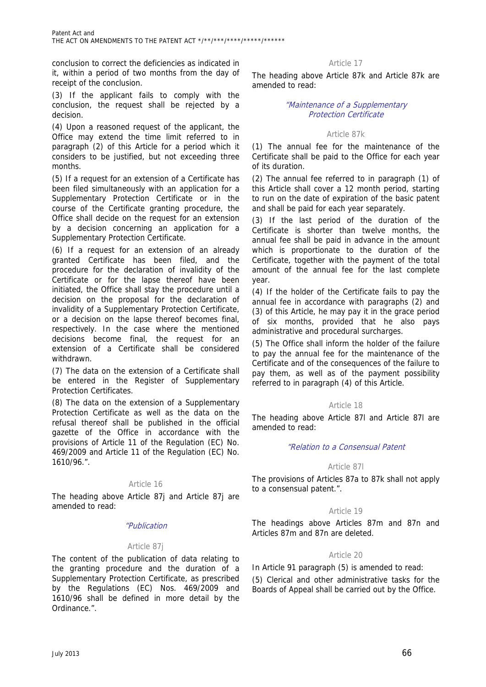conclusion to correct the deficiencies as indicated in it, within a period of two months from the day of receipt of the conclusion.

(3) If the applicant fails to comply with the conclusion, the request shall be rejected by a decision.

(4) Upon a reasoned request of the applicant, the Office may extend the time limit referred to in paragraph (2) of this Article for a period which it considers to be justified, but not exceeding three months.

(5) If a request for an extension of a Certificate has been filed simultaneously with an application for a Supplementary Protection Certificate or in the course of the Certificate granting procedure, the Office shall decide on the request for an extension by a decision concerning an application for a Supplementary Protection Certificate.

(6) If a request for an extension of an already granted Certificate has been filed, and the procedure for the declaration of invalidity of the Certificate or for the lapse thereof have been initiated, the Office shall stay the procedure until a decision on the proposal for the declaration of invalidity of a Supplementary Protection Certificate, or a decision on the lapse thereof becomes final, respectively. In the case where the mentioned decisions become final, the request for an extension of a Certificate shall be considered withdrawn.

(7) The data on the extension of a Certificate shall be entered in the Register of Supplementary Protection Certificates.

(8) The data on the extension of a Supplementary Protection Certificate as well as the data on the refusal thereof shall be published in the official gazette of the Office in accordance with the provisions of Article 11 of the Regulation (EC) No. 469/2009 and Article 11 of the Regulation (EC) No. 1610/96.".

# Article 16

The heading above Article 87j and Article 87j are amended to read:

#### "Publication

# Article 87j

The content of the publication of data relating to the granting procedure and the duration of a Supplementary Protection Certificate, as prescribed by the Regulations (EC) Nos. 469/2009 and 1610/96 shall be defined in more detail by the Ordinance.".

Article 17

The heading above Article 87k and Article 87k are amended to read:

# "Maintenance of a Supplementary Protection Certificate

#### Article 87k

(1) The annual fee for the maintenance of the Certificate shall be paid to the Office for each year of its duration.

(2) The annual fee referred to in paragraph (1) of this Article shall cover a 12 month period, starting to run on the date of expiration of the basic patent and shall be paid for each year separately.

(3) If the last period of the duration of the Certificate is shorter than twelve months, the annual fee shall be paid in advance in the amount which is proportionate to the duration of the Certificate, together with the payment of the total amount of the annual fee for the last complete year.

(4) If the holder of the Certificate fails to pay the annual fee in accordance with paragraphs (2) and (3) of this Article, he may pay it in the grace period of six months, provided that he also pays administrative and procedural surcharges.

(5) The Office shall inform the holder of the failure to pay the annual fee for the maintenance of the Certificate and of the consequences of the failure to pay them, as well as of the payment possibility referred to in paragraph (4) of this Article.

#### Article 18

The heading above Article 87l and Article 87l are amended to read:

# "Relation to a Consensual Patent

#### Article 87l

The provisions of Articles 87a to 87k shall not apply to a consensual patent.".

# Article 19

The headings above Articles 87m and 87n and Articles 87m and 87n are deleted.

# Article 20

In Article 91 paragraph (5) is amended to read:

(5) Clerical and other administrative tasks for the Boards of Appeal shall be carried out by the Office.